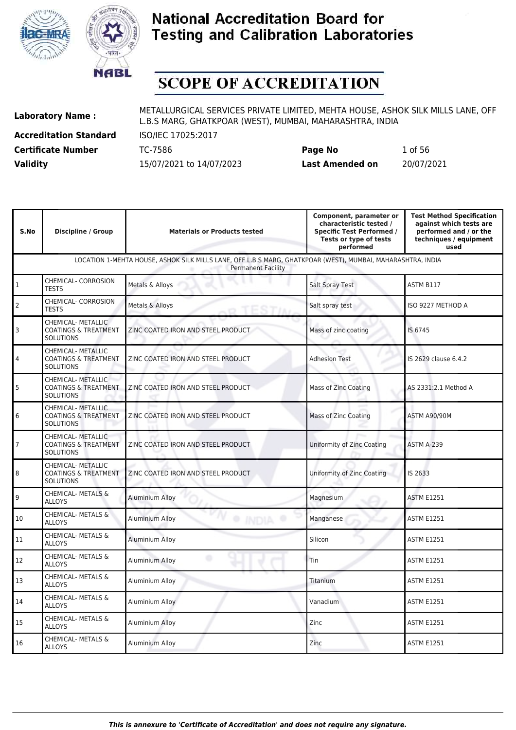



# **SCOPE OF ACCREDITATION**

**Accreditation Standard** ISO/IEC 17025:2017 **Certificate Number** TC-7586

| <b>Certificate Number</b> | TC-7586                  | Page No         | 1 of 56    |
|---------------------------|--------------------------|-----------------|------------|
| <b>Validity</b>           | 15/07/2021 to 14/07/2023 | Last Amended on | 20/07/2021 |

| S.No                 | <b>Discipline / Group</b>                                                        | <b>Materials or Products tested</b>                                                                                                      | Component, parameter or<br>characteristic tested /<br><b>Specific Test Performed /</b><br>Tests or type of tests<br>performed | <b>Test Method Specification</b><br>against which tests are<br>performed and / or the<br>techniques / equipment<br>used |
|----------------------|----------------------------------------------------------------------------------|------------------------------------------------------------------------------------------------------------------------------------------|-------------------------------------------------------------------------------------------------------------------------------|-------------------------------------------------------------------------------------------------------------------------|
|                      |                                                                                  | LOCATION 1-MEHTA HOUSE, ASHOK SILK MILLS LANE, OFF L.B.S MARG, GHATKPOAR (WEST), MUMBAI, MAHARASHTRA, INDIA<br><b>Permanent Facility</b> |                                                                                                                               |                                                                                                                         |
| $\vert$ <sub>1</sub> | CHEMICAL- CORROSION<br><b>TESTS</b>                                              | Metals & Alloys                                                                                                                          | Salt Spray Test                                                                                                               | ASTM B117                                                                                                               |
| $\overline{2}$       | CHEMICAL- CORROSION<br><b>TESTS</b>                                              | Metals & Alloys                                                                                                                          | Salt spray test                                                                                                               | ISO 9227 METHOD A                                                                                                       |
| $\overline{3}$       | <b>CHEMICAL- METALLIC</b><br><b>COATINGS &amp; TREATMENT</b><br><b>SOLUTIONS</b> | ZINC COATED IRON AND STEEL PRODUCT                                                                                                       | Mass of zinc coating                                                                                                          | IS 6745                                                                                                                 |
| $\vert$ 4            | CHEMICAL- METALLIC<br><b>COATINGS &amp; TREATMENT</b><br><b>SOLUTIONS</b>        | ZINC COATED IRON AND STEEL PRODUCT                                                                                                       | <b>Adhesion Test</b>                                                                                                          | IS 2629 clause 6.4.2                                                                                                    |
| 5                    | CHEMICAL- METALLIC<br><b>COATINGS &amp; TREATMENT</b><br><b>SOLUTIONS</b>        | ZINC COATED IRON AND STEEL PRODUCT                                                                                                       | <b>Mass of Zinc Coating</b>                                                                                                   | AS 2331:2.1 Method A                                                                                                    |
| 6                    | <b>CHEMICAL- METALLIC</b><br><b>COATINGS &amp; TREATMENT</b><br><b>SOLUTIONS</b> | ZINC COATED IRON AND STEEL PRODUCT                                                                                                       | <b>Mass of Zinc Coating</b>                                                                                                   | ASTM A90/90M                                                                                                            |
| $\overline{7}$       | <b>CHEMICAL- METALLIC</b><br><b>COATINGS &amp; TREATMENT</b><br><b>SOLUTIONS</b> | ZINC COATED IRON AND STEEL PRODUCT                                                                                                       | Uniformity of Zinc Coating                                                                                                    | <b>ASTM A-239</b>                                                                                                       |
| $\boldsymbol{8}$     | <b>CHEMICAL- METALLIC</b><br><b>COATINGS &amp; TREATMENT</b><br><b>SOLUTIONS</b> | ZINC COATED IRON AND STEEL PRODUCT                                                                                                       | Uniformity of Zinc Coating                                                                                                    | IS 2633                                                                                                                 |
| و                    | <b>CHEMICAL- METALS &amp;</b><br><b>ALLOYS</b>                                   | <b>Aluminium Alloy</b>                                                                                                                   | Magnesium                                                                                                                     | <b>ASTM E1251</b>                                                                                                       |
| 10                   | <b>CHEMICAL- METALS &amp;</b><br><b>ALLOYS</b>                                   | <b>Aluminium Alloy</b><br><sup>O</sup> INDIA                                                                                             | Manganese                                                                                                                     | <b>ASTM E1251</b>                                                                                                       |
| 11                   | CHEMICAL- METALS &<br><b>ALLOYS</b>                                              | <b>Aluminium Alloy</b>                                                                                                                   | Silicon                                                                                                                       | <b>ASTM E1251</b>                                                                                                       |
| 12                   | <b>CHEMICAL- METALS &amp;</b><br><b>ALLOYS</b>                                   | ۰<br><b>Aluminium Alloy</b>                                                                                                              | Tin                                                                                                                           | <b>ASTM E1251</b>                                                                                                       |
| 13                   | CHEMICAL- METALS &<br><b>ALLOYS</b>                                              | Aluminium Alloy                                                                                                                          | Titanium                                                                                                                      | <b>ASTM E1251</b>                                                                                                       |
| 14                   | CHEMICAL- METALS &<br><b>ALLOYS</b>                                              | Aluminium Alloy                                                                                                                          | Vanadium                                                                                                                      | <b>ASTM E1251</b>                                                                                                       |
| 15                   | CHEMICAL- METALS &<br><b>ALLOYS</b>                                              | <b>Aluminium Alloy</b>                                                                                                                   | Zinc                                                                                                                          | <b>ASTM E1251</b>                                                                                                       |
| 16                   | CHEMICAL- METALS &<br><b>ALLOYS</b>                                              | Aluminium Alloy                                                                                                                          | Zinc                                                                                                                          | <b>ASTM E1251</b>                                                                                                       |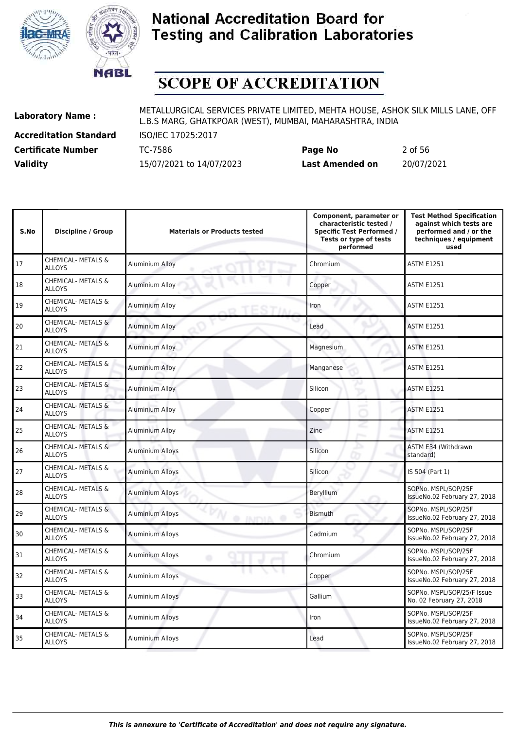



# **SCOPE OF ACCREDITATION**

**Accreditation Standard** ISO/IEC 17025:2017

**Laboratory Name :** METALLURGICAL SERVICES PRIVATE LIMITED, MEHTA HOUSE, ASHOK SILK MILLS LANE, OFF L.B.S MARG, GHATKPOAR (WEST), MUMBAI, MAHARASHTRA, INDIA

**Certificate Number** TC-7586 **Page No** 2 of 56 **Validity** 15/07/2021 to 14/07/2023 **Last Amended on** 20/07/2021

| S.No | Discipline / Group                             | <b>Materials or Products tested</b>      | Component, parameter or<br>characteristic tested /<br><b>Specific Test Performed /</b><br>Tests or type of tests<br>performed | <b>Test Method Specification</b><br>against which tests are<br>performed and / or the<br>techniques / equipment<br>used |
|------|------------------------------------------------|------------------------------------------|-------------------------------------------------------------------------------------------------------------------------------|-------------------------------------------------------------------------------------------------------------------------|
| 17   | <b>CHEMICAL- METALS &amp;</b><br><b>ALLOYS</b> | Aluminium Alloy                          | Chromium                                                                                                                      | <b>ASTM E1251</b>                                                                                                       |
| 18   | <b>CHEMICAL- METALS &amp;</b><br><b>ALLOYS</b> | Aluminium Alloy                          | Copper                                                                                                                        | <b>ASTM E1251</b>                                                                                                       |
| 19   | CHEMICAL- METALS &<br><b>ALLOYS</b>            | Aluminium Alloy                          | Iron                                                                                                                          | <b>ASTM E1251</b>                                                                                                       |
| 20   | CHEMICAL- METALS &<br><b>ALLOYS</b>            | Aluminium Alloy                          | Lead                                                                                                                          | <b>ASTM E1251</b>                                                                                                       |
| 21   | <b>CHEMICAL- METALS &amp;</b><br><b>ALLOYS</b> | Aluminium Alloy                          | Magnesium                                                                                                                     | <b>ASTM E1251</b>                                                                                                       |
| 22   | <b>CHEMICAL- METALS &amp;</b><br><b>ALLOYS</b> | <b>Aluminium Alloy</b>                   | Manganese                                                                                                                     | <b>ASTM E1251</b>                                                                                                       |
| 23   | <b>CHEMICAL- METALS &amp;</b><br><b>ALLOYS</b> | Aluminium Alloy                          | Silicon                                                                                                                       | <b>ASTM E1251</b>                                                                                                       |
| 24   | CHEMICAL- METALS &<br><b>ALLOYS</b>            | Aluminium Alloy                          | Copper                                                                                                                        | <b>ASTM E1251</b>                                                                                                       |
| 25   | CHEMICAL- METALS &<br><b>ALLOYS</b>            | <b>Aluminium Alloy</b>                   | Zinc                                                                                                                          | <b>ASTM E1251</b>                                                                                                       |
| 26   | <b>CHEMICAL- METALS &amp;</b><br><b>ALLOYS</b> | <b>Aluminium Alloys</b>                  | Silicon                                                                                                                       | ASTM E34 (Withdrawn<br>standard)                                                                                        |
| 27   | CHEMICAL- METALS &<br><b>ALLOYS</b>            | <b>Aluminium Alloys</b>                  | Silicon                                                                                                                       | IS 504 (Part 1)                                                                                                         |
| 28   | <b>CHEMICAL- METALS &amp;</b><br><b>ALLOYS</b> | <b>Aluminium Alloys</b>                  | Beryllium                                                                                                                     | SOPNo. MSPL/SOP/25F<br>IssueNo.02 February 27, 2018                                                                     |
| 29   | <b>CHEMICAL- METALS &amp;</b><br><b>ALLOYS</b> | <b>Aluminium Alloys</b><br><b>JAJPMA</b> | <b>Bismuth</b>                                                                                                                | SOPNo. MSPL/SOP/25F<br>IssueNo.02 February 27, 2018                                                                     |
| 30   | CHEMICAL- METALS &<br><b>ALLOYS</b>            | <b>Aluminium Alloys</b>                  | Cadmium                                                                                                                       | SOPNo. MSPL/SOP/25F<br>IssueNo.02 February 27, 2018                                                                     |
| 31   | <b>CHEMICAL- METALS &amp;</b><br><b>ALLOYS</b> | <b>Aluminium Alloys</b><br>۰             | Chromium                                                                                                                      | SOPNo. MSPL/SOP/25F<br>IssueNo.02 February 27, 2018                                                                     |
| 32   | CHEMICAL- METALS &<br><b>ALLOYS</b>            | <b>Aluminium Alloys</b>                  | Copper                                                                                                                        | SOPNo. MSPL/SOP/25F<br>IssueNo.02 February 27, 2018                                                                     |
| 33   | <b>CHEMICAL- METALS &amp;</b><br><b>ALLOYS</b> | Aluminium Alloys                         | Gallium                                                                                                                       | SOPNo. MSPL/SOP/25/F Issue<br>No. 02 February 27, 2018                                                                  |
| 34   | CHEMICAL- METALS &<br><b>ALLOYS</b>            | <b>Aluminium Alloys</b>                  | Iron                                                                                                                          | SOPNo. MSPL/SOP/25F<br>IssueNo.02 February 27, 2018                                                                     |
| 35   | <b>CHEMICAL- METALS &amp;</b><br><b>ALLOYS</b> | <b>Aluminium Alloys</b>                  | Lead                                                                                                                          | SOPNo. MSPL/SOP/25F<br>IssueNo.02 February 27, 2018                                                                     |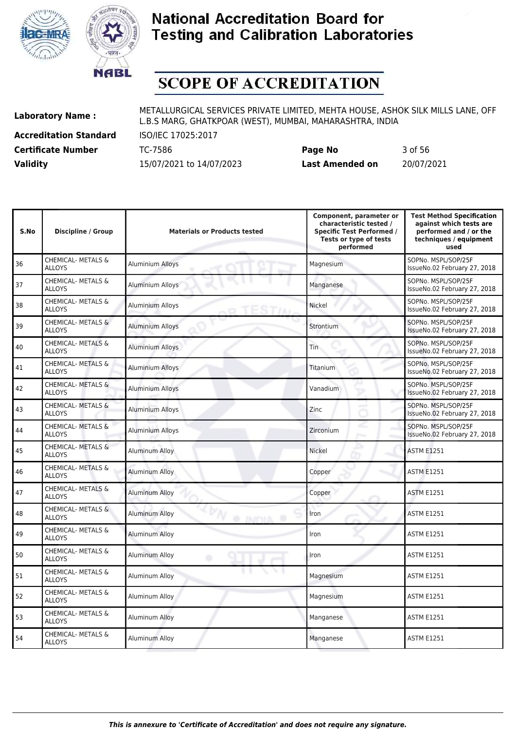



# **SCOPE OF ACCREDITATION**

**Accreditation Standard** ISO/IEC 17025:2017

**Laboratory Name :** METALLURGICAL SERVICES PRIVATE LIMITED, MEHTA HOUSE, ASHOK SILK MILLS LANE, OFF L.B.S MARG, GHATKPOAR (WEST), MUMBAI, MAHARASHTRA, INDIA

**Certificate Number** TC-7586 **Page No** 3 of 56 **Validity** 15/07/2021 to 14/07/2023 **Last Amended on** 20/07/2021

| Component, parameter or<br>characteristic tested /<br><b>Specific Test Performed /</b> | <b>Test Method Specification</b><br>against which tests are<br>performed and / or the |
|----------------------------------------------------------------------------------------|---------------------------------------------------------------------------------------|

| S.No | <b>Discipline / Group</b>                      | <b>Materials or Products tested</b>     | <b>Specific Test Performed /</b><br>Tests or type of tests<br>performed | performed and / or the<br>techniques / equipment<br>used |
|------|------------------------------------------------|-----------------------------------------|-------------------------------------------------------------------------|----------------------------------------------------------|
| 36   | <b>CHEMICAL- METALS &amp;</b><br><b>ALLOYS</b> | <b>Aluminium Alloys</b>                 | Magnesium                                                               | SOPNo. MSPL/SOP/25F<br>IssueNo.02 February 27, 2018      |
| 37   | CHEMICAL- METALS &<br><b>ALLOYS</b>            | Aluminium Alloys                        | Manganese                                                               | SOPNo. MSPL/SOP/25F<br>IssueNo.02 February 27, 2018      |
| 38   | CHEMICAL- METALS &<br><b>ALLOYS</b>            | <b>Aluminium Alloys</b>                 | Nickel                                                                  | SOPNo. MSPL/SOP/25F<br>IssueNo.02 February 27, 2018      |
| 39   | <b>CHEMICAL- METALS &amp;</b><br><b>ALLOYS</b> | <b>Aluminium Alloys</b>                 | Strontium                                                               | SOPNo. MSPL/SOP/25F<br>IssueNo.02 February 27, 2018      |
| 40   | CHEMICAL- METALS &<br><b>ALLOYS</b>            | <b>Aluminium Alloys</b>                 | <b>Tin</b>                                                              | SOPNo. MSPL/SOP/25F<br>IssueNo.02 February 27, 2018      |
| 41   | CHEMICAL- METALS &<br><b>ALLOYS</b>            | <b>Aluminium Alloys</b>                 | Titanium                                                                | SOPNo. MSPL/SOP/25F<br>IssueNo.02 February 27, 2018      |
| 42   | <b>CHEMICAL- METALS &amp;</b><br><b>ALLOYS</b> | <b>Aluminium Alloys</b>                 | Vanadium                                                                | SOPNo. MSPL/SOP/25F<br>IssueNo.02 February 27, 2018      |
| 43   | CHEMICAL- METALS &<br><b>ALLOYS</b>            | Aluminium Alloys                        | Zinc                                                                    | SOPNo. MSPL/SOP/25F<br>IssueNo.02 February 27, 2018      |
| 44   | CHEMICAL- METALS &<br><b>ALLOYS</b>            | <b>Aluminium Alloys</b>                 | Zirconium<br>Prima and                                                  | SOPNo. MSPL/SOP/25F<br>IssueNo.02 February 27, 2018      |
| 45   | CHEMICAL- METALS &<br><b>ALLOYS</b>            | Aluminum Alloy                          | Nickel                                                                  | <b>ASTM E1251</b>                                        |
| 46   | CHEMICAL- METALS &<br><b>ALLOYS</b>            | <b>Aluminum Alloy</b>                   | Copper                                                                  | <b>ASTM E1251</b>                                        |
| 47   | CHEMICAL- METALS &<br><b>ALLOYS</b>            | <b>Aluminum Alloy</b>                   | Copper                                                                  | <b>ASTM E1251</b>                                        |
| 48   | <b>CHEMICAL- METALS &amp;</b><br><b>ALLOYS</b> | <b>Aluminum Alloy</b><br><b>O INDIA</b> | Iron                                                                    | <b>ASTM E1251</b>                                        |
| 49   | CHEMICAL- METALS &<br><b>ALLOYS</b>            | Aluminum Alloy                          | Iron                                                                    | <b>ASTM E1251</b>                                        |
| 50   | CHEMICAL- METALS &<br><b>ALLOYS</b>            | Aluminum Alloy<br>۵                     | Iron                                                                    | <b>ASTM E1251</b>                                        |
| 51   | CHEMICAL- METALS &<br><b>ALLOYS</b>            | Aluminum Alloy                          | Magnesium                                                               | <b>ASTM E1251</b>                                        |
| 52   | CHEMICAL- METALS &<br><b>ALLOYS</b>            | Aluminum Alloy                          | Magnesium                                                               | <b>ASTM E1251</b>                                        |
| 53   | CHEMICAL- METALS &<br><b>ALLOYS</b>            | Aluminum Alloy                          | Manganese                                                               | <b>ASTM E1251</b>                                        |
| 54   | <b>CHEMICAL- METALS &amp;</b><br><b>ALLOYS</b> | Aluminum Alloy                          | Manganese                                                               | <b>ASTM E1251</b>                                        |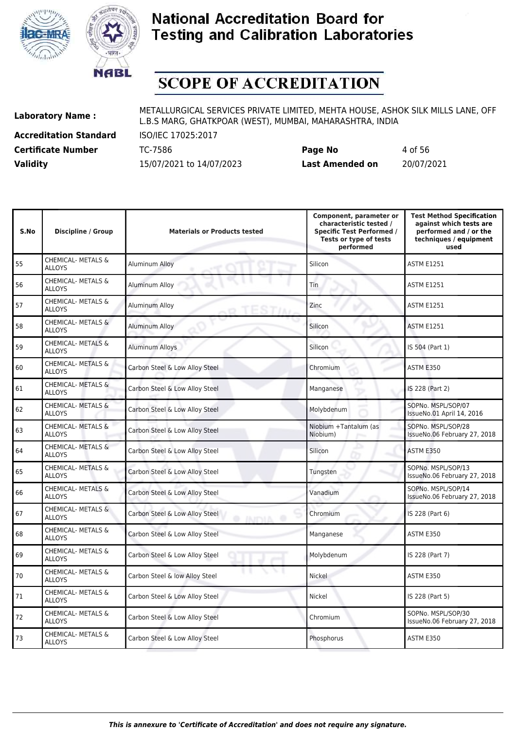



# **SCOPE OF ACCREDITATION**

**Accreditation Standard** ISO/IEC 17025:2017

**Laboratory Name :** METALLURGICAL SERVICES PRIVATE LIMITED, MEHTA HOUSE, ASHOK SILK MILLS LANE, OFF L.B.S MARG, GHATKPOAR (WEST), MUMBAI, MAHARASHTRA, INDIA

**Certificate Number** TC-7586 **Page No** 4 of 56 **Validity** 15/07/2021 to 14/07/2023 **Last Amended on** 20/07/2021

| S.No | <b>Discipline / Group</b>                      | <b>Materials or Products tested</b>                | Component, parameter or<br>characteristic tested /<br><b>Specific Test Performed /</b><br>Tests or type of tests<br>performed | <b>Test Method Specification</b><br>against which tests are<br>performed and / or the<br>techniques / equipment<br>used |
|------|------------------------------------------------|----------------------------------------------------|-------------------------------------------------------------------------------------------------------------------------------|-------------------------------------------------------------------------------------------------------------------------|
| 55   | <b>CHEMICAL- METALS &amp;</b><br><b>ALLOYS</b> | Aluminum Alloy                                     | Silicon                                                                                                                       | <b>ASTM E1251</b>                                                                                                       |
| 56   | CHEMICAL- METALS &<br><b>ALLOYS</b>            | Aluminum Alloy                                     | Tin                                                                                                                           | ASTM E1251                                                                                                              |
| 57   | CHEMICAL- METALS &<br><b>ALLOYS</b>            | <b>Aluminum Alloy</b>                              | Zinc                                                                                                                          | <b>ASTM E1251</b>                                                                                                       |
| 58   | <b>CHEMICAL- METALS &amp;</b><br><b>ALLOYS</b> | Aluminum Alloy                                     | Silicon                                                                                                                       | <b>ASTM E1251</b>                                                                                                       |
| 59   | CHEMICAL- METALS &<br><b>ALLOYS</b>            | <b>Aluminum Alloys</b>                             | Silicon                                                                                                                       | IS 504 (Part 1)                                                                                                         |
| 60   | CHEMICAL- METALS &<br><b>ALLOYS</b>            | Carbon Steel & Low Alloy Steel                     | Chromium                                                                                                                      | ASTM E350                                                                                                               |
| 61   | <b>CHEMICAL- METALS &amp;</b><br><b>ALLOYS</b> | Carbon Steel & Low Alloy Steel                     | Manganese                                                                                                                     | IS 228 (Part 2)                                                                                                         |
| 62   | CHEMICAL- METALS &<br><b>ALLOYS</b>            | Carbon Steel & Low Alloy Steel                     | Molybdenum                                                                                                                    | SOPNo. MSPL/SOP/07<br>IssueNo.01 April 14, 2016                                                                         |
| 63   | CHEMICAL- METALS &<br><b>ALLOYS</b>            | Carbon Steel & Low Alloy Steel                     | Niobium +Tantalum (as<br>Niobium)                                                                                             | SOPNo. MSPL/SOP/28<br>IssueNo.06 February 27, 2018                                                                      |
| 64   | CHEMICAL- METALS &<br><b>ALLOYS</b>            | Carbon Steel & Low Alloy Steel                     | Silicon                                                                                                                       | ASTM E350                                                                                                               |
| 65   | CHEMICAL- METALS &<br><b>ALLOYS</b>            | Carbon Steel & Low Alloy Steel                     | Tungsten                                                                                                                      | SOPNo. MSPL/SOP/13<br>IssueNo.06 February 27, 2018                                                                      |
| 66   | <b>CHEMICAL- METALS &amp;</b><br><b>ALLOYS</b> | Carbon Steel & Low Alloy Steel                     | Vanadium                                                                                                                      | SOPNo. MSPL/SOP/14<br>IssueNo.06 February 27, 2018                                                                      |
| 67   | CHEMICAL- METALS &<br><b>ALLOYS</b>            | Carbon Steel & Low Alloy Steel<br><b>INITYIA O</b> | Chromium                                                                                                                      | IS 228 (Part 6)                                                                                                         |
| 68   | CHEMICAL- METALS &<br><b>ALLOYS</b>            | Carbon Steel & Low Alloy Steel                     | Manganese                                                                                                                     | ASTM E350                                                                                                               |
| 69   | CHEMICAL- METALS &<br><b>ALLOYS</b>            | Carbon Steel & Low Alloy Steel                     | Molybdenum                                                                                                                    | IS 228 (Part 7)                                                                                                         |
| 70   | CHEMICAL- METALS &<br><b>ALLOYS</b>            | Carbon Steel & low Alloy Steel                     | Nickel                                                                                                                        | ASTM E350                                                                                                               |
| 71   | CHEMICAL- METALS &<br><b>ALLOYS</b>            | Carbon Steel & Low Alloy Steel                     | Nickel                                                                                                                        | IS 228 (Part 5)                                                                                                         |
| 72   | CHEMICAL- METALS &<br><b>ALLOYS</b>            | Carbon Steel & Low Alloy Steel                     | Chromium                                                                                                                      | SOPNo. MSPL/SOP/30<br>IssueNo.06 February 27, 2018                                                                      |
| 73   | CHEMICAL- METALS &<br><b>ALLOYS</b>            | Carbon Steel & Low Alloy Steel                     | Phosphorus                                                                                                                    | ASTM E350                                                                                                               |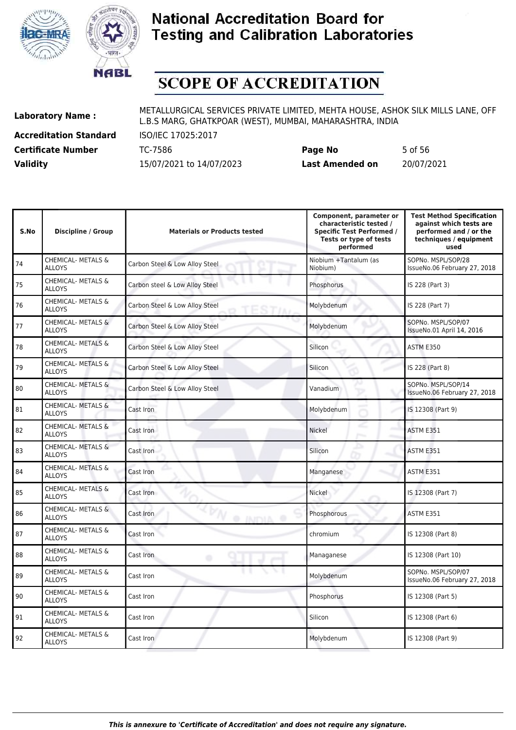



# **SCOPE OF ACCREDITATION**

**Accreditation Standard** ISO/IEC 17025:2017

**Laboratory Name :** METALLURGICAL SERVICES PRIVATE LIMITED, MEHTA HOUSE, ASHOK SILK MILLS LANE, OFF L.B.S MARG, GHATKPOAR (WEST), MUMBAI, MAHARASHTRA, INDIA

**Certificate Number** TC-7586 **Page No** 5 of 56 **Validity** 15/07/2021 to 14/07/2023 **Last Amended on** 20/07/2021

| S.No | <b>Discipline / Group</b>                      | <b>Materials or Products tested</b> | Component, parameter or<br>characteristic tested /<br><b>Specific Test Performed /</b><br>Tests or type of tests<br>performed | <b>Test Method Specification</b><br>against which tests are<br>performed and / or the<br>techniques / equipment<br>used |
|------|------------------------------------------------|-------------------------------------|-------------------------------------------------------------------------------------------------------------------------------|-------------------------------------------------------------------------------------------------------------------------|
| 74   | <b>CHEMICAL- METALS &amp;</b><br><b>ALLOYS</b> | Carbon Steel & Low Alloy Steel      | Niobium +Tantalum (as<br>Niobium)                                                                                             | SOPNo. MSPL/SOP/28<br>IssueNo.06 February 27, 2018                                                                      |
| 75   | CHEMICAL- METALS &<br><b>ALLOYS</b>            | Carbon steel & Low Alloy Steel      | Phosphorus                                                                                                                    | IS 228 (Part 3)                                                                                                         |
| 76   | CHEMICAL- METALS &<br><b>ALLOYS</b>            | Carbon Steel & Low Alloy Steel      | Molybdenum                                                                                                                    | IS 228 (Part 7)                                                                                                         |
| 77   | <b>CHEMICAL- METALS &amp;</b><br><b>ALLOYS</b> | Carbon Steel & Low Alloy Steel      | Molybdenum                                                                                                                    | SOPNo. MSPL/SOP/07<br>IssueNo.01 April 14, 2016                                                                         |
| 78   | CHEMICAL- METALS &<br><b>ALLOYS</b>            | Carbon Steel & Low Alloy Steel      | Silicon                                                                                                                       | ASTM E350                                                                                                               |
| 79   | CHEMICAL- METALS &<br><b>ALLOYS</b>            | Carbon Steel & Low Alloy Steel      | Silicon                                                                                                                       | IS 228 (Part 8)                                                                                                         |
| 80   | CHEMICAL- METALS &<br><b>ALLOYS</b>            | Carbon Steel & Low Alloy Steel      | Vanadium                                                                                                                      | SOPNo. MSPL/SOP/14<br>IssueNo.06 February 27, 2018                                                                      |
| 81   | CHEMICAL- METALS &<br><b>ALLOYS</b>            | Cast Iron                           | Molybdenum                                                                                                                    | IS 12308 (Part 9)                                                                                                       |
| 82   | CHEMICAL- METALS &<br><b>ALLOYS</b>            | Cast Iron                           | Nickel                                                                                                                        | ASTM E351                                                                                                               |
| 83   | CHEMICAL- METALS &<br><b>ALLOYS</b>            | Cast Iron                           | Silicon                                                                                                                       | ASTM E351                                                                                                               |
| 84   | CHEMICAL- METALS &<br><b>ALLOYS</b>            | Cast Iron                           | Manganese                                                                                                                     | ASTM E351                                                                                                               |
| 85   | CHEMICAL- METALS &<br><b>ALLOYS</b>            | Cast Iron                           | Nickel                                                                                                                        | IS 12308 (Part 7)                                                                                                       |
| 86   | CHEMICAL- METALS &<br><b>ALLOYS</b>            | Cast Iron<br>@ INDIA @              | Phosphorous                                                                                                                   | ASTM E351                                                                                                               |
| 87   | <b>CHEMICAL- METALS &amp;</b><br><b>ALLOYS</b> | Cast Iron                           | chromium                                                                                                                      | IS 12308 (Part 8)                                                                                                       |
| 88   | CHEMICAL- METALS &<br><b>ALLOYS</b>            | Cast Iron<br>۰                      | Managanese                                                                                                                    | IS 12308 (Part 10)                                                                                                      |
| 89   | CHEMICAL- METALS &<br><b>ALLOYS</b>            | Cast Iron                           | Molybdenum                                                                                                                    | SOPNo. MSPL/SOP/07<br>IssueNo.06 February 27, 2018                                                                      |
| 90   | CHEMICAL- METALS &<br><b>ALLOYS</b>            | Cast Iron                           | Phosphorus                                                                                                                    | IS 12308 (Part 5)                                                                                                       |
| 91   | CHEMICAL- METALS &<br><b>ALLOYS</b>            | Cast Iron                           | Silicon                                                                                                                       | IS 12308 (Part 6)                                                                                                       |
| 92   | CHEMICAL- METALS &<br><b>ALLOYS</b>            | Cast Iron                           | Molybdenum                                                                                                                    | IS 12308 (Part 9)                                                                                                       |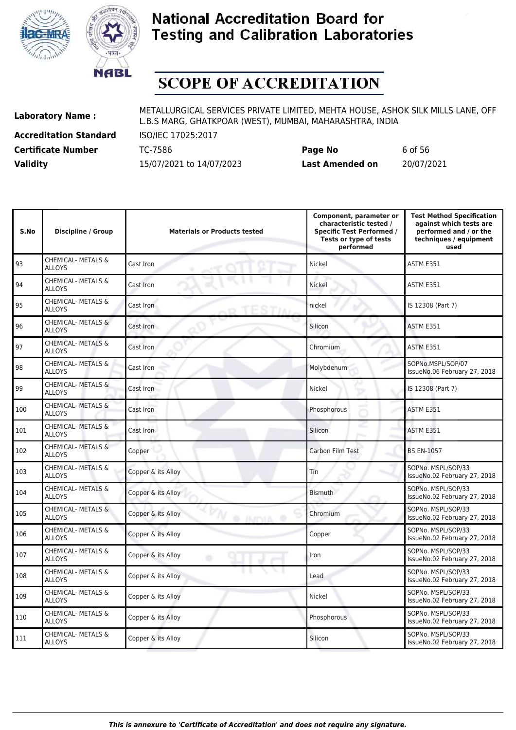



# **SCOPE OF ACCREDITATION**

**Accreditation Standard** ISO/IEC 17025:2017 **Certificate Number** TC-7586 **Page No** 6 of 56

| <b>Validity</b> | 15/07/2021 to 14/07/2023 | <b>Last Amended on</b> | 20/07/2021 |
|-----------------|--------------------------|------------------------|------------|
|                 |                          |                        |            |
|                 |                          |                        |            |
|                 |                          |                        |            |

| S.No | <b>Discipline / Group</b>                      | <b>Materials or Products tested</b>  | Component, parameter or<br>characteristic tested /<br><b>Specific Test Performed /</b><br>Tests or type of tests<br>performed | <b>Test Method Specification</b><br>against which tests are<br>performed and / or the<br>techniques / equipment<br>used |
|------|------------------------------------------------|--------------------------------------|-------------------------------------------------------------------------------------------------------------------------------|-------------------------------------------------------------------------------------------------------------------------|
| 93   | <b>CHEMICAL- METALS &amp;</b><br><b>ALLOYS</b> | Cast Iron                            | Nickel                                                                                                                        | ASTM E351                                                                                                               |
| 94   | CHEMICAL- METALS &<br><b>ALLOYS</b>            | Cast Iron                            | Nickel                                                                                                                        | ASTM E351                                                                                                               |
| 95   | CHEMICAL- METALS &<br><b>ALLOYS</b>            | Cast Iron                            | nickel                                                                                                                        | IS 12308 (Part 7)                                                                                                       |
| 96   | <b>CHEMICAL- METALS &amp;</b><br><b>ALLOYS</b> | Cast Iron                            | Silicon                                                                                                                       | ASTM E351                                                                                                               |
| 97   | CHEMICAL- METALS &<br><b>ALLOYS</b>            | Cast Iron                            | Chromium                                                                                                                      | ASTM E351                                                                                                               |
| 98   | CHEMICAL- METALS &<br><b>ALLOYS</b>            | Cast Iron                            | Molybdenum                                                                                                                    | SOPNo.MSPL/SOP/07<br>IssueNo.06 February 27, 2018                                                                       |
| 99   | CHEMICAL- METALS &<br><b>ALLOYS</b>            | Cast Iron                            | Nickel                                                                                                                        | IS 12308 (Part 7)                                                                                                       |
| 100  | CHEMICAL- METALS &<br><b>ALLOYS</b>            | Cast Iron                            | Phosphorous                                                                                                                   | ASTM E351                                                                                                               |
| 101  | <b>CHEMICAL- METALS &amp;</b><br><b>ALLOYS</b> | Cast Iron                            | Silicon                                                                                                                       | ASTM E351                                                                                                               |
| 102  | CHEMICAL- METALS &<br><b>ALLOYS</b>            | Copper                               | Carbon Film Test                                                                                                              | <b>BS EN-1057</b>                                                                                                       |
| 103  | CHEMICAL- METALS &<br><b>ALLOYS</b>            | Copper & its Alloy                   | Tin                                                                                                                           | SOPNo. MSPL/SOP/33<br>IssueNo.02 February 27, 2018                                                                      |
| 104  | <b>CHEMICAL- METALS &amp;</b><br><b>ALLOYS</b> | Copper & its Alloy                   | <b>Bismuth</b>                                                                                                                | SOPNo. MSPL/SOP/33<br>IssueNo.02 February 27, 2018                                                                      |
| 105  | CHEMICAL- METALS &<br><b>ALLOYS</b>            | Copper & its Alloy<br><b>O INDIA</b> | Chromium                                                                                                                      | SOPNo. MSPL/SOP/33<br>IssueNo.02 February 27, 2018                                                                      |
| 106  | <b>CHEMICAL- METALS &amp;</b><br><b>ALLOYS</b> | Copper & its Alloy                   | Copper                                                                                                                        | SOPNo. MSPL/SOP/33<br>IssueNo.02 February 27, 2018                                                                      |
| 107  | CHEMICAL- METALS &<br><b>ALLOYS</b>            | Copper & its Alloy                   | Iron                                                                                                                          | SOPNo. MSPL/SOP/33<br>IssueNo.02 February 27, 2018                                                                      |
| 108  | CHEMICAL- METALS &<br><b>ALLOYS</b>            | Copper & its Alloy                   | Lead                                                                                                                          | SOPNo. MSPL/SOP/33<br>IssueNo.02 February 27, 2018                                                                      |
| 109  | CHEMICAL- METALS &<br><b>ALLOYS</b>            | Copper & its Alloy                   | Nickel                                                                                                                        | SOPNo. MSPL/SOP/33<br>IssueNo.02 February 27, 2018                                                                      |
| 110  | <b>CHEMICAL- METALS &amp;</b><br><b>ALLOYS</b> | Copper & its Alloy                   | Phosphorous                                                                                                                   | SOPNo. MSPL/SOP/33<br>IssueNo.02 February 27, 2018                                                                      |
| 111  | CHEMICAL- METALS &<br><b>ALLOYS</b>            | Copper & its Alloy                   | Silicon                                                                                                                       | SOPNo. MSPL/SOP/33<br>IssueNo.02 February 27, 2018                                                                      |
|      |                                                |                                      |                                                                                                                               |                                                                                                                         |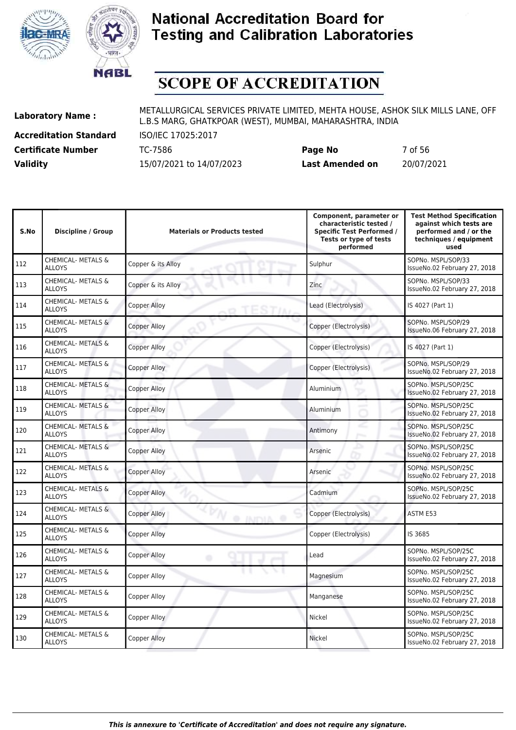



# **SCOPE OF ACCREDITATION**

**Accreditation Standard** ISO/IEC 17025:2017

**Laboratory Name :** METALLURGICAL SERVICES PRIVATE LIMITED, MEHTA HOUSE, ASHOK SILK MILLS LANE, OFF L.B.S MARG, GHATKPOAR (WEST), MUMBAI, MAHARASHTRA, INDIA

**Certificate Number** TC-7586 **Page No** 7 of 56 **Validity** 15/07/2021 to 14/07/2023 **Last Amended on** 20/07/2021

| S.No | Discipline / Group                             | <b>Materials or Products tested</b>   | Component, parameter or<br>characteristic tested /<br><b>Specific Test Performed /</b><br>Tests or type of tests<br>performed | <b>Test Method Specification</b><br>against which tests are<br>performed and / or the<br>techniques / equipment<br>used |
|------|------------------------------------------------|---------------------------------------|-------------------------------------------------------------------------------------------------------------------------------|-------------------------------------------------------------------------------------------------------------------------|
| 112  | <b>CHEMICAL- METALS &amp;</b><br><b>ALLOYS</b> | Copper & its Alloy                    | Sulphur                                                                                                                       | SOPNo. MSPL/SOP/33<br>IssueNo.02 February 27, 2018                                                                      |
| 113  | CHEMICAL- METALS &<br><b>ALLOYS</b>            | Copper & its Alloy                    | Zinc                                                                                                                          | SOPNo. MSPL/SOP/33<br>IssueNo.02 February 27, 2018                                                                      |
| 114  | CHEMICAL- METALS &<br><b>ALLOYS</b>            | <b>Copper Alloy</b>                   | Lead (Electrolysis)                                                                                                           | IS 4027 (Part 1)                                                                                                        |
| 115  | <b>CHEMICAL- METALS &amp;</b><br><b>ALLOYS</b> | <b>Copper Alloy</b>                   | Copper (Electrolysis)                                                                                                         | SOPNo. MSPL/SOP/29<br>IssueNo.06 February 27, 2018                                                                      |
| 116  | <b>CHEMICAL- METALS &amp;</b><br><b>ALLOYS</b> | <b>Copper Alloy</b>                   | Copper (Electrolysis)                                                                                                         | IS 4027 (Part 1)                                                                                                        |
| 117  | CHEMICAL- METALS &<br><b>ALLOYS</b>            | <b>Copper Alloy</b>                   | Copper (Electrolysis)                                                                                                         | SOPNo. MSPL/SOP/29<br>IssueNo.02 February 27, 2018                                                                      |
| 118  | <b>CHEMICAL- METALS &amp;</b><br><b>ALLOYS</b> | <b>Copper Alloy</b>                   | Aluminium                                                                                                                     | SOPNo. MSPL/SOP/25C<br>IssueNo.02 February 27, 2018                                                                     |
| 119  | CHEMICAL- METALS &<br><b>ALLOYS</b>            | <b>Copper Alloy</b>                   | Aluminium                                                                                                                     | SOPNo. MSPL/SOP/25C<br>IssueNo.02 February 27, 2018                                                                     |
| 120  | CHEMICAL- METALS &<br><b>ALLOYS</b>            | <b>Copper Alloy</b>                   | Antimony                                                                                                                      | SOPNo. MSPL/SOP/25C<br>IssueNo.02 February 27, 2018                                                                     |
| 121  | <b>CHEMICAL- METALS &amp;</b><br><b>ALLOYS</b> | <b>Copper Alloy</b>                   | Arsenic                                                                                                                       | SOPNo. MSPL/SOP/25C<br>IssueNo.02 February 27, 2018                                                                     |
| 122  | CHEMICAL- METALS &<br><b>ALLOYS</b>            | <b>Copper Alloy</b>                   | Arsenic                                                                                                                       | SOPNo. MSPL/SOP/25C<br>IssueNo.02 February 27, 2018                                                                     |
| 123  | <b>CHEMICAL- METALS &amp;</b><br><b>ALLOYS</b> | <b>Copper Alloy</b>                   | Cadmium                                                                                                                       | SOPNo. MSPL/SOP/25C<br>IssueNo.02 February 27, 2018                                                                     |
| 124  | <b>CHEMICAL- METALS &amp;</b><br><b>ALLOYS</b> | <b>Copper Alloy</b><br><b>O</b> INDNA | Copper (Electrolysis)                                                                                                         | ASTM E53                                                                                                                |
| 125  | CHEMICAL- METALS &<br><b>ALLOYS</b>            | <b>Copper Alloy</b>                   | Copper (Electrolysis)                                                                                                         | IS 3685                                                                                                                 |
| 126  | CHEMICAL- METALS &<br><b>ALLOYS</b>            | <b>Copper Alloy</b><br>۰              | Lead                                                                                                                          | SOPNo. MSPL/SOP/25C<br>IssueNo.02 February 27, 2018                                                                     |
| 127  | <b>CHEMICAL- METALS &amp;</b><br><b>ALLOYS</b> | Copper Alloy                          | Magnesium                                                                                                                     | SOPNo. MSPL/SOP/25C<br>IssueNo.02 February 27, 2018                                                                     |
| 128  | CHEMICAL- METALS &<br><b>ALLOYS</b>            | <b>Copper Alloy</b>                   | Manganese                                                                                                                     | SOPNo. MSPL/SOP/25C<br>IssueNo.02 February 27, 2018                                                                     |
| 129  | CHEMICAL- METALS &<br><b>ALLOYS</b>            | <b>Copper Alloy</b>                   | Nickel                                                                                                                        | SOPNo. MSPL/SOP/25C<br>IssueNo.02 February 27, 2018                                                                     |
| 130  | CHEMICAL- METALS &<br><b>ALLOYS</b>            | <b>Copper Alloy</b>                   | Nickel                                                                                                                        | SOPNo. MSPL/SOP/25C<br>IssueNo.02 February 27, 2018                                                                     |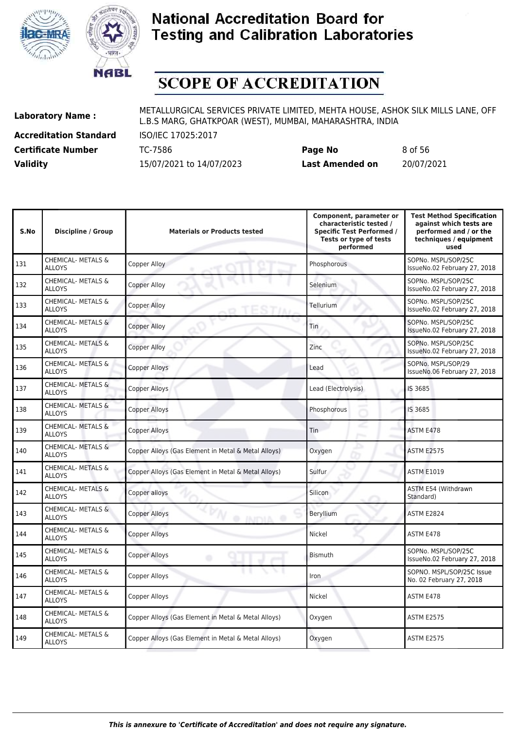



# **SCOPE OF ACCREDITATION**

**Accreditation Standard** ISO/IEC 17025:2017

**Laboratory Name :** METALLURGICAL SERVICES PRIVATE LIMITED, MEHTA HOUSE, ASHOK SILK MILLS LANE, OFF L.B.S MARG, GHATKPOAR (WEST), MUMBAI, MAHARASHTRA, INDIA

**Certificate Number** TC-7586 **Page No** 8 of 56 **Validity** 15/07/2021 to 14/07/2023 **Last Amended on** 20/07/2021

| S.No | <b>Discipline / Group</b>                      | <b>Materials or Products tested</b>                 | Component, parameter or<br>characteristic tested /<br><b>Specific Test Performed /</b><br>Tests or type of tests<br>performed | <b>Test Method Specification</b><br>against which tests are<br>performed and / or the<br>techniques / equipment<br>used |
|------|------------------------------------------------|-----------------------------------------------------|-------------------------------------------------------------------------------------------------------------------------------|-------------------------------------------------------------------------------------------------------------------------|
| 131  | <b>CHEMICAL- METALS &amp;</b><br><b>ALLOYS</b> | Copper Alloy                                        | Phosphorous                                                                                                                   | SOPNo. MSPL/SOP/25C<br>IssueNo.02 February 27, 2018                                                                     |
| 132  | CHEMICAL- METALS &<br><b>ALLOYS</b>            | <b>Copper Alloy</b>                                 | Selenium                                                                                                                      | SOPNo. MSPL/SOP/25C<br>IssueNo.02 February 27, 2018                                                                     |
| 133  | CHEMICAL- METALS &<br><b>ALLOYS</b>            | <b>Copper Alloy</b>                                 | Tellurium                                                                                                                     | SOPNo. MSPL/SOP/25C<br>IssueNo.02 February 27, 2018                                                                     |
| 134  | CHEMICAL- METALS &<br><b>ALLOYS</b>            | <b>Copper Alloy</b>                                 | Tin                                                                                                                           | SOPNo. MSPL/SOP/25C<br>IssueNo.02 February 27, 2018                                                                     |
| 135  | CHEMICAL- METALS &<br><b>ALLOYS</b>            | <b>Copper Alloy</b>                                 | Zinc                                                                                                                          | SOPNo. MSPL/SOP/25C<br>IssueNo.02 February 27, 2018                                                                     |
| 136  | CHEMICAL- METALS &<br><b>ALLOYS</b>            | <b>Copper Alloys</b>                                | Lead                                                                                                                          | SOPNo. MSPL/SOP/29<br>IssueNo.06 February 27, 2018                                                                      |
| 137  | <b>CHEMICAL- METALS &amp;</b><br><b>ALLOYS</b> | <b>Copper Alloys</b>                                | Lead (Electrolysis)                                                                                                           | IS 3685                                                                                                                 |
| 138  | CHEMICAL- METALS &<br><b>ALLOYS</b>            | <b>Copper Alloys</b>                                | Phosphorous                                                                                                                   | IS 3685                                                                                                                 |
| 139  | CHEMICAL- METALS &<br><b>ALLOYS</b>            | <b>Copper Alloys</b>                                | Tin                                                                                                                           | <b>ASTM E478</b>                                                                                                        |
| 140  | CHEMICAL- METALS &<br><b>ALLOYS</b>            | Copper Alloys (Gas Element in Metal & Metal Alloys) | Oxygen                                                                                                                        | <b>ASTM E2575</b>                                                                                                       |
| 141  | CHEMICAL- METALS &<br><b>ALLOYS</b>            | Copper Alloys (Gas Element in Metal & Metal Alloys) | <b>Sulfur</b>                                                                                                                 | <b>ASTM E1019</b>                                                                                                       |
| 142  | CHEMICAL- METALS &<br><b>ALLOYS</b>            | Copper alloys                                       | Silicon                                                                                                                       | ASTM E54 (Withdrawn<br>Standard)                                                                                        |
| 143  | CHEMICAL- METALS &<br><b>ALLOYS</b>            | <b>Copper Alloys</b><br><b>O INDIA</b>              | Beryllium                                                                                                                     | <b>ASTM E2824</b>                                                                                                       |
| 144  | <b>CHEMICAL- METALS &amp;</b><br><b>ALLOYS</b> | <b>Copper Alloys</b>                                | Nickel                                                                                                                        | ASTM E478                                                                                                               |
| 145  | CHEMICAL- METALS &<br><b>ALLOYS</b>            | <b>Copper Alloys</b><br>۰                           | <b>Bismuth</b>                                                                                                                | SOPNo. MSPL/SOP/25C<br>IssueNo.02 February 27, 2018                                                                     |
| 146  | CHEMICAL- METALS &<br><b>ALLOYS</b>            | <b>Copper Alloys</b>                                | <b>Iron</b>                                                                                                                   | SOPNO. MSPL/SOP/25C Issue<br>No. 02 February 27, 2018                                                                   |
| 147  | CHEMICAL- METALS &<br><b>ALLOYS</b>            | Copper Alloys                                       | Nickel                                                                                                                        | ASTM E478                                                                                                               |
| 148  | CHEMICAL- METALS &<br><b>ALLOYS</b>            | Copper Alloys (Gas Element in Metal & Metal Alloys) | Oxygen                                                                                                                        | <b>ASTM E2575</b>                                                                                                       |
| 149  | CHEMICAL- METALS &<br><b>ALLOYS</b>            | Copper Alloys (Gas Element in Metal & Metal Alloys) | Oxygen                                                                                                                        | <b>ASTM E2575</b>                                                                                                       |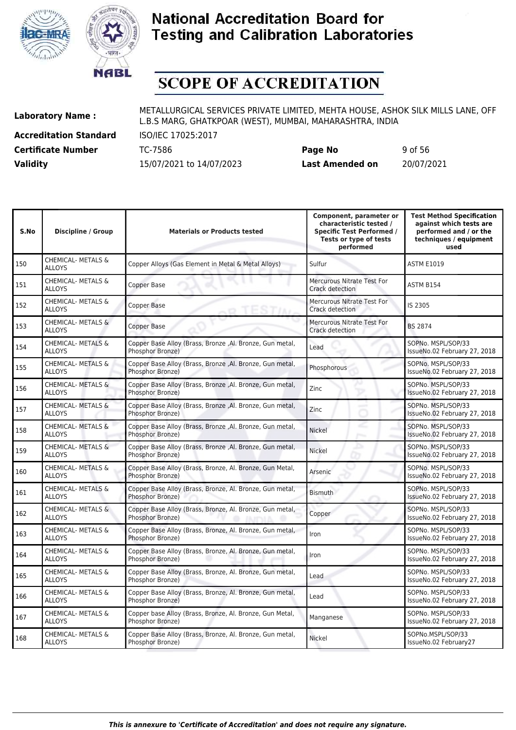



# **SCOPE OF ACCREDITATION**

**Accreditation Standard** ISO/IEC 17025:2017

**Laboratory Name :** METALLURGICAL SERVICES PRIVATE LIMITED, MEHTA HOUSE, ASHOK SILK MILLS LANE, OFF L.B.S MARG, GHATKPOAR (WEST), MUMBAI, MAHARASHTRA, INDIA

**Certificate Number** TC-7586 **Page No** 9 of 56 **Validity** 15/07/2021 to 14/07/2023 **Last Amended on** 20/07/2021

| S.No | <b>Discipline / Group</b>                      | <b>Materials or Products tested</b>                                                 | Component, parameter or<br>characteristic tested /<br><b>Specific Test Performed /</b><br>Tests or type of tests<br>performed | <b>Test Method Specification</b><br>against which tests are<br>performed and / or the<br>techniques / equipment<br>used |
|------|------------------------------------------------|-------------------------------------------------------------------------------------|-------------------------------------------------------------------------------------------------------------------------------|-------------------------------------------------------------------------------------------------------------------------|
| 150  | CHEMICAL- METALS &<br><b>ALLOYS</b>            | Copper Alloys (Gas Element in Metal & Metal Alloys)                                 | Sulfur                                                                                                                        | <b>ASTM E1019</b>                                                                                                       |
| 151  | <b>CHEMICAL- METALS &amp;</b><br><b>ALLOYS</b> | Copper Base                                                                         | <b>Mercurous Nitrate Test For</b><br>Crack detection                                                                          | ASTM B154                                                                                                               |
| 152  | CHEMICAL- METALS &<br><b>ALLOYS</b>            | Copper Base                                                                         | <b>Mercurous Nitrate Test For</b><br>Crack detection                                                                          | IS 2305                                                                                                                 |
| 153  | CHEMICAL- METALS &<br><b>ALLOYS</b>            | Copper Base                                                                         | Mercurous Nitrate Test For<br>Crack detection                                                                                 | <b>BS 2874</b>                                                                                                          |
| 154  | CHEMICAL- METALS &<br><b>ALLOYS</b>            | Copper Base Alloy (Brass, Bronze, Al. Bronze, Gun metal,<br>Phosphor Bronze)        | Lead                                                                                                                          | SOPNo. MSPL/SOP/33<br>IssueNo.02 February 27, 2018                                                                      |
| 155  | CHEMICAL- METALS &<br><b>ALLOYS</b>            | Copper Base Alloy (Brass, Bronze, Al. Bronze, Gun metal,<br>Phosphor Bronze)        | Phosphorous                                                                                                                   | SOPNo. MSPL/SOP/33<br>IssueNo.02 February 27, 2018                                                                      |
| 156  | CHEMICAL- METALS &<br><b>ALLOYS</b>            | Copper Base Alloy (Brass, Bronze, Al. Bronze, Gun metal,<br>Phosphor Bronze)        | Zinc                                                                                                                          | SOPNo. MSPL/SOP/33<br>IssueNo.02 February 27, 2018                                                                      |
| 157  | <b>CHEMICAL- METALS &amp;</b><br><b>ALLOYS</b> | Copper Base Alloy (Brass, Bronze, Al. Bronze, Gun metal,<br>Phosphor Bronze)        | Zinc                                                                                                                          | SOPNo. MSPL/SOP/33<br>IssueNo.02 February 27, 2018                                                                      |
| 158  | CHEMICAL- METALS &<br><b>ALLOYS</b>            | Copper Base Alloy (Brass, Bronze, Al. Bronze, Gun metal,<br>Phosphor Bronze)        | Nickel<br>Posts.                                                                                                              | SOPNo. MSPL/SOP/33<br>IssueNo.02 February 27, 2018                                                                      |
| 159  | CHEMICAL- METALS &<br><b>ALLOYS</b>            | Copper Base Alloy (Brass, Bronze, Al. Bronze, Gun metal,<br>Phosphor Bronze)        | ▵<br>Nickel                                                                                                                   | SOPNo. MSPL/SOP/33<br>IssueNo.02 February 27, 2018                                                                      |
| 160  | CHEMICAL- METALS &<br><b>ALLOYS</b>            | Copper Base Alloy (Brass, Bronze, Al. Bronze, Gun Metal,<br>Phosphor Bronze)        | Arsenic                                                                                                                       | SOPNo. MSPL/SOP/33<br>IssueNo.02 February 27, 2018                                                                      |
| 161  | <b>CHEMICAL- METALS &amp;</b><br><b>ALLOYS</b> | Copper Base Alloy (Brass, Bronze, Al. Bronze, Gun metal,<br>Phosphor Bronze)        | <b>Bismuth</b>                                                                                                                | SOPNo. MSPL/SOP/33<br>IssueNo.02 February 27, 2018                                                                      |
| 162  | CHEMICAL- METALS &<br><b>ALLOYS</b>            | Copper Base Alloy (Brass, Bronze, Al. Bronze, Gun metal,<br><b>Phosphor Bronze)</b> | Copper                                                                                                                        | SOPNo. MSPL/SOP/33<br>IssueNo.02 February 27, 2018                                                                      |
| 163  | CHEMICAL- METALS &<br><b>ALLOYS</b>            | Copper Base Alloy (Brass, Bronze, Al. Bronze, Gun metal,<br>Phosphor Bronze)        | Iron                                                                                                                          | SOPNo. MSPL/SOP/33<br>IssueNo.02 February 27, 2018                                                                      |
| 164  | CHEMICAL- METALS &<br><b>ALLOYS</b>            | Copper Base Alloy (Brass, Bronze, Al. Bronze, Gun metal,<br>Phosphor Bronze)        | Iron                                                                                                                          | SOPNo. MSPL/SOP/33<br>IssueNo.02 February 27, 2018                                                                      |
| 165  | <b>CHEMICAL- METALS &amp;</b><br><b>ALLOYS</b> | Copper Base Alloy (Brass, Bronze, Al. Bronze, Gun metal,<br>Phosphor Bronze)        | Lead                                                                                                                          | SOPNo. MSPL/SOP/33<br>IssueNo.02 February 27, 2018                                                                      |
| 166  | CHEMICAL- METALS &<br><b>ALLOYS</b>            | Copper Base Alloy (Brass, Bronze, Al. Bronze, Gun metal,<br>Phosphor Bronze)        | Lead                                                                                                                          | SOPNo. MSPL/SOP/33<br>IssueNo.02 February 27, 2018                                                                      |
| 167  | CHEMICAL- METALS &<br><b>ALLOYS</b>            | Copper base Alloy (Brass, Bronze, Al. Bronze, Gun Metal,<br>Phosphor Bronze)        | Manganese                                                                                                                     | SOPNo. MSPL/SOP/33<br>IssueNo.02 February 27, 2018                                                                      |
| 168  | CHEMICAL- METALS &<br><b>ALLOYS</b>            | Copper Base Alloy (Brass, Bronze, Al. Bronze, Gun metal,<br>Phosphor Bronze)        | Nickel                                                                                                                        | SOPNo.MSPL/SOP/33<br>IssueNo.02 February27                                                                              |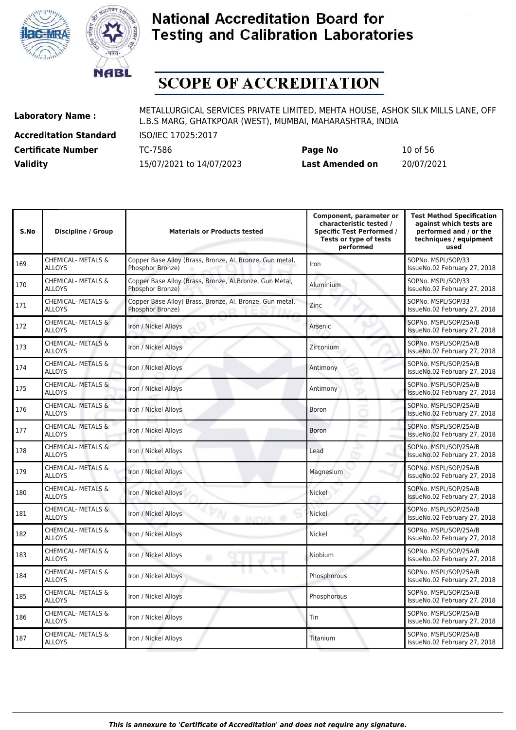



# **SCOPE OF ACCREDITATION**

**Accreditation Standard** ISO/IEC 17025:2017

| <b>Certificate Number</b> | TC-7586                  | Page No         | 10 of 56   |
|---------------------------|--------------------------|-----------------|------------|
| <b>Validity</b>           | 15/07/2021 to 14/07/2023 | Last Amended on | 20/07/2021 |

| S.No | Discipline / Group                             | <b>Materials or Products tested</b>                                          | Component, parameter or<br>characteristic tested /<br><b>Specific Test Performed /</b><br>Tests or type of tests<br>performed | <b>Test Method Specification</b><br>against which tests are<br>performed and / or the<br>techniques / equipment<br>used |
|------|------------------------------------------------|------------------------------------------------------------------------------|-------------------------------------------------------------------------------------------------------------------------------|-------------------------------------------------------------------------------------------------------------------------|
| 169  | <b>CHEMICAL- METALS &amp;</b><br><b>ALLOYS</b> | Copper Base Alloy (Brass, Bronze, Al. Bronze, Gun metal,<br>Phosphor Bronze) | Iron                                                                                                                          | SOPNo. MSPL/SOP/33<br>IssueNo.02 February 27, 2018                                                                      |
| 170  | <b>CHEMICAL- METALS &amp;</b><br><b>ALLOYS</b> | Copper Base Alloy (Brass, Bronze, Al. Bronze, Gun Metal,<br>Phosphor Bronze) | <b>Aluminium</b>                                                                                                              | SOPNo. MSPL/SOP/33<br>IssueNo.02 February 27, 2018                                                                      |
| 171  | CHEMICAL- METALS &<br><b>ALLOYS</b>            | Copper Base Alloy) Brass, Bronze, Al. Bronze, Gun metal,<br>Phosphor Bronze) | Zinc                                                                                                                          | SOPNo. MSPL/SOP/33<br>IssueNo.02 February 27, 2018                                                                      |
| 172  | <b>CHEMICAL- METALS &amp;</b><br><b>ALLOYS</b> | Iron / Nickel Alloys                                                         | Arsenic                                                                                                                       | SOPNo. MSPL/SOP/25A/B<br>IssueNo.02 February 27, 2018                                                                   |
| 173  | <b>CHEMICAL- METALS &amp;</b><br><b>ALLOYS</b> | Iron / Nickel Alloys                                                         | Zirconium                                                                                                                     | SOPNo. MSPL/SOP/25A/B<br>IssueNo.02 February 27, 2018                                                                   |
| 174  | <b>CHEMICAL- METALS &amp;</b><br><b>ALLOYS</b> | Iron / Nickel Alloys                                                         | Antimony                                                                                                                      | SOPNo. MSPL/SOP/25A/B<br>IssueNo.02 February 27, 2018                                                                   |
| 175  | <b>CHEMICAL- METALS &amp;</b><br><b>ALLOYS</b> | Iron / Nickel Alloys                                                         | Antimony                                                                                                                      | SOPNo. MSPL/SOP/25A/B<br>IssueNo.02 February 27, 2018                                                                   |
| 176  | CHEMICAL- METALS &<br><b>ALLOYS</b>            | Iron / Nickel Alloys                                                         | Boron                                                                                                                         | SOPNo. MSPL/SOP/25A/B<br>IssueNo.02 February 27, 2018                                                                   |
| 177  | CHEMICAL- METALS &<br><b>ALLOYS</b>            | Iron / Nickel Alloys                                                         | Boron<br><b>Press</b>                                                                                                         | SOPNo. MSPL/SOP/25A/B<br>IssueNo.02 February 27, 2018                                                                   |
| 178  | CHEMICAL- METALS &<br><b>ALLOYS</b>            | Iron / Nickel Alloys                                                         | Lead                                                                                                                          | SOPNo. MSPL/SOP/25A/B<br>IssueNo.02 February 27, 2018                                                                   |
| 179  | CHEMICAL- METALS &<br><b>ALLOYS</b>            | Iron / Nickel Alloys                                                         | Magnesium                                                                                                                     | SOPNo. MSPL/SOP/25A/B<br>IssueNo.02 February 27, 2018                                                                   |
| 180  | CHEMICAL- METALS &<br><b>ALLOYS</b>            | Iron / Nickel Alloys                                                         | Nickel                                                                                                                        | SOPNo. MSPL/SOP/25A/B<br>IssueNo.02 February 27, 2018                                                                   |
| 181  | CHEMICAL- METALS &<br><b>ALLOYS</b>            | Iron / Nickel Alloys<br>@ INITYLA<br>۰                                       | <b>Nickel</b>                                                                                                                 | SOPNo. MSPL/SOP/25A/B<br>IssueNo.02 February 27, 2018                                                                   |
| 182  | CHEMICAL- METALS &<br><b>ALLOYS</b>            | Iron / Nickel Alloys                                                         | Nickel                                                                                                                        | SOPNo. MSPL/SOP/25A/B<br>IssueNo.02 February 27, 2018                                                                   |
| 183  | CHEMICAL- METALS &<br><b>ALLOYS</b>            | Iron / Nickel Alloys<br>۰                                                    | Niobium                                                                                                                       | SOPNo. MSPL/SOP/25A/B<br>IssueNo.02 February 27, 2018                                                                   |
| 184  | CHEMICAL- METALS &<br><b>ALLOYS</b>            | Iron / Nickel Alloys                                                         | Phosphorous                                                                                                                   | SOPNo. MSPL/SOP/25A/B<br>IssueNo.02 February 27, 2018                                                                   |
| 185  | CHEMICAL- METALS &<br><b>ALLOYS</b>            | Iron / Nickel Alloys                                                         | Phosphorous                                                                                                                   | SOPNo. MSPL/SOP/25A/B<br>IssueNo.02 February 27, 2018                                                                   |
| 186  | CHEMICAL- METALS &<br><b>ALLOYS</b>            | Iron / Nickel Alloys                                                         | Tin                                                                                                                           | SOPNo. MSPL/SOP/25A/B<br>IssueNo.02 February 27, 2018                                                                   |
| 187  | <b>CHEMICAL- METALS &amp;</b><br><b>ALLOYS</b> | Iron / Nickel Alloys                                                         | Titanium                                                                                                                      | SOPNo. MSPL/SOP/25A/B<br>IssueNo.02 February 27, 2018                                                                   |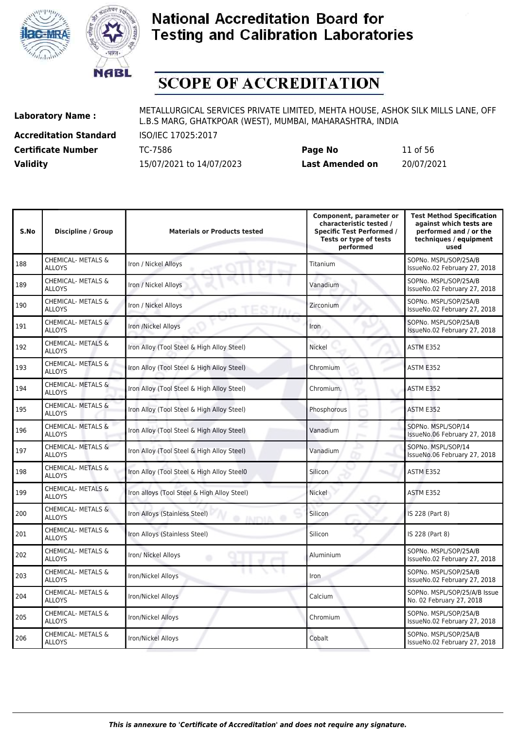



# **SCOPE OF ACCREDITATION**

**Accreditation Standard** ISO/IEC 17025:2017

**Laboratory Name :** METALLURGICAL SERVICES PRIVATE LIMITED, MEHTA HOUSE, ASHOK SILK MILLS LANE, OFF L.B.S MARG, GHATKPOAR (WEST), MUMBAI, MAHARASHTRA, INDIA

**Certificate Number** TC-7586 **Page No** 11 of 56 **Validity** 15/07/2021 to 14/07/2023 **Last Amended on** 20/07/2021

| S.No | <b>Discipline / Group</b>                      | <b>Materials or Products tested</b>               | Component, parameter or<br>characteristic tested /<br><b>Specific Test Performed /</b><br>Tests or type of tests<br>performed | <b>Test Method Specification</b><br>against which tests are<br>performed and / or the<br>techniques / equipment<br>used |
|------|------------------------------------------------|---------------------------------------------------|-------------------------------------------------------------------------------------------------------------------------------|-------------------------------------------------------------------------------------------------------------------------|
| 188  | <b>CHEMICAL- METALS &amp;</b><br><b>ALLOYS</b> | Iron / Nickel Alloys                              | Titanium                                                                                                                      | SOPNo. MSPL/SOP/25A/B<br>IssueNo.02 February 27, 2018                                                                   |
| 189  | <b>CHEMICAL- METALS &amp;</b><br><b>ALLOYS</b> | Iron / Nickel Alloys                              | Vanadium                                                                                                                      | SOPNo. MSPL/SOP/25A/B<br>IssueNo.02 February 27, 2018                                                                   |
| 190  | <b>CHEMICAL- METALS &amp;</b><br><b>ALLOYS</b> | Iron / Nickel Alloys                              | Zirconium                                                                                                                     | SOPNo. MSPL/SOP/25A/B<br>IssueNo.02 February 27, 2018                                                                   |
| 191  | <b>CHEMICAL- METALS &amp;</b><br><b>ALLOYS</b> | Iron /Nickel Alloys                               | Iron                                                                                                                          | SOPNo. MSPL/SOP/25A/B<br>IssueNo.02 February 27, 2018                                                                   |
| 192  | CHEMICAL- METALS &<br><b>ALLOYS</b>            | Iron Alloy (Tool Steel & High Alloy Steel)        | Nickel                                                                                                                        | ASTM E352                                                                                                               |
| 193  | <b>CHEMICAL- METALS &amp;</b><br><b>ALLOYS</b> | Iron Alloy (Tool Steel & High Alloy Steel)        | Chromium                                                                                                                      | ASTM E352                                                                                                               |
| 194  | <b>CHEMICAL- METALS &amp;</b><br><b>ALLOYS</b> | Iron Alloy (Tool Steel & High Alloy Steel)        | Chromium.                                                                                                                     | ASTM E352                                                                                                               |
| 195  | <b>CHEMICAL- METALS &amp;</b><br><b>ALLOYS</b> | Iron Alloy (Tool Steel & High Alloy Steel)        | Phosphorous                                                                                                                   | ASTM E352                                                                                                               |
| 196  | <b>CHEMICAL- METALS &amp;</b><br><b>ALLOYS</b> | Iron Alloy (Tool Steel & High Alloy Steel)        | Vanadium                                                                                                                      | SOPNo. MSPL/SOP/14<br>IssueNo.06 February 27, 2018                                                                      |
| 197  | CHEMICAL- METALS &<br><b>ALLOYS</b>            | Iron Alloy (Tool Steel & High Alloy Steel)        | Vanadium                                                                                                                      | SOPNo. MSPL/SOP/14<br>IssueNo.06 February 27, 2018                                                                      |
| 198  | <b>CHEMICAL- METALS &amp;</b><br><b>ALLOYS</b> | Iron Alloy (Tool Steel & High Alloy Steel0        | Silicon                                                                                                                       | ASTM E352                                                                                                               |
| 199  | <b>CHEMICAL- METALS &amp;</b><br><b>ALLOYS</b> | Iron alloys (Tool Steel & High Alloy Steel)       | Nickel                                                                                                                        | ASTM E352                                                                                                               |
| 200  | <b>CHEMICAL- METALS &amp;</b><br><b>ALLOYS</b> | Iron Alloys (Stainless Steel)<br><b>O INDIA O</b> | Silicon                                                                                                                       | IS 228 (Part 8)                                                                                                         |
| 201  | <b>CHEMICAL- METALS &amp;</b><br><b>ALLOYS</b> | Iron Alloys (Stainless Steel)                     | Silicon                                                                                                                       | IS 228 (Part 8)                                                                                                         |
| 202  | <b>CHEMICAL- METALS &amp;</b><br><b>ALLOYS</b> | Iron/ Nickel Alloys<br>۰                          | Aluminium                                                                                                                     | SOPNo. MSPL/SOP/25A/B<br>IssueNo.02 February 27, 2018                                                                   |
| 203  | CHEMICAL- METALS &<br><b>ALLOYS</b>            | Iron/Nickel Alloys                                | <b>Iron</b>                                                                                                                   | SOPNo. MSPL/SOP/25A/B<br>IssueNo.02 February 27, 2018                                                                   |
| 204  | <b>CHEMICAL- METALS &amp;</b><br><b>ALLOYS</b> | Iron/Nickel Alloys                                | Calcium                                                                                                                       | SOPNo. MSPL/SOP/25/A/B Issue<br>No. 02 February 27, 2018                                                                |
| 205  | <b>CHEMICAL- METALS &amp;</b><br><b>ALLOYS</b> | Iron/Nickel Alloys                                | Chromium                                                                                                                      | SOPNo. MSPL/SOP/25A/B<br>IssueNo.02 February 27, 2018                                                                   |
| 206  | <b>CHEMICAL- METALS &amp;</b><br><b>ALLOYS</b> | Iron/Nickel Alloys                                | Cobalt                                                                                                                        | SOPNo. MSPL/SOP/25A/B<br>IssueNo.02 February 27, 2018                                                                   |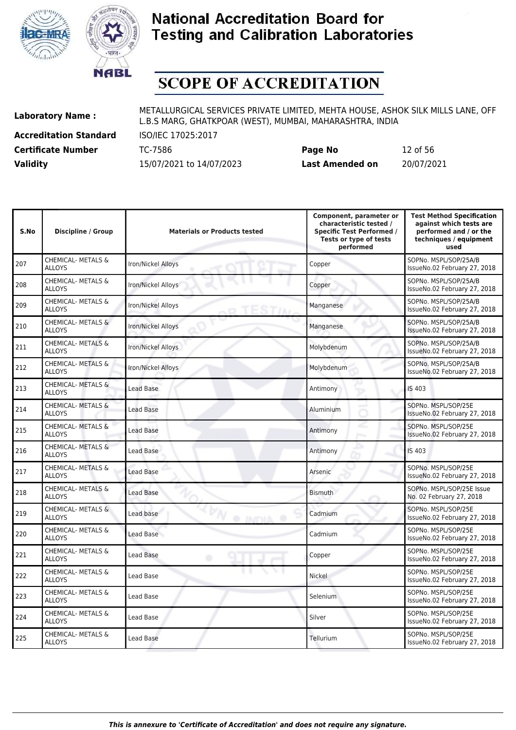



# **SCOPE OF ACCREDITATION**

**Accreditation Standard** ISO/IEC 17025:2017

| <b>Certificate Number</b> | TC-7586                  | Page No                | 12 of 56   |
|---------------------------|--------------------------|------------------------|------------|
| <b>Validity</b>           | 15/07/2021 to 14/07/2023 | <b>Last Amended on</b> | 20/07/2021 |

| S.No | <b>Discipline / Group</b>                      | <b>Materials or Products tested</b> | Component, parameter or<br>characteristic tested /<br><b>Specific Test Performed /</b><br>Tests or type of tests<br>performed | <b>Test Method Specification</b><br>against which tests are<br>performed and / or the<br>techniques / equipment<br>used |
|------|------------------------------------------------|-------------------------------------|-------------------------------------------------------------------------------------------------------------------------------|-------------------------------------------------------------------------------------------------------------------------|
| 207  | <b>CHEMICAL- METALS &amp;</b><br><b>ALLOYS</b> | Iron/Nickel Alloys                  | Copper                                                                                                                        | SOPNo. MSPL/SOP/25A/B<br>IssueNo.02 February 27, 2018                                                                   |
| 208  | <b>CHEMICAL- METALS &amp;</b><br><b>ALLOYS</b> | Iron/Nickel Alloys                  | Copper                                                                                                                        | SOPNo. MSPL/SOP/25A/B<br>IssueNo.02 February 27, 2018                                                                   |
| 209  | CHEMICAL- METALS &<br><b>ALLOYS</b>            | Iron/Nickel Alloys                  | Manganese                                                                                                                     | SOPNo. MSPL/SOP/25A/B<br>IssueNo.02 February 27, 2018                                                                   |
| 210  | CHEMICAL- METALS &<br><b>ALLOYS</b>            | Iron/Nickel Alloys                  | Manganese                                                                                                                     | SOPNo. MSPL/SOP/25A/B<br>IssueNo.02 February 27, 2018                                                                   |
| 211  | CHEMICAL- METALS &<br><b>ALLOYS</b>            | Iron/Nickel Alloys                  | Molybdenum                                                                                                                    | SOPNo. MSPL/SOP/25A/B<br>IssueNo.02 February 27, 2018                                                                   |
| 212  | <b>CHEMICAL- METALS &amp;</b><br><b>ALLOYS</b> | Iron/Nickel Alloys                  | Molybdenum                                                                                                                    | SOPNo. MSPL/SOP/25A/B<br>IssueNo.02 February 27, 2018                                                                   |
| 213  | <b>CHEMICAL- METALS &amp;</b><br><b>ALLOYS</b> | Lead Base                           | Antimony                                                                                                                      | IS 403                                                                                                                  |
| 214  | <b>CHEMICAL- METALS &amp;</b><br><b>ALLOYS</b> | <b>Lead Base</b>                    | Aluminium                                                                                                                     | SOPNo. MSPL/SOP/25E<br>IssueNo.02 February 27, 2018                                                                     |
| 215  | CHEMICAL- METALS &<br><b>ALLOYS</b>            | <b>Lead Base</b>                    | Antimony                                                                                                                      | SOPNo. MSPL/SOP/25E<br>IssueNo.02 February 27, 2018                                                                     |
| 216  | CHEMICAL- METALS &<br><b>ALLOYS</b>            | Lead Base                           | Antimony                                                                                                                      | <b>IS 403</b>                                                                                                           |
| 217  | CHEMICAL- METALS &<br><b>ALLOYS</b>            | <b>Lead Base</b>                    | Arsenic                                                                                                                       | SOPNo. MSPL/SOP/25E<br>IssueNo.02 February 27, 2018                                                                     |
| 218  | <b>CHEMICAL- METALS &amp;</b><br><b>ALLOYS</b> | Lead Base                           | <b>Bismuth</b>                                                                                                                | SOPNo. MSPL/SOP/25E Issue<br>No. 02 February 27, 2018                                                                   |
| 219  | <b>CHEMICAL- METALS &amp;</b><br><b>ALLOYS</b> | Lead base<br><b>O INDIA O</b>       | Cadmium                                                                                                                       | SOPNo. MSPL/SOP/25E<br>IssueNo.02 February 27, 2018                                                                     |
| 220  | <b>CHEMICAL- METALS &amp;</b><br><b>ALLOYS</b> | Lead Base                           | Cadmium                                                                                                                       | SOPNo. MSPL/SOP/25E<br>IssueNo.02 February 27, 2018                                                                     |
| 221  | CHEMICAL- METALS &<br><b>ALLOYS</b>            | Lead Base<br>۰                      | Copper                                                                                                                        | SOPNo. MSPL/SOP/25E<br>IssueNo.02 February 27, 2018                                                                     |
| 222  | CHEMICAL- METALS &<br><b>ALLOYS</b>            | Lead Base                           | Nickel                                                                                                                        | SOPNo. MSPL/SOP/25E<br>IssueNo.02 February 27, 2018                                                                     |
| 223  | <b>CHEMICAL- METALS &amp;</b><br><b>ALLOYS</b> | Lead Base                           | Selenium                                                                                                                      | SOPNo. MSPL/SOP/25E<br>IssueNo.02 February 27, 2018                                                                     |
| 224  | <b>CHEMICAL- METALS &amp;</b><br><b>ALLOYS</b> | Lead Base                           | Silver                                                                                                                        | SOPNo. MSPL/SOP/25E<br>IssueNo.02 February 27, 2018                                                                     |
| 225  | <b>CHEMICAL- METALS &amp;</b><br><b>ALLOYS</b> | Lead Base                           | Tellurium                                                                                                                     | SOPNo. MSPL/SOP/25E<br>IssueNo.02 February 27, 2018                                                                     |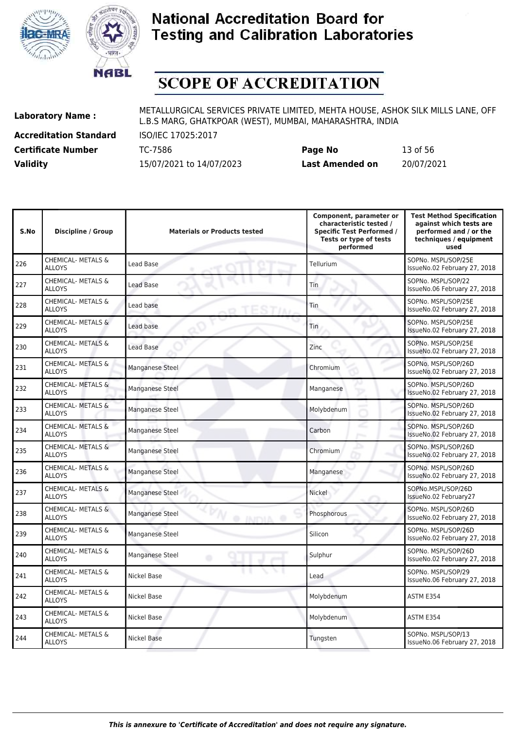



# **SCOPE OF ACCREDITATION**

**Accreditation Standard** ISO/IEC 17025:2017

**Laboratory Name :** METALLURGICAL SERVICES PRIVATE LIMITED, MEHTA HOUSE, ASHOK SILK MILLS LANE, OFF L.B.S MARG, GHATKPOAR (WEST), MUMBAI, MAHARASHTRA, INDIA

**Certificate Number** TC-7586 **Page No** 13 of 56 **Validity** 15/07/2021 to 14/07/2023 **Last Amended on** 20/07/2021

IssueNo.06 February 27, 2018

| S.No | <b>Discipline / Group</b>                      | <b>Materials or Products tested</b> | Component, parameter or<br>characteristic tested /<br><b>Specific Test Performed /</b><br>Tests or type of tests<br>performed | <b>Test Method Specification</b><br>against which tests are<br>performed and / or the<br>techniques / equipment<br>used |
|------|------------------------------------------------|-------------------------------------|-------------------------------------------------------------------------------------------------------------------------------|-------------------------------------------------------------------------------------------------------------------------|
| 226  | CHEMICAL- METALS &<br><b>ALLOYS</b>            | Lead Base                           | Tellurium                                                                                                                     | SOPNo. MSPL/SOP/25E<br>IssueNo.02 February 27, 2018                                                                     |
| 227  | CHEMICAL- METALS &<br><b>ALLOYS</b>            | Lead Base                           | Tin                                                                                                                           | SOPNo. MSPL/SOP/22<br>IssueNo.06 February 27, 2018                                                                      |
| 228  | CHEMICAL- METALS &<br><b>ALLOYS</b>            | Lead base                           | Tin                                                                                                                           | SOPNo. MSPL/SOP/25E<br>IssueNo.02 February 27, 2018                                                                     |
| 229  | <b>CHEMICAL- METALS &amp;</b><br><b>ALLOYS</b> | Lead base                           | Tin                                                                                                                           | SOPNo. MSPL/SOP/25E<br>IssueNo.02 February 27, 2018                                                                     |
| 230  | CHEMICAL- METALS &<br><b>ALLOYS</b>            | <b>Lead Base</b>                    | Zinc                                                                                                                          | SOPNo. MSPL/SOP/25E<br>IssueNo.02 February 27, 2018                                                                     |
| 231  | CHEMICAL- METALS &<br><b>ALLOYS</b>            | Manganese Steel                     | Chromium                                                                                                                      | SOPNo. MSPL/SOP/26D<br>IssueNo.02 February 27, 2018                                                                     |
| 232  | CHEMICAL- METALS &<br><b>ALLOYS</b>            | <b>Manganese Steel</b>              | Manganese                                                                                                                     | SOPNo. MSPL/SOP/26D<br>IssueNo.02 February 27, 2018                                                                     |
| 233  | <b>CHEMICAL- METALS &amp;</b><br><b>ALLOYS</b> | <b>Manganese Steel</b>              | Molybdenum                                                                                                                    | SOPNo. MSPL/SOP/26D<br>IssueNo.02 February 27, 2018                                                                     |
| 234  | CHEMICAL- METALS &<br><b>ALLOYS</b>            | Manganese Steel                     | Carbon                                                                                                                        | SOPNo. MSPL/SOP/26D<br>IssueNo.02 February 27, 2018                                                                     |
| 235  | CHEMICAL- METALS &<br><b>ALLOYS</b>            | Manganese Steel                     | Chromium                                                                                                                      | SOPNo. MSPL/SOP/26D<br>IssueNo.02 February 27, 2018                                                                     |
| 236  | CHEMICAL- METALS &<br><b>ALLOYS</b>            | <b>Manganese Steel</b>              | Manganese                                                                                                                     | SOPNo. MSPL/SOP/26D<br>IssueNo.02 February 27, 2018                                                                     |
| 237  | CHEMICAL- METALS &<br><b>ALLOYS</b>            | Manganese Steel                     | Nickel                                                                                                                        | SOPNo.MSPL/SOP/26D<br>IssueNo.02 February27                                                                             |
| 238  | <b>CHEMICAL- METALS &amp;</b><br><b>ALLOYS</b> | Manganese Steel<br><b>O INDIA O</b> | Phosphorous                                                                                                                   | SOPNo. MSPL/SOP/26D<br>IssueNo.02 February 27, 2018                                                                     |
| 239  | CHEMICAL- METALS &<br><b>ALLOYS</b>            | Manganese Steel                     | Silicon                                                                                                                       | SOPNo. MSPL/SOP/26D<br>IssueNo.02 February 27, 2018                                                                     |
| 240  | CHEMICAL- METALS &<br><b>ALLOYS</b>            | Manganese Steel<br>۵                | Sulphur                                                                                                                       | SOPNo. MSPL/SOP/26D<br>IssueNo.02 February 27, 2018                                                                     |
| 241  | CHEMICAL- METALS &<br><b>ALLOYS</b>            | Nickel Base                         | Lead                                                                                                                          | SOPNo. MSPL/SOP/29<br>IssueNo.06 February 27, 2018                                                                      |
| 242  | CHEMICAL- METALS &<br><b>ALLOYS</b>            | Nickel Base                         | Molybdenum                                                                                                                    | ASTM E354                                                                                                               |
| 243  | CHEMICAL- METALS &<br><b>ALLOYS</b>            | Nickel Base                         | Molybdenum                                                                                                                    | ASTM E354                                                                                                               |
| 244  | CHEMICAL- METALS &<br><b>ALLOYS</b>            | Nickel Base                         | Tungsten                                                                                                                      | SOPNo. MSPL/SOP/13<br>IssueNo.06 February 27, 2018                                                                      |

CHEMICAL-METALS & Nickel Base Nickel Base SOPNo. MSPL/SOP/13<br>ALLOYS IssueNo.06 February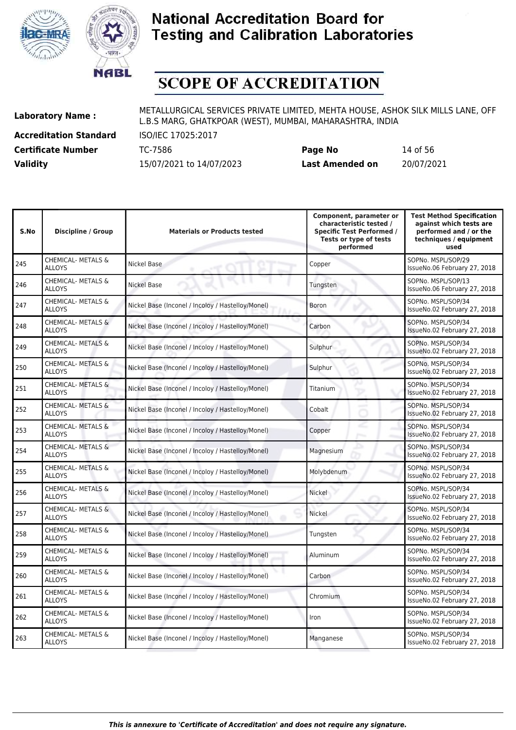



# **SCOPE OF ACCREDITATION**

**Accreditation Standard** ISO/IEC 17025:2017

**Laboratory Name :** METALLURGICAL SERVICES PRIVATE LIMITED, MEHTA HOUSE, ASHOK SILK MILLS LANE, OFF L.B.S MARG, GHATKPOAR (WEST), MUMBAI, MAHARASHTRA, INDIA

**Certificate Number** TC-7586 **Page No** 14 of 56 **Validity** 15/07/2021 to 14/07/2023 **Last Amended on** 20/07/2021

| S.No | <b>Discipline / Group</b>                      | <b>Materials or Products tested</b>               | Component, parameter or<br>characteristic tested /<br><b>Specific Test Performed /</b><br>Tests or type of tests<br>performed | <b>Test Method Specification</b><br>against which tests are<br>performed and / or the<br>techniques / equipment<br>used |
|------|------------------------------------------------|---------------------------------------------------|-------------------------------------------------------------------------------------------------------------------------------|-------------------------------------------------------------------------------------------------------------------------|
| 245  | CHEMICAL- METALS &<br><b>ALLOYS</b>            | Nickel Base                                       | Copper                                                                                                                        | SOPNo. MSPL/SOP/29<br>IssueNo.06 February 27, 2018                                                                      |
| 246  | CHEMICAL- METALS &<br><b>ALLOYS</b>            | Nickel Base                                       | Tungsten                                                                                                                      | SOPNo. MSPL/SOP/13<br>IssueNo.06 February 27, 2018                                                                      |
| 247  | CHEMICAL- METALS &<br><b>ALLOYS</b>            | Nickel Base (Inconel / Incoloy / Hastelloy/Monel) | Boron                                                                                                                         | SOPNo. MSPL/SOP/34<br>IssueNo.02 February 27, 2018                                                                      |
| 248  | <b>CHEMICAL- METALS &amp;</b><br><b>ALLOYS</b> | Nickel Base (Inconel / Incoloy / Hastelloy/Monel) | Carbon                                                                                                                        | SOPNo. MSPL/SOP/34<br>IssueNo.02 February 27, 2018                                                                      |
| 249  | <b>CHEMICAL- METALS &amp;</b><br><b>ALLOYS</b> | Nickel Base (Inconel / Incoloy / Hastelloy/Monel) | Sulphur                                                                                                                       | SOPNo. MSPL/SOP/34<br>IssueNo.02 February 27, 2018                                                                      |
| 250  | <b>CHEMICAL- METALS &amp;</b><br><b>ALLOYS</b> | Nickel Base (Inconel / Incoloy / Hastelloy/Monel) | Sulphur                                                                                                                       | SOPNo. MSPL/SOP/34<br>IssueNo.02 February 27, 2018                                                                      |
| 251  | <b>CHEMICAL- METALS &amp;</b><br><b>ALLOYS</b> | Nickel Base (Inconel / Incoloy / Hastelloy/Monel) | Titanium                                                                                                                      | SOPNo. MSPL/SOP/34<br>IssueNo.02 February 27, 2018                                                                      |
| 252  | CHEMICAL- METALS &<br><b>ALLOYS</b>            | Nickel Base (Inconel / Incoloy / Hastelloy/Monel) | Cobalt                                                                                                                        | SOPNo. MSPL/SOP/34<br>IssueNo.02 February 27, 2018                                                                      |
| 253  | CHEMICAL- METALS &<br><b>ALLOYS</b>            | Nickel Base (Inconel / Incoloy / Hastelloy/Monel) | Copper                                                                                                                        | SOPNo. MSPL/SOP/34<br>IssueNo.02 February 27, 2018                                                                      |
| 254  | CHEMICAL- METALS &<br><b>ALLOYS</b>            | Nickel Base (Inconel / Incoloy / Hastelloy/Monel) | Magnesium                                                                                                                     | SOPNo. MSPL/SOP/34<br>IssueNo.02 February 27, 2018                                                                      |
| 255  | CHEMICAL- METALS &<br><b>ALLOYS</b>            | Nickel Base (Inconel / Incoloy / Hastelloy/Monel) | Molybdenum                                                                                                                    | SOPNo. MSPL/SOP/34<br>IssueNo.02 February 27, 2018                                                                      |
| 256  | <b>CHEMICAL- METALS &amp;</b><br><b>ALLOYS</b> | Nickel Base (Inconel / Incoloy / Hastelloy/Monel) | Nickel                                                                                                                        | SOPNo. MSPL/SOP/34<br>IssueNo.02 February 27, 2018                                                                      |
| 257  | <b>CHEMICAL- METALS &amp;</b><br><b>ALLOYS</b> | Nickel Base (Inconel / Incoloy / Hastelloy/Monel) | Nickel                                                                                                                        | SOPNo. MSPL/SOP/34<br>IssueNo.02 February 27, 2018                                                                      |
| 258  | CHEMICAL- METALS &<br><b>ALLOYS</b>            | Nickel Base (Inconel / Incoloy / Hastelloy/Monel) | Tungsten                                                                                                                      | SOPNo. MSPL/SOP/34<br>IssueNo.02 February 27, 2018                                                                      |
| 259  | CHEMICAL- METALS &<br><b>ALLOYS</b>            | Nickel Base (Inconel / Incoloy / Hastelloy/Monel) | Aluminum                                                                                                                      | SOPNo. MSPL/SOP/34<br>IssueNo.02 February 27, 2018                                                                      |
| 260  | <b>CHEMICAL- METALS &amp;</b><br><b>ALLOYS</b> | Nickel Base (Inconel / Incoloy / Hastelloy/Monel) | Carbon                                                                                                                        | SOPNo. MSPL/SOP/34<br>IssueNo.02 February 27, 2018                                                                      |
| 261  | CHEMICAL- METALS &<br><b>ALLOYS</b>            | Nickel Base (Inconel / Incoloy / Hastelloy/Monel) | Chromium                                                                                                                      | SOPNo. MSPL/SOP/34<br>IssueNo.02 February 27, 2018                                                                      |
| 262  | CHEMICAL- METALS &<br><b>ALLOYS</b>            | Nickel Base (Inconel / Incoloy / Hastelloy/Monel) | Iron                                                                                                                          | SOPNo. MSPL/SOP/34<br>IssueNo.02 February 27, 2018                                                                      |
| 263  | <b>CHEMICAL- METALS &amp;</b><br><b>ALLOYS</b> | Nickel Base (Inconel / Incoloy / Hastelloy/Monel) | Manganese                                                                                                                     | SOPNo. MSPL/SOP/34<br>IssueNo.02 February 27, 2018                                                                      |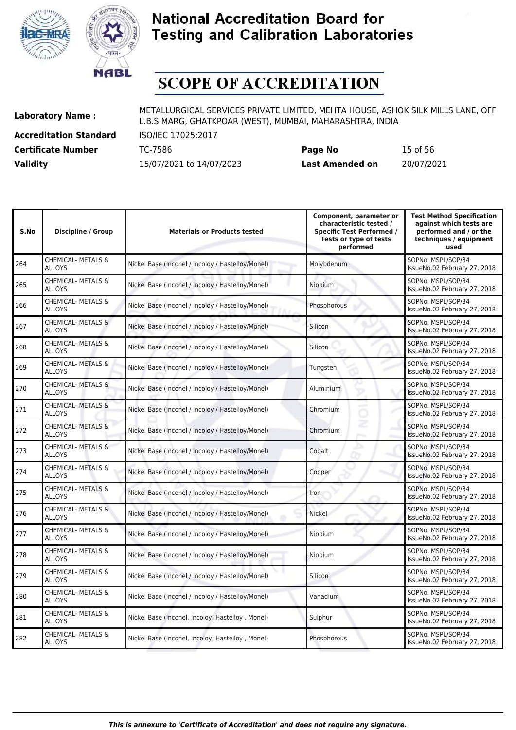



# **SCOPE OF ACCREDITATION**

**Accreditation Standard** ISO/IEC 17025:2017

| <b>Certificate Number</b> | TC-7586                  | Page No                | 15 of 56   |
|---------------------------|--------------------------|------------------------|------------|
| <b>Validity</b>           | 15/07/2021 to 14/07/2023 | <b>Last Amended on</b> | 20/07/2021 |

| S.No | <b>Discipline / Group</b>                      | <b>Materials or Products tested</b>               | Component, parameter or<br>characteristic tested /<br><b>Specific Test Performed /</b><br>Tests or type of tests<br>performed | <b>Test Method Specification</b><br>against which tests are<br>performed and / or the<br>techniques / equipment<br>used |
|------|------------------------------------------------|---------------------------------------------------|-------------------------------------------------------------------------------------------------------------------------------|-------------------------------------------------------------------------------------------------------------------------|
| 264  | <b>CHEMICAL- METALS &amp;</b><br><b>ALLOYS</b> | Nickel Base (Inconel / Incoloy / Hastelloy/Monel) | Molybdenum                                                                                                                    | SOPNo. MSPL/SOP/34<br>IssueNo.02 February 27, 2018                                                                      |
| 265  | <b>CHEMICAL- METALS &amp;</b><br><b>ALLOYS</b> | Nickel Base (Inconel / Incoloy / Hastelloy/Monel) | Niobium                                                                                                                       | SOPNo. MSPL/SOP/34<br>IssueNo.02 February 27, 2018                                                                      |
| 266  | <b>CHEMICAL- METALS &amp;</b><br><b>ALLOYS</b> | Nickel Base (Inconel / Incoloy / Hastelloy/Monel) | Phosphorous                                                                                                                   | SOPNo. MSPL/SOP/34<br>IssueNo.02 February 27, 2018                                                                      |
| 267  | <b>CHEMICAL- METALS &amp;</b><br><b>ALLOYS</b> | Nickel Base (Inconel / Incoloy / Hastelloy/Monel) | Silicon                                                                                                                       | SOPNo. MSPL/SOP/34<br>IssueNo.02 February 27, 2018                                                                      |
| 268  | <b>CHEMICAL- METALS &amp;</b><br><b>ALLOYS</b> | Nickel Base (Inconel / Incoloy / Hastelloy/Monel) | Silicon                                                                                                                       | SOPNo. MSPL/SOP/34<br>IssueNo.02 February 27, 2018                                                                      |
| 269  | CHEMICAL- METALS &<br><b>ALLOYS</b>            | Nickel Base (Inconel / Incoloy / Hastelloy/Monel) | Tungsten                                                                                                                      | SOPNo. MSPL/SOP/34<br>IssueNo.02 February 27, 2018                                                                      |
| 270  | <b>CHEMICAL- METALS &amp;</b><br><b>ALLOYS</b> | Nickel Base (Inconel / Incoloy / Hastelloy/Monel) | <b>Aluminium</b>                                                                                                              | SOPNo. MSPL/SOP/34<br>IssueNo.02 February 27, 2018                                                                      |
| 271  | CHEMICAL- METALS &<br><b>ALLOYS</b>            | Nickel Base (Inconel / Incoloy / Hastelloy/Monel) | Chromium                                                                                                                      | SOPNo. MSPL/SOP/34<br>IssueNo.02 February 27, 2018                                                                      |
| 272  | CHEMICAL- METALS &<br><b>ALLOYS</b>            | Nickel Base (Inconel / Incoloy / Hastelloy/Monel) | Chromium                                                                                                                      | SOPNo. MSPL/SOP/34<br>IssueNo.02 February 27, 2018                                                                      |
| 273  | <b>CHEMICAL- METALS &amp;</b><br><b>ALLOYS</b> | Nickel Base (Inconel / Incoloy / Hastelloy/Monel) | o<br>Cobalt                                                                                                                   | SOPNo. MSPL/SOP/34<br>IssueNo.02 February 27, 2018                                                                      |
| 274  | <b>CHEMICAL- METALS &amp;</b><br><b>ALLOYS</b> | Nickel Base (Inconel / Incoloy / Hastelloy/Monel) | Copper                                                                                                                        | SOPNo. MSPL/SOP/34<br>IssueNo.02 February 27, 2018                                                                      |
| 275  | <b>CHEMICAL- METALS &amp;</b><br><b>ALLOYS</b> | Nickel Base (Inconel / Incoloy / Hastelloy/Monel) | <b>Iron</b>                                                                                                                   | SOPNo. MSPL/SOP/34<br>IssueNo.02 February 27, 2018                                                                      |
| 276  | CHEMICAL- METALS &<br><b>ALLOYS</b>            | Nickel Base (Inconel / Incoloy / Hastelloy/Monel) | Nickel                                                                                                                        | SOPNo. MSPL/SOP/34<br>IssueNo.02 February 27, 2018                                                                      |
| 277  | <b>CHEMICAL- METALS &amp;</b><br><b>ALLOYS</b> | Nickel Base (Inconel / Incoloy / Hastelloy/Monel) | Niobium                                                                                                                       | SOPNo. MSPL/SOP/34<br>IssueNo.02 February 27, 2018                                                                      |
| 278  | <b>CHEMICAL- METALS &amp;</b><br><b>ALLOYS</b> | Nickel Base (Inconel / Incoloy / Hastelloy/Monel) | Niobium                                                                                                                       | SOPNo. MSPL/SOP/34<br>IssueNo.02 February 27, 2018                                                                      |
| 279  | <b>CHEMICAL- METALS &amp;</b><br><b>ALLOYS</b> | Nickel Base (Inconel / Incoloy / Hastelloy/Monel) | Silicon                                                                                                                       | SOPNo. MSPL/SOP/34<br>IssueNo.02 February 27, 2018                                                                      |
| 280  | <b>CHEMICAL- METALS &amp;</b><br><b>ALLOYS</b> | Nickel Base (Inconel / Incoloy / Hastelloy/Monel) | Vanadium                                                                                                                      | SOPNo. MSPL/SOP/34<br>IssueNo.02 February 27, 2018                                                                      |
| 281  | CHEMICAL- METALS &<br><b>ALLOYS</b>            | Nickel Base (Inconel, Incoloy, Hastelloy, Monel)  | Sulphur                                                                                                                       | SOPNo. MSPL/SOP/34<br>IssueNo.02 February 27, 2018                                                                      |
| 282  | CHEMICAL- METALS &<br><b>ALLOYS</b>            | Nickel Base (Inconel, Incoloy, Hastelloy, Monel)  | Phosphorous                                                                                                                   | SOPNo. MSPL/SOP/34<br>IssueNo.02 February 27, 2018                                                                      |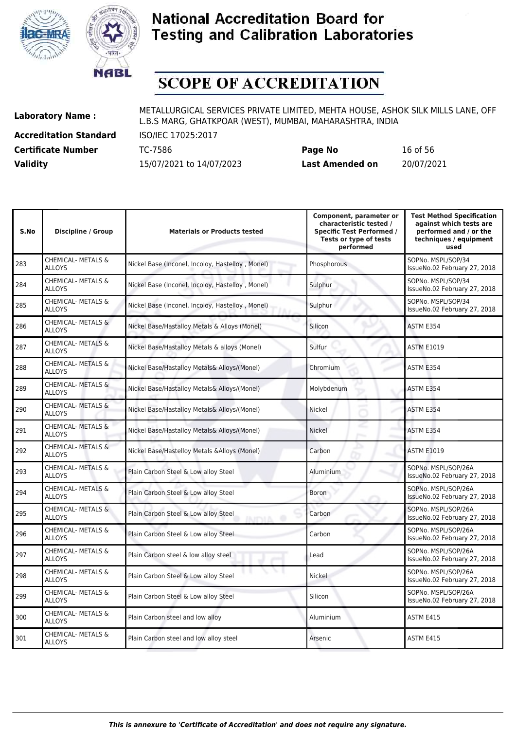



# **SCOPE OF ACCREDITATION**

**Accreditation Standard** ISO/IEC 17025:2017

**Laboratory Name :** METALLURGICAL SERVICES PRIVATE LIMITED, MEHTA HOUSE, ASHOK SILK MILLS LANE, OFF L.B.S MARG, GHATKPOAR (WEST), MUMBAI, MAHARASHTRA, INDIA

**Certificate Number** TC-7586 **Page No** 16 of 56 **Validity** 15/07/2021 to 14/07/2023 **Last Amended on** 20/07/2021

| <b>Discipline / Group</b>                      | <b>Materials or Products tested</b>                        | Component, parameter or<br>characteristic tested /<br><b>Specific Test Performed /</b><br>Tests or type of tests<br>performed | <b>Test Method Specification</b><br>against which tests are<br>performed and / or the<br>techniques / equipment<br>used |
|------------------------------------------------|------------------------------------------------------------|-------------------------------------------------------------------------------------------------------------------------------|-------------------------------------------------------------------------------------------------------------------------|
| <b>CHEMICAL- METALS &amp;</b><br><b>ALLOYS</b> | Nickel Base (Inconel, Incoloy, Hastelloy, Monel)           | Phosphorous                                                                                                                   | SOPNo. MSPL/SOP/34<br>IssueNo.02 February 27, 2018                                                                      |
| <b>CHEMICAL- METALS &amp;</b><br><b>ALLOYS</b> | Nickel Base (Inconel, Incoloy, Hastelloy, Monel)           | Sulphur                                                                                                                       | SOPNo. MSPL/SOP/34<br>IssueNo.02 February 27, 2018                                                                      |
| CHEMICAL- METALS &<br><b>ALLOYS</b>            | Nickel Base (Inconel, Incoloy, Hastelloy, Monel)           | Sulphur                                                                                                                       | SOPNo. MSPL/SOP/34<br>IssueNo.02 February 27, 2018                                                                      |
| CHEMICAL- METALS &<br><b>ALLOYS</b>            | Nickel Base/Hastalloy Metals & Alloys (Monel)              | Silicon                                                                                                                       | ASTM E354                                                                                                               |
| CHEMICAL- METALS &<br><b>ALLOYS</b>            | Nickel Base/Hastalloy Metals & alloys (Monel)              | Sulfur                                                                                                                        | <b>ASTM E1019</b>                                                                                                       |
| CHEMICAL- METALS &<br><b>ALLOYS</b>            | Nickel Base/Hastalloy Metals& Alloys/(Monel)               | Chromium                                                                                                                      | ASTM E354                                                                                                               |
| CHEMICAL- METALS &<br><b>ALLOYS</b>            | Nickel Base/Hastalloy Metals& Alloys/(Monel)               | Molybdenum                                                                                                                    | ASTM E354                                                                                                               |
| <b>CHEMICAL- METALS &amp;</b><br><b>ALLOYS</b> | Nickel Base/Hastalloy Metals& Alloys/(Monel)               | Nickel                                                                                                                        | ASTM E354                                                                                                               |
| CHEMICAL- METALS &<br><b>ALLOYS</b>            | Nickel Base/Hastalloy Metals& Alloys/(Monel)               | <b>Nickel</b>                                                                                                                 | ASTM E354                                                                                                               |
| <b>CHEMICAL- METALS &amp;</b><br><b>ALLOYS</b> | Nickel Base/Hastelloy Metals & Alloys (Monel)              | Carbon                                                                                                                        | <b>ASTM E1019</b>                                                                                                       |
| <b>CHEMICAL- METALS &amp;</b><br><b>ALLOYS</b> | Plain Carbon Steel & Low alloy Steel                       | Aluminium                                                                                                                     | SOPNo. MSPL/SOP/26A<br>IssueNo.02 February 27, 2018                                                                     |
| <b>CHEMICAL- METALS &amp;</b><br><b>ALLOYS</b> | Plain Carbon Steel & Low alloy Steel                       | <b>Boron</b>                                                                                                                  | SOPNo. MSPL/SOP/26A<br>IssueNo.02 February 27, 2018                                                                     |
| CHEMICAL- METALS &<br><b>ALLOYS</b>            | Plain Carbon Steel & Low alloy Steel<br><b>INITAL</b><br>œ | Carbon                                                                                                                        | SOPNo. MSPL/SOP/26A<br>IssueNo.02 February 27, 2018                                                                     |
| <b>CHEMICAL- METALS &amp;</b><br><b>ALLOYS</b> | Plain Carbon Steel & Low alloy Steel                       | Carbon                                                                                                                        | SOPNo. MSPL/SOP/26A<br>IssueNo.02 February 27, 2018                                                                     |
| CHEMICAL- METALS &<br><b>ALLOYS</b>            | Plain Carbon steel & low alloy steel                       | Lead                                                                                                                          | SOPNo. MSPL/SOP/26A<br>IssueNo.02 February 27, 2018                                                                     |
| CHEMICAL- METALS &<br><b>ALLOYS</b>            | Plain Carbon Steel & Low alloy Steel                       | Nickel                                                                                                                        | SOPNo. MSPL/SOP/26A<br>IssueNo.02 February 27, 2018                                                                     |
| CHEMICAL- METALS &<br><b>ALLOYS</b>            | Plain Carbon Steel & Low alloy Steel                       | Silicon                                                                                                                       | SOPNo. MSPL/SOP/26A<br>IssueNo.02 February 27, 2018                                                                     |
| CHEMICAL- METALS &<br><b>ALLOYS</b>            | Plain Carbon steel and low alloy                           | Aluminium                                                                                                                     | ASTM E415                                                                                                               |
| CHEMICAL- METALS &<br><b>ALLOYS</b>            | Plain Carbon steel and low alloy steel                     | Arsenic                                                                                                                       | ASTM E415                                                                                                               |
|                                                |                                                            |                                                                                                                               |                                                                                                                         |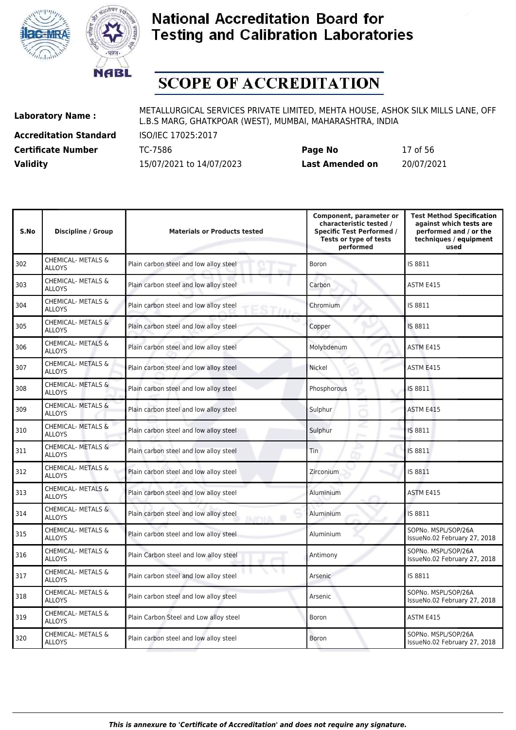



# **SCOPE OF ACCREDITATION**

**Accreditation Standard** ISO/IEC 17025:2017

| <b>Certificate Number</b> | TC-7586                  | Page No                | 17 of 56   |
|---------------------------|--------------------------|------------------------|------------|
| <b>Validity</b>           | 15/07/2021 to 14/07/2023 | <b>Last Amended on</b> | 20/07/2021 |

| S.No | <b>Discipline / Group</b>                      | <b>Materials or Products tested</b>                       | Component, parameter or<br>characteristic tested /<br><b>Specific Test Performed /</b><br>Tests or type of tests<br>performed | <b>Test Method Specification</b><br>against which tests are<br>performed and / or the<br>techniques / equipment<br>used |
|------|------------------------------------------------|-----------------------------------------------------------|-------------------------------------------------------------------------------------------------------------------------------|-------------------------------------------------------------------------------------------------------------------------|
| 302  | <b>CHEMICAL- METALS &amp;</b><br><b>ALLOYS</b> | Plain carbon steel and low alloy steel                    | Boron                                                                                                                         | IS 8811                                                                                                                 |
| 303  | <b>CHEMICAL- METALS &amp;</b><br><b>ALLOYS</b> | Plain carbon steel and low alloy steel                    | Carbon                                                                                                                        | ASTM E415                                                                                                               |
| 304  | <b>CHEMICAL- METALS &amp;</b><br><b>ALLOYS</b> | Plain carbon steel and low alloy steel                    | Chromium                                                                                                                      | IS 8811                                                                                                                 |
| 305  | <b>CHEMICAL- METALS &amp;</b><br><b>ALLOYS</b> | Plain carbon steel and low alloy steel                    | Copper                                                                                                                        | IS 8811                                                                                                                 |
| 306  | CHEMICAL- METALS &<br><b>ALLOYS</b>            | Plain carbon steel and low alloy steel                    | Molybdenum                                                                                                                    | ASTM E415                                                                                                               |
| 307  | CHEMICAL- METALS &<br><b>ALLOYS</b>            | Plain carbon steel and low alloy steel                    | Nickel                                                                                                                        | ASTM E415                                                                                                               |
| 308  | <b>CHEMICAL- METALS &amp;</b><br><b>ALLOYS</b> | Plain carbon steel and low alloy steel                    | Phosphorous                                                                                                                   | IS 8811                                                                                                                 |
| 309  | <b>CHEMICAL- METALS &amp;</b><br><b>ALLOYS</b> | Plain carbon steel and low alloy steel                    | Sulphur                                                                                                                       | ASTM E415                                                                                                               |
| 310  | CHEMICAL- METALS &<br><b>ALLOYS</b>            | Plain carbon steel and low alloy steel                    | Sulphur                                                                                                                       | IS 8811                                                                                                                 |
| 311  | CHEMICAL- METALS &<br><b>ALLOYS</b>            | Plain carbon steel and low alloy steel                    | Tin                                                                                                                           | IS 8811                                                                                                                 |
| 312  | CHEMICAL- METALS &<br><b>ALLOYS</b>            | Plain carbon steel and low alloy steel                    | Zirconium                                                                                                                     | IS 8811                                                                                                                 |
| 313  | <b>CHEMICAL- METALS &amp;</b><br><b>ALLOYS</b> | Plain carbon steel and low alloy steel                    | Aluminium                                                                                                                     | ASTM E415                                                                                                               |
| 314  | CHEMICAL- METALS &<br><b>ALLOYS</b>            | Plain carbon steel and low alloy steel<br><b>INICIA O</b> | Aluminium                                                                                                                     | IS 8811                                                                                                                 |
| 315  | <b>CHEMICAL- METALS &amp;</b><br><b>ALLOYS</b> | Plain carbon steel and low alloy steel                    | <b>Aluminium</b>                                                                                                              | SOPNo. MSPL/SOP/26A<br>IssueNo.02 February 27, 2018                                                                     |
| 316  | <b>CHEMICAL- METALS &amp;</b><br><b>ALLOYS</b> | Plain Carbon steel and low alloy steel                    | Antimony                                                                                                                      | SOPNo. MSPL/SOP/26A<br>IssueNo.02 February 27, 2018                                                                     |
| 317  | CHEMICAL- METALS &<br><b>ALLOYS</b>            | Plain carbon steel and low alloy steel                    | Arsenic                                                                                                                       | IS 8811                                                                                                                 |
| 318  | CHEMICAL- METALS &<br><b>ALLOYS</b>            | Plain carbon steel and low alloy steel                    | Arsenic                                                                                                                       | SOPNo. MSPL/SOP/26A<br>IssueNo.02 February 27, 2018                                                                     |
| 319  | CHEMICAL- METALS &<br><b>ALLOYS</b>            | Plain Carbon Steel and Low alloy steel                    | Boron                                                                                                                         | ASTM E415                                                                                                               |
| 320  | <b>CHEMICAL- METALS &amp;</b><br><b>ALLOYS</b> | Plain carbon steel and low alloy steel                    | Boron                                                                                                                         | SOPNo. MSPL/SOP/26A<br>IssueNo.02 February 27, 2018                                                                     |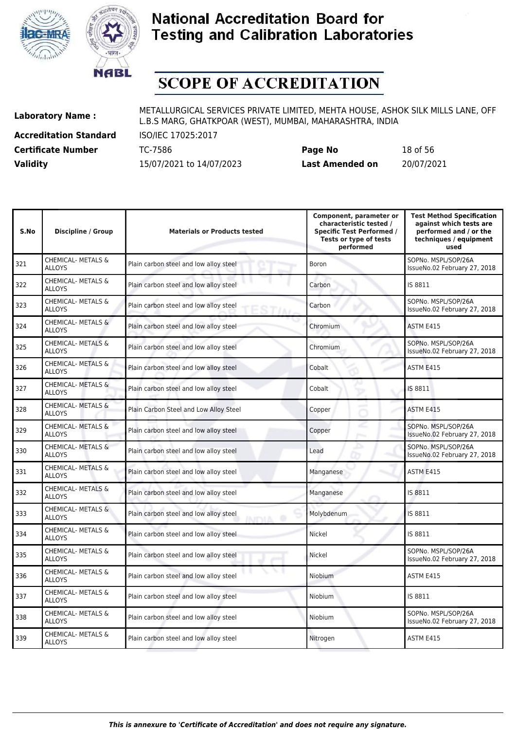



# **SCOPE OF ACCREDITATION**

**Accreditation Standard** ISO/IEC 17025:2017

**Laboratory Name :** METALLURGICAL SERVICES PRIVATE LIMITED, MEHTA HOUSE, ASHOK SILK MILLS LANE, OFF L.B.S MARG, GHATKPOAR (WEST), MUMBAI, MAHARASHTRA, INDIA

**Certificate Number** TC-7586 **Page No** 18 of 56 **Validity** 15/07/2021 to 14/07/2023 **Last Amended on** 20/07/2021

| S.No | <b>Discipline / Group</b>                      | <b>Materials or Products tested</b>                      | Component, parameter or<br>characteristic tested /<br><b>Specific Test Performed /</b><br>Tests or type of tests<br>performed | <b>Test Method Specification</b><br>against which tests are<br>performed and / or the<br>techniques / equipment<br>used |
|------|------------------------------------------------|----------------------------------------------------------|-------------------------------------------------------------------------------------------------------------------------------|-------------------------------------------------------------------------------------------------------------------------|
| 321  | CHEMICAL- METALS &<br><b>ALLOYS</b>            | Plain carbon steel and low alloy steel                   | Boron                                                                                                                         | SOPNo. MSPL/SOP/26A<br>IssueNo.02 February 27, 2018                                                                     |
| 322  | CHEMICAL- METALS &<br><b>ALLOYS</b>            | Plain carbon steel and low alloy steel                   | Carbon                                                                                                                        | IS 8811                                                                                                                 |
| 323  | CHEMICAL- METALS &<br><b>ALLOYS</b>            | Plain carbon steel and low alloy steel                   | Carbon                                                                                                                        | SOPNo. MSPL/SOP/26A<br>IssueNo.02 February 27, 2018                                                                     |
| 324  | CHEMICAL- METALS &<br><b>ALLOYS</b>            | Plain carbon steel and low alloy steel                   | Chromium                                                                                                                      | ASTM E415                                                                                                               |
| 325  | CHEMICAL- METALS &<br><b>ALLOYS</b>            | Plain carbon steel and low alloy steel                   | Chromium                                                                                                                      | SOPNo. MSPL/SOP/26A<br>IssueNo.02 February 27, 2018                                                                     |
| 326  | CHEMICAL- METALS &<br><b>ALLOYS</b>            | Plain carbon steel and low alloy steel                   | Cobalt                                                                                                                        | ASTM E415                                                                                                               |
| 327  | CHEMICAL- METALS &<br><b>ALLOYS</b>            | Plain carbon steel and low alloy steel                   | Cobalt<br>ь                                                                                                                   | IS 8811                                                                                                                 |
| 328  | CHEMICAL- METALS &<br><b>ALLOYS</b>            | Plain Carbon Steel and Low Alloy Steel                   | Copper                                                                                                                        | ASTM E415                                                                                                               |
| 329  | CHEMICAL- METALS &<br><b>ALLOYS</b>            | Plain carbon steel and low alloy steel                   | Copper<br>p.,                                                                                                                 | SOPNo. MSPL/SOP/26A<br>IssueNo.02 February 27, 2018                                                                     |
| 330  | CHEMICAL- METALS &<br><b>ALLOYS</b>            | Plain carbon steel and low alloy steel                   | Lead                                                                                                                          | SOPNo. MSPL/SOP/26A<br>IssueNo.02 February 27, 2018                                                                     |
| 331  | <b>CHEMICAL- METALS &amp;</b><br><b>ALLOYS</b> | Plain carbon steel and low alloy steel                   | Manganese                                                                                                                     | ASTM E415                                                                                                               |
| 332  | <b>CHEMICAL- METALS &amp;</b><br><b>ALLOYS</b> | Plain carbon steel and low alloy steel                   | Manganese                                                                                                                     | IS 8811                                                                                                                 |
| 333  | CHEMICAL- METALS &<br><b>ALLOYS</b>            | Plain carbon steel and low alloy steel<br><b>INITALA</b> | Molybdenum                                                                                                                    | IS 8811                                                                                                                 |
| 334  | CHEMICAL- METALS &<br><b>ALLOYS</b>            | Plain carbon steel and low alloy steel                   | Nickel                                                                                                                        | IS 8811                                                                                                                 |
| 335  | CHEMICAL- METALS &<br><b>ALLOYS</b>            | Plain carbon steel and low alloy steel                   | Nickel                                                                                                                        | SOPNo. MSPL/SOP/26A<br>IssueNo.02 February 27, 2018                                                                     |
| 336  | CHEMICAL- METALS &<br><b>ALLOYS</b>            | Plain carbon steel and low alloy steel                   | Niobium                                                                                                                       | ASTM E415                                                                                                               |
| 337  | CHEMICAL- METALS &<br><b>ALLOYS</b>            | Plain carbon steel and low alloy steel                   | Niobium                                                                                                                       | IS 8811                                                                                                                 |
| 338  | CHEMICAL- METALS &<br><b>ALLOYS</b>            | Plain carbon steel and low alloy steel                   | Niobium                                                                                                                       | SOPNo. MSPL/SOP/26A<br>IssueNo.02 February 27, 2018                                                                     |
| 339  | CHEMICAL- METALS &<br><b>ALLOYS</b>            | Plain carbon steel and low alloy steel                   | Nitrogen                                                                                                                      | ASTM E415                                                                                                               |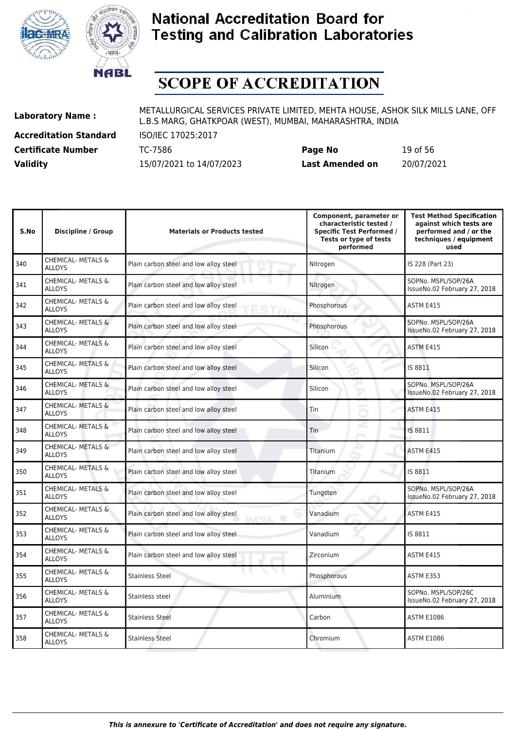



# **SCOPE OF ACCREDITATION**

**Accreditation Standard** ISO/IEC 17025:2017

| <b>Certificate Number</b> | TC-7586                  | Page No                | 19 of 56   |
|---------------------------|--------------------------|------------------------|------------|
| <b>Validity</b>           | 15/07/2021 to 14/07/2023 | <b>Last Amended on</b> | 20/07/2021 |

| S.No | <b>Discipline / Group</b>                      | <b>Materials or Products tested</b>                      | Component, parameter or<br>characteristic tested /<br><b>Specific Test Performed /</b><br>Tests or type of tests<br>performed | <b>Test Method Specification</b><br>against which tests are<br>performed and / or the<br>techniques / equipment<br>used |
|------|------------------------------------------------|----------------------------------------------------------|-------------------------------------------------------------------------------------------------------------------------------|-------------------------------------------------------------------------------------------------------------------------|
| 340  | <b>CHEMICAL- METALS &amp;</b><br><b>ALLOYS</b> | Plain carbon steel and low alloy steel                   | Nitrogen                                                                                                                      | IS 228 (Part 23)                                                                                                        |
| 341  | <b>CHEMICAL- METALS &amp;</b><br><b>ALLOYS</b> | Plain carbon steel and low alloy steel                   | Nitrogen                                                                                                                      | SOPNo. MSPL/SOP/26A<br>IssueNo.02 February 27, 2018                                                                     |
| 342  | CHEMICAL- METALS &<br><b>ALLOYS</b>            | Plain carbon steel and low alloy steel<br>STIA           | Phosphorous                                                                                                                   | ASTM E415                                                                                                               |
| 343  | CHEMICAL- METALS &<br><b>ALLOYS</b>            | Plain carbon steel and low alloy steel                   | Phosphorous                                                                                                                   | SOPNo. MSPL/SOP/26A<br>IssueNo.02 February 27, 2018                                                                     |
| 344  | <b>CHEMICAL- METALS &amp;</b><br><b>ALLOYS</b> | Plain carbon steel and low alloy steel                   | Silicon                                                                                                                       | ASTM E415                                                                                                               |
| 345  | <b>CHEMICAL- METALS &amp;</b><br><b>ALLOYS</b> | Plain carbon steel and low alloy steel                   | Silicon                                                                                                                       | IS 8811                                                                                                                 |
| 346  | <b>CHEMICAL- METALS &amp;</b><br><b>ALLOYS</b> | Plain carbon steel and low alloy steel                   | Silicon                                                                                                                       | SOPNo. MSPL/SOP/26A<br>IssueNo.02 February 27, 2018                                                                     |
| 347  | <b>CHEMICAL- METALS &amp;</b><br><b>ALLOYS</b> | Plain carbon steel and low alloy steel                   | Tin                                                                                                                           | ASTM E415                                                                                                               |
| 348  | CHEMICAL- METALS &<br><b>ALLOYS</b>            | Plain carbon steel and low alloy steel                   | Tin                                                                                                                           | IS 8811                                                                                                                 |
| 349  | CHEMICAL- METALS &<br><b>ALLOYS</b>            | Plain carbon steel and low alloy steel                   | Titanium                                                                                                                      | ASTM E415                                                                                                               |
| 350  | CHEMICAL- METALS &<br><b>ALLOYS</b>            | Plain carbon steel and low alloy steel                   | Titanium                                                                                                                      | IS 8811                                                                                                                 |
| 351  | <b>CHEMICAL- METALS &amp;</b><br><b>ALLOYS</b> | Plain carbon steel and low alloy steel                   | Tungsten                                                                                                                      | SOPNo. MSPL/SOP/26A<br>IssueNo.02 February 27, 2018                                                                     |
| 352  | CHEMICAL- METALS &<br><b>ALLOYS</b>            | Plain carbon steel and low alloy steel<br><b>IRAPALA</b> | Vanadium                                                                                                                      | ASTM E415                                                                                                               |
| 353  | CHEMICAL- METALS &<br><b>ALLOYS</b>            | Plain carbon steel and low alloy steel                   | Vanadium                                                                                                                      | IS 8811                                                                                                                 |
| 354  | <b>CHEMICAL- METALS &amp;</b><br><b>ALLOYS</b> | Plain carbon steel and low alloy steel                   | Zirconium                                                                                                                     | ASTM E415                                                                                                               |
| 355  | CHEMICAL- METALS &<br><b>ALLOYS</b>            | <b>Stainless Steel</b>                                   | Phosphorous                                                                                                                   | ASTM E353                                                                                                               |
| 356  | CHEMICAL- METALS &<br><b>ALLOYS</b>            | Stainless steel                                          | Aluminium                                                                                                                     | SOPNo. MSPL/SOP/26C<br>IssueNo.02 February 27, 2018                                                                     |
| 357  | CHEMICAL- METALS &<br><b>ALLOYS</b>            | <b>Stainless Steel</b>                                   | Carbon                                                                                                                        | <b>ASTM E1086</b>                                                                                                       |
| 358  | <b>CHEMICAL- METALS &amp;</b><br><b>ALLOYS</b> | <b>Stainless Steel</b>                                   | Chromium                                                                                                                      | <b>ASTM E1086</b>                                                                                                       |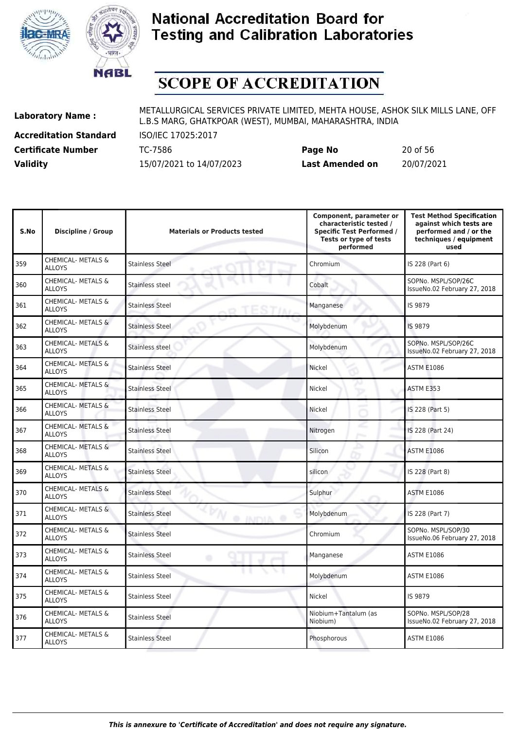



# **SCOPE OF ACCREDITATION**

**Accreditation Standard** ISO/IEC 17025:2017

| <b>Certificate Number</b> | TC-7586                  | Page No                | 20 of 56   |
|---------------------------|--------------------------|------------------------|------------|
| <b>Validity</b>           | 15/07/2021 to 14/07/2023 | <b>Last Amended on</b> | 20/07/2021 |

| S.No | <b>Discipline / Group</b>                      | <b>Materials or Products tested</b>      | Component, parameter or<br>characteristic tested /<br><b>Specific Test Performed /</b><br>Tests or type of tests<br>performed | <b>Test Method Specification</b><br>against which tests are<br>performed and / or the<br>techniques / equipment<br>used |
|------|------------------------------------------------|------------------------------------------|-------------------------------------------------------------------------------------------------------------------------------|-------------------------------------------------------------------------------------------------------------------------|
| 359  | <b>CHEMICAL- METALS &amp;</b><br>ALLOYS        | <b>Stainless Steel</b>                   | Chromium                                                                                                                      | IS 228 (Part 6)                                                                                                         |
| 360  | CHEMICAL- METALS &<br><b>ALLOYS</b>            | Stainless steel                          | Cobalt                                                                                                                        | SOPNo. MSPL/SOP/26C<br>IssueNo.02 February 27, 2018                                                                     |
| 361  | <b>CHEMICAL- METALS &amp;</b><br><b>ALLOYS</b> | <b>Stainless Steel</b>                   | Manganese                                                                                                                     | IS 9879                                                                                                                 |
| 362  | CHEMICAL- METALS &<br><b>ALLOYS</b>            | <b>Stainless Steel</b>                   | Molybdenum                                                                                                                    | IS 9879                                                                                                                 |
| 363  | CHEMICAL- METALS &<br><b>ALLOYS</b>            | Stainless steel                          | Molybdenum                                                                                                                    | SOPNo. MSPL/SOP/26C<br>IssueNo.02 February 27, 2018                                                                     |
| 364  | <b>CHEMICAL- METALS &amp;</b><br><b>ALLOYS</b> | <b>Stainless Steel</b>                   | Nickel                                                                                                                        | <b>ASTM E1086</b>                                                                                                       |
| 365  | CHEMICAL- METALS &<br><b>ALLOYS</b>            | <b>Stainless Steel</b>                   | Nickel                                                                                                                        | ASTM E353                                                                                                               |
| 366  | CHEMICAL- METALS &<br><b>ALLOYS</b>            | <b>Stainless Steel</b>                   | Nickel                                                                                                                        | IS 228 (Part 5)                                                                                                         |
| 367  | CHEMICAL- METALS &<br><b>ALLOYS</b>            | <b>Stainless Steel</b>                   | Nitrogen                                                                                                                      | IS 228 (Part 24)                                                                                                        |
| 368  | CHEMICAL- METALS &<br><b>ALLOYS</b>            | <b>Stainless Steel</b>                   | Silicon                                                                                                                       | <b>ASTM E1086</b>                                                                                                       |
| 369  | CHEMICAL- METALS &<br>ALLOYS                   | <b>Stainless Steel</b>                   | silicon                                                                                                                       | IS 228 (Part 8)                                                                                                         |
| 370  | <b>CHEMICAL- METALS &amp;</b><br><b>ALLOYS</b> | <b>Stainless Steel</b>                   | Sulphur                                                                                                                       | <b>ASTM E1086</b>                                                                                                       |
| 371  | CHEMICAL- METALS &<br><b>ALLOYS</b>            | <b>Stainless Steel</b><br><b>O</b> INDIA | Molybdenum                                                                                                                    | IS 228 (Part 7)                                                                                                         |
| 372  | CHEMICAL- METALS &<br><b>ALLOYS</b>            | <b>Stainless Steel</b>                   | Chromium                                                                                                                      | SOPNo. MSPL/SOP/30<br>IssueNo.06 February 27, 2018                                                                      |
| 373  | CHEMICAL- METALS &<br><b>ALLOYS</b>            | <b>Stainless Steel</b><br>۰              | Manganese                                                                                                                     | <b>ASTM E1086</b>                                                                                                       |
| 374  | <b>CHEMICAL- METALS &amp;</b><br><b>ALLOYS</b> | <b>Stainless Steel</b>                   | Molybdenum                                                                                                                    | <b>ASTM E1086</b>                                                                                                       |
| 375  | <b>CHEMICAL- METALS &amp;</b><br><b>ALLOYS</b> | <b>Stainless Steel</b>                   | Nickel                                                                                                                        | IS 9879                                                                                                                 |
| 376  | <b>CHEMICAL- METALS &amp;</b><br><b>ALLOYS</b> | <b>Stainless Steel</b>                   | Niobium+Tantalum (as<br>Niobium)                                                                                              | SOPNo. MSPL/SOP/28<br>IssueNo.02 February 27, 2018                                                                      |
| 377  | CHEMICAL- METALS &<br>ALLOYS                   | <b>Stainless Steel</b>                   | Phosphorous                                                                                                                   | <b>ASTM E1086</b>                                                                                                       |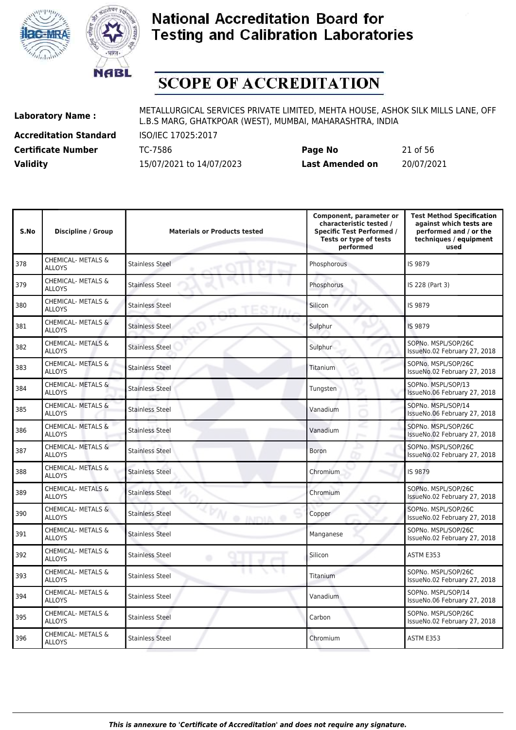



# **SCOPE OF ACCREDITATION**

**Accreditation Standard** ISO/IEC 17025:2017

**Laboratory Name :** METALLURGICAL SERVICES PRIVATE LIMITED, MEHTA HOUSE, ASHOK SILK MILLS LANE, OFF L.B.S MARG, GHATKPOAR (WEST), MUMBAI, MAHARASHTRA, INDIA

**Certificate Number** TC-7586 **Page No** 21 of 56 **Validity** 15/07/2021 to 14/07/2023 **Last Amended on** 20/07/2021

| S.No | <b>Discipline / Group</b>                      | <b>Materials or Products tested</b>       | Component, parameter or<br>characteristic tested /<br><b>Specific Test Performed /</b><br>Tests or type of tests<br>performed | <b>Test Method Specification</b><br>against which tests are<br>performed and / or the<br>techniques / equipment<br>used |
|------|------------------------------------------------|-------------------------------------------|-------------------------------------------------------------------------------------------------------------------------------|-------------------------------------------------------------------------------------------------------------------------|
| 378  | <b>CHEMICAL- METALS &amp;</b><br><b>ALLOYS</b> | <b>Stainless Steel</b>                    | Phosphorous                                                                                                                   | IS 9879                                                                                                                 |
| 379  | <b>CHEMICAL- METALS &amp;</b><br><b>ALLOYS</b> | <b>Stainless Steel</b>                    | Phosphorus                                                                                                                    | IS 228 (Part 3)                                                                                                         |
| 380  | <b>CHEMICAL- METALS &amp;</b><br><b>ALLOYS</b> | <b>Stainless Steel</b>                    | Silicon                                                                                                                       | IS 9879                                                                                                                 |
| 381  | <b>CHEMICAL- METALS &amp;</b><br><b>ALLOYS</b> | <b>Stainless Steel</b>                    | Sulphur                                                                                                                       | IS 9879                                                                                                                 |
| 382  | CHEMICAL- METALS &<br><b>ALLOYS</b>            | <b>Stainless Steel</b>                    | Sulphur                                                                                                                       | SOPNo. MSPL/SOP/26C<br>IssueNo.02 February 27, 2018                                                                     |
| 383  | CHEMICAL- METALS &<br><b>ALLOYS</b>            | <b>Stainless Steel</b>                    | <b>Titanium</b>                                                                                                               | SOPNo. MSPL/SOP/26C<br>IssueNo.02 February 27, 2018                                                                     |
| 384  | <b>CHEMICAL- METALS &amp;</b><br><b>ALLOYS</b> | <b>Stainless Steel</b>                    | Tungsten                                                                                                                      | SOPNo. MSPL/SOP/13<br>IssueNo.06 February 27, 2018                                                                      |
| 385  | <b>CHEMICAL- METALS &amp;</b><br><b>ALLOYS</b> | <b>Stainless Steel</b>                    | Vanadium                                                                                                                      | SOPNo. MSPL/SOP/14<br>IssueNo.06 February 27, 2018                                                                      |
| 386  | CHEMICAL- METALS &<br><b>ALLOYS</b>            | <b>Stainless Steel</b>                    | Vanadium                                                                                                                      | SOPNo. MSPL/SOP/26C<br>IssueNo.02 February 27, 2018                                                                     |
| 387  | CHEMICAL- METALS &<br><b>ALLOYS</b>            | <b>Stainless Steel</b>                    | <b>Boron</b>                                                                                                                  | SOPNo. MSPL/SOP/26C<br>IssueNo.02 February 27, 2018                                                                     |
| 388  | CHEMICAL- METALS &<br><b>ALLOYS</b>            | <b>Stainless Steel</b>                    | Chromium                                                                                                                      | IS 9879                                                                                                                 |
| 389  | <b>CHEMICAL- METALS &amp;</b><br><b>ALLOYS</b> | <b>Stainless Steel</b>                    | Chromium                                                                                                                      | SOPNo. MSPL/SOP/26C<br>IssueNo.02 February 27, 2018                                                                     |
| 390  | <b>CHEMICAL- METALS &amp;</b><br><b>ALLOYS</b> | <b>Stainless Steel</b><br><b>O INITIA</b> | Copper                                                                                                                        | SOPNo. MSPL/SOP/26C<br>IssueNo.02 February 27, 2018                                                                     |
| 391  | CHEMICAL- METALS &<br><b>ALLOYS</b>            | <b>Stainless Steel</b>                    | Manganese                                                                                                                     | SOPNo. MSPL/SOP/26C<br>IssueNo.02 February 27, 2018                                                                     |
| 392  | <b>CHEMICAL- METALS &amp;</b><br><b>ALLOYS</b> | <b>Stainless Steel</b>                    | Silicon                                                                                                                       | ASTM E353                                                                                                               |
| 393  | CHEMICAL- METALS &<br><b>ALLOYS</b>            | <b>Stainless Steel</b>                    | Titanium                                                                                                                      | SOPNo. MSPL/SOP/26C<br>IssueNo.02 February 27, 2018                                                                     |
| 394  | CHEMICAL- METALS &<br><b>ALLOYS</b>            | <b>Stainless Steel</b>                    | Vanadium                                                                                                                      | SOPNo. MSPL/SOP/14<br>IssueNo.06 February 27, 2018                                                                      |
| 395  | CHEMICAL- METALS &<br><b>ALLOYS</b>            | <b>Stainless Steel</b>                    | Carbon                                                                                                                        | SOPNo. MSPL/SOP/26C<br>IssueNo.02 February 27, 2018                                                                     |
| 396  | <b>CHEMICAL- METALS &amp;</b><br><b>ALLOYS</b> | <b>Stainless Steel</b>                    | Chromium                                                                                                                      | ASTM E353                                                                                                               |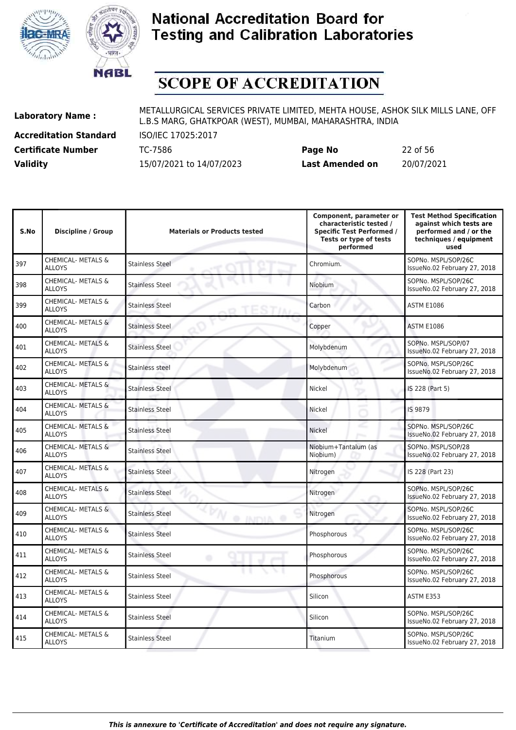



# **SCOPE OF ACCREDITATION**

**Accreditation Standard** ISO/IEC 17025:2017

| <b>Certificate Number</b> | TC-7586                  | Page No                | 22 of 56   |
|---------------------------|--------------------------|------------------------|------------|
| <b>Validity</b>           | 15/07/2021 to 14/07/2023 | <b>Last Amended on</b> | 20/07/2021 |

| S.No | <b>Discipline / Group</b>                      | <b>Materials or Products tested</b>        | Component, parameter or<br>characteristic tested /<br><b>Specific Test Performed /</b><br>Tests or type of tests<br>performed | <b>Test Method Specification</b><br>against which tests are<br>performed and / or the<br>techniques / equipment<br>used |
|------|------------------------------------------------|--------------------------------------------|-------------------------------------------------------------------------------------------------------------------------------|-------------------------------------------------------------------------------------------------------------------------|
| 397  | <b>CHEMICAL- METALS &amp;</b><br>ALLOYS        | <b>Stainless Steel</b>                     | Chromium.                                                                                                                     | SOPNo. MSPL/SOP/26C<br>IssueNo.02 February 27, 2018                                                                     |
| 398  | CHEMICAL- METALS &<br><b>ALLOYS</b>            | <b>Stainless Steel</b>                     | Niobium                                                                                                                       | SOPNo. MSPL/SOP/26C<br>IssueNo.02 February 27, 2018                                                                     |
| 399  | <b>CHEMICAL- METALS &amp;</b><br><b>ALLOYS</b> | <b>Stainless Steel</b>                     | Carbon                                                                                                                        | <b>ASTM E1086</b>                                                                                                       |
| 400  | <b>CHEMICAL- METALS &amp;</b><br><b>ALLOYS</b> | <b>Stainless Steel</b>                     | Copper                                                                                                                        | <b>ASTM E1086</b>                                                                                                       |
| 401  | <b>CHEMICAL- METALS &amp;</b><br><b>ALLOYS</b> | <b>Stainless Steel</b>                     | Molybdenum                                                                                                                    | SOPNo. MSPL/SOP/07<br>IssueNo.02 February 27, 2018                                                                      |
| 402  | CHEMICAL- METALS &<br><b>ALLOYS</b>            | Stainless steel                            | Molybdenum                                                                                                                    | SOPNo. MSPL/SOP/26C<br>IssueNo.02 February 27, 2018                                                                     |
| 403  | CHEMICAL- METALS &<br><b>ALLOYS</b>            | <b>Stainless Steel</b>                     | <b>Nickel</b>                                                                                                                 | IS 228 (Part 5)                                                                                                         |
| 404  | CHEMICAL- METALS &<br><b>ALLOYS</b>            | <b>Stainless Steel</b>                     | Nickel                                                                                                                        | IS 9879                                                                                                                 |
| 405  | CHEMICAL- METALS &<br><b>ALLOYS</b>            | <b>Stainless Steel</b>                     | <b>Nickel</b>                                                                                                                 | SOPNo. MSPL/SOP/26C<br>IssueNo.02 February 27, 2018                                                                     |
| 406  | CHEMICAL- METALS &<br><b>ALLOYS</b>            | <b>Stainless Steel</b>                     | Niobium+Tantalum (as<br>Niobium)                                                                                              | SOPNo. MSPL/SOP/28<br>IssueNo.02 February 27, 2018                                                                      |
| 407  | CHEMICAL- METALS &<br><b>ALLOYS</b>            | <b>Stainless Steel</b>                     | Nitrogen                                                                                                                      | IS 228 (Part 23)                                                                                                        |
| 408  | <b>CHEMICAL- METALS &amp;</b><br><b>ALLOYS</b> | <b>Stainless Steel</b>                     | Nitrogen                                                                                                                      | SOPNo. MSPL/SOP/26C<br>IssueNo.02 February 27, 2018                                                                     |
| 409  | CHEMICAL- METALS &<br><b>ALLOYS</b>            | <b>Stainless Steel</b><br><b>O INICIAL</b> | Nitrogen                                                                                                                      | SOPNo. MSPL/SOP/26C<br>IssueNo.02 February 27, 2018                                                                     |
| 410  | CHEMICAL- METALS &<br><b>ALLOYS</b>            | <b>Stainless Steel</b>                     | Phosphorous                                                                                                                   | SOPNo. MSPL/SOP/26C<br>IssueNo.02 February 27, 2018                                                                     |
| 411  | CHEMICAL- METALS &<br><b>ALLOYS</b>            | <b>Stainless Steel</b><br>۰                | Phosphorous                                                                                                                   | SOPNo. MSPL/SOP/26C<br>IssueNo.02 February 27, 2018                                                                     |
| 412  | <b>CHEMICAL- METALS &amp;</b><br><b>ALLOYS</b> | <b>Stainless Steel</b>                     | Phosphorous                                                                                                                   | SOPNo. MSPL/SOP/26C<br>IssueNo.02 February 27, 2018                                                                     |
| 413  | CHEMICAL- METALS &<br><b>ALLOYS</b>            | <b>Stainless Steel</b>                     | Silicon                                                                                                                       | ASTM E353                                                                                                               |
| 414  | CHEMICAL- METALS &<br><b>ALLOYS</b>            | <b>Stainless Steel</b>                     | Silicon                                                                                                                       | SOPNo. MSPL/SOP/26C<br>IssueNo.02 February 27, 2018                                                                     |
| 415  | <b>CHEMICAL- METALS &amp;</b><br><b>ALLOYS</b> | <b>Stainless Steel</b>                     | Titanium                                                                                                                      | SOPNo. MSPL/SOP/26C<br>IssueNo.02 February 27, 2018                                                                     |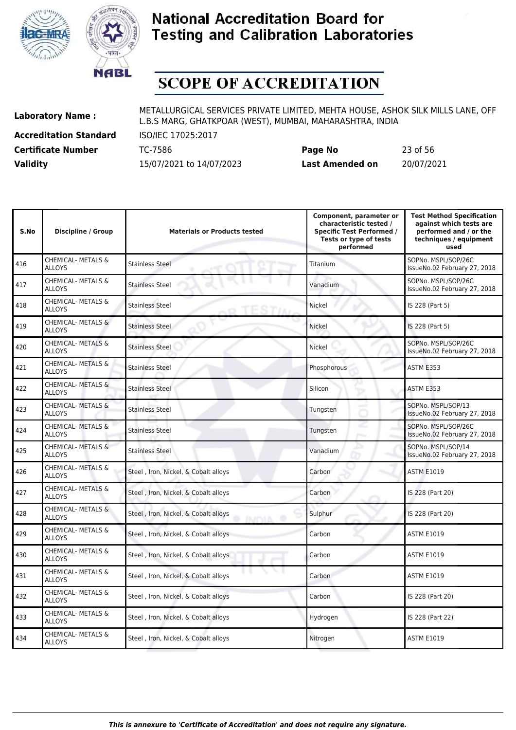



# **SCOPE OF ACCREDITATION**

**Accreditation Standard** ISO/IEC 17025:2017

| <b>Certificate Number</b> | TC-7586                  | Page No                | 23 of 56   |
|---------------------------|--------------------------|------------------------|------------|
| <b>Validity</b>           | 15/07/2021 to 14/07/2023 | <b>Last Amended on</b> | 20/07/2021 |

| S.No | <b>Discipline / Group</b>                      | <b>Materials or Products tested</b>                        | Component, parameter or<br>characteristic tested /<br><b>Specific Test Performed /</b><br>Tests or type of tests<br>performed | <b>Test Method Specification</b><br>against which tests are<br>performed and / or the<br>techniques / equipment<br>used |
|------|------------------------------------------------|------------------------------------------------------------|-------------------------------------------------------------------------------------------------------------------------------|-------------------------------------------------------------------------------------------------------------------------|
| 416  | <b>CHEMICAL- METALS &amp;</b><br>ALLOYS        | <b>Stainless Steel</b>                                     | Titanium                                                                                                                      | SOPNo. MSPL/SOP/26C<br>IssueNo.02 February 27, 2018                                                                     |
| 417  | CHEMICAL- METALS &<br><b>ALLOYS</b>            | <b>Stainless Steel</b>                                     | Vanadium                                                                                                                      | SOPNo. MSPL/SOP/26C<br>IssueNo.02 February 27, 2018                                                                     |
| 418  | CHEMICAL- METALS &<br><b>ALLOYS</b>            | <b>Stainless Steel</b>                                     | Nickel                                                                                                                        | IS 228 (Part 5)                                                                                                         |
| 419  | <b>CHEMICAL- METALS &amp;</b><br><b>ALLOYS</b> | <b>Stainless Steel</b>                                     | Nickel                                                                                                                        | IS 228 (Part 5)                                                                                                         |
| 420  | <b>CHEMICAL- METALS &amp;</b><br><b>ALLOYS</b> | <b>Stainless Steel</b>                                     | Nickel                                                                                                                        | SOPNo. MSPL/SOP/26C<br>IssueNo.02 February 27, 2018                                                                     |
| 421  | CHEMICAL- METALS &<br><b>ALLOYS</b>            | <b>Stainless Steel</b>                                     | Phosphorous                                                                                                                   | ASTM E353                                                                                                               |
| 422  | CHEMICAL- METALS &<br><b>ALLOYS</b>            | <b>Stainless Steel</b>                                     | Silicon                                                                                                                       | ASTM E353                                                                                                               |
| 423  | <b>CHEMICAL- METALS &amp;</b><br><b>ALLOYS</b> | <b>Stainless Steel</b>                                     | Tungsten                                                                                                                      | SOPNo. MSPL/SOP/13<br>IssueNo.02 February 27, 2018                                                                      |
| 424  | CHEMICAL- METALS &<br><b>ALLOYS</b>            | <b>Stainless Steel</b>                                     | Tungsten                                                                                                                      | SOPNo. MSPL/SOP/26C<br>IssueNo.02 February 27, 2018                                                                     |
| 425  | <b>CHEMICAL- METALS &amp;</b><br><b>ALLOYS</b> | <b>Stainless Steel</b>                                     | Vanadium                                                                                                                      | SOPNo. MSPL/SOP/14<br>IssueNo.02 February 27, 2018                                                                      |
| 426  | CHEMICAL- METALS &<br><b>ALLOYS</b>            | Steel, Iron, Nickel, & Cobalt alloys                       | Carbon                                                                                                                        | <b>ASTM E1019</b>                                                                                                       |
| 427  | <b>CHEMICAL- METALS &amp;</b><br><b>ALLOYS</b> | Steel, Iron, Nickel, & Cobalt alloys                       | Carbon                                                                                                                        | IS 228 (Part 20)                                                                                                        |
| 428  | CHEMICAL- METALS &<br><b>ALLOYS</b>            | Steel, Iron, Nickel, & Cobalt alloys<br><b>AINTIA</b><br>Ð | Sulphur                                                                                                                       | IS 228 (Part 20)                                                                                                        |
| 429  | CHEMICAL- METALS &<br><b>ALLOYS</b>            | Steel, Iron, Nickel, & Cobalt alloys                       | Carbon                                                                                                                        | <b>ASTM E1019</b>                                                                                                       |
| 430  | <b>CHEMICAL- METALS &amp;</b><br><b>ALLOYS</b> | Steel, Iron, Nickel, & Cobalt alloys                       | Carbon                                                                                                                        | <b>ASTM E1019</b>                                                                                                       |
| 431  | CHEMICAL- METALS &<br><b>ALLOYS</b>            | Steel, Iron, Nickel, & Cobalt alloys                       | Carbon                                                                                                                        | <b>ASTM E1019</b>                                                                                                       |
| 432  | <b>CHEMICAL- METALS &amp;</b><br><b>ALLOYS</b> | Steel, Iron, Nickel, & Cobalt alloys                       | Carbon                                                                                                                        | IS 228 (Part 20)                                                                                                        |
| 433  | CHEMICAL- METALS &<br><b>ALLOYS</b>            | Steel, Iron, Nickel, & Cobalt alloys                       | Hydrogen                                                                                                                      | IS 228 (Part 22)                                                                                                        |
| 434  | CHEMICAL- METALS &<br>ALLOYS                   | Steel, Iron, Nickel, & Cobalt alloys                       | Nitrogen                                                                                                                      | <b>ASTM E1019</b>                                                                                                       |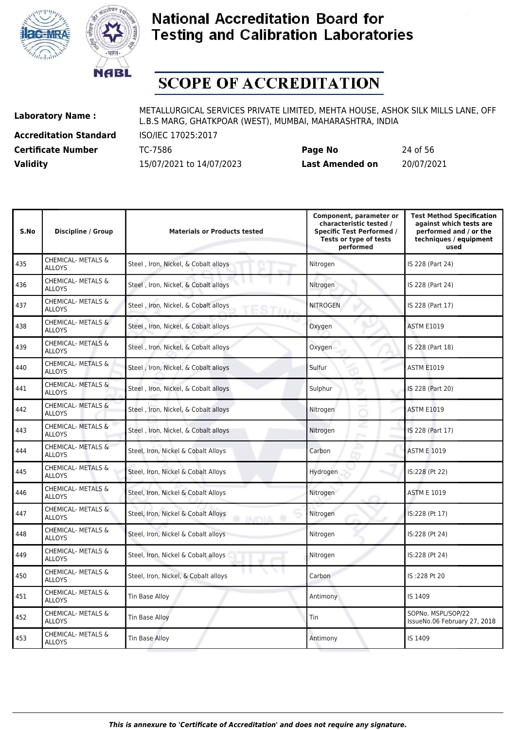



# **SCOPE OF ACCREDITATION**

**Accreditation Standard** ISO/IEC 17025:2017

| <b>Certificate Number</b> | TC-7586                  | Page No                | 24 of 56   |
|---------------------------|--------------------------|------------------------|------------|
| <b>Validity</b>           | 15/07/2021 to 14/07/2023 | <b>Last Amended on</b> | 20/07/2021 |

| S.No | <b>Discipline / Group</b>                      | <b>Materials or Products tested</b>                   | Component, parameter or<br>characteristic tested /<br><b>Specific Test Performed /</b><br>Tests or type of tests<br>performed | <b>Test Method Specification</b><br>against which tests are<br>performed and / or the<br>techniques / equipment<br>used |
|------|------------------------------------------------|-------------------------------------------------------|-------------------------------------------------------------------------------------------------------------------------------|-------------------------------------------------------------------------------------------------------------------------|
| 435  | <b>CHEMICAL- METALS &amp;</b><br><b>ALLOYS</b> | Steel, Iron, Nickel, & Cobalt alloys                  | Nitrogen                                                                                                                      | IS 228 (Part 24)                                                                                                        |
| 436  | CHEMICAL- METALS &<br><b>ALLOYS</b>            | Steel, Iron, Nickel, & Cobalt alloys                  | Nitrogen                                                                                                                      | IS 228 (Part 24)                                                                                                        |
| 437  | <b>CHEMICAL- METALS &amp;</b><br><b>ALLOYS</b> | Steel, Iron, Nickel, & Cobalt alloys<br>STIA          | <b>NITROGEN</b>                                                                                                               | IS 228 (Part 17)                                                                                                        |
| 438  | CHEMICAL- METALS &<br><b>ALLOYS</b>            | Steel, Iron, Nickel, & Cobalt alloys                  | Oxygen                                                                                                                        | <b>ASTM E1019</b>                                                                                                       |
| 439  | CHEMICAL- METALS &<br><b>ALLOYS</b>            | Steel, Iron, Nickel, & Cobalt alloys                  | Oxygen                                                                                                                        | IS 228 (Part 18)                                                                                                        |
| 440  | <b>CHEMICAL- METALS &amp;</b><br><b>ALLOYS</b> | Steel, Iron, Nickel, & Cobalt alloys                  | Sulfur                                                                                                                        | <b>ASTM E1019</b>                                                                                                       |
| 441  | <b>CHEMICAL- METALS &amp;</b><br><b>ALLOYS</b> | Steel, Iron, Nickel, & Cobalt alloys                  | Sulphur                                                                                                                       | IS 228 (Part 20)                                                                                                        |
| 442  | CHEMICAL- METALS &<br><b>ALLOYS</b>            | Steel, Iron, Nickel, & Cobalt alloys                  | Nitrogen                                                                                                                      | <b>ASTM E1019</b>                                                                                                       |
| 443  | CHEMICAL- METALS &<br><b>ALLOYS</b>            | Steel, Iron, Nickel, & Cobalt alloys                  | Nitrogen                                                                                                                      | IS 228 (Part 17)                                                                                                        |
| 444  | CHEMICAL- METALS &<br><b>ALLOYS</b>            | Steel, Iron, Nickel & Cobalt Alloys                   | Carbon                                                                                                                        | <b>ASTM E 1019</b>                                                                                                      |
| 445  | CHEMICAL- METALS &<br><b>ALLOYS</b>            | Steel, Iron, Nickel & Cobalt Alloys                   | Hydrogen                                                                                                                      | IS:228 (Pt 22)                                                                                                          |
| 446  | <b>CHEMICAL- METALS &amp;</b><br><b>ALLOYS</b> | Steel, Iron, Nickel & Cobalt Alloys                   | Nitrogen                                                                                                                      | <b>ASTM E 1019</b>                                                                                                      |
| 447  | <b>CHEMICAL- METALS &amp;</b><br><b>ALLOYS</b> | Steel, Iron, Nickel & Cobalt Alloys<br><b>INDIA ®</b> | Nitrogen                                                                                                                      | IS:228 (Pt 17)                                                                                                          |
| 448  | CHEMICAL- METALS &<br><b>ALLOYS</b>            | Steel, Iron, Nickel & Cobalt alloys                   | Nitrogen                                                                                                                      | IS:228 (Pt 24)                                                                                                          |
| 449  | <b>CHEMICAL- METALS &amp;</b><br><b>ALLOYS</b> | Steel, Iron, Nickel & Cobalt alloys                   | Nitrogen                                                                                                                      | IS:228 (Pt 24)                                                                                                          |
| 450  | CHEMICAL- METALS &<br><b>ALLOYS</b>            | Steel, Iron, Nickel, & Cobalt alloys                  | Carbon                                                                                                                        | IS:228 Pt 20                                                                                                            |
| 451  | CHEMICAL- METALS &<br><b>ALLOYS</b>            | Tin Base Alloy                                        | Antimony                                                                                                                      | IS 1409                                                                                                                 |
| 452  | CHEMICAL- METALS &<br><b>ALLOYS</b>            | Tin Base Alloy                                        | Tin                                                                                                                           | SOPNo. MSPL/SOP/22<br>IssueNo.06 February 27, 2018                                                                      |
| 453  | <b>CHEMICAL- METALS &amp;</b><br><b>ALLOYS</b> | <b>Tin Base Alloy</b>                                 | Antimony                                                                                                                      | IS 1409                                                                                                                 |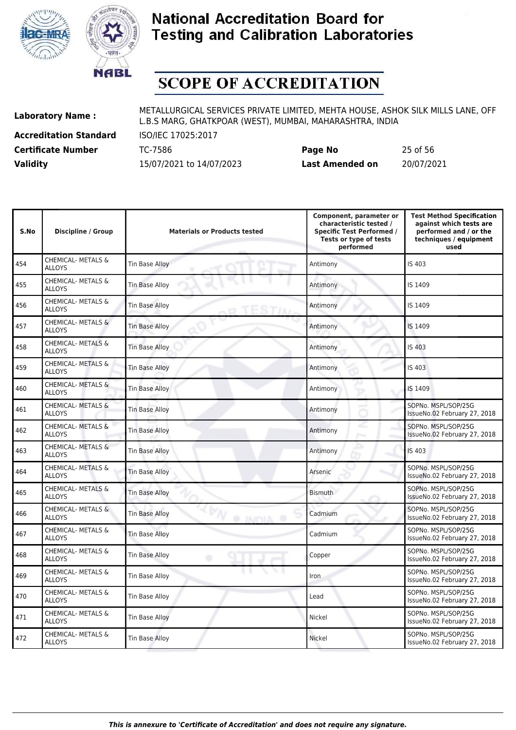



# **SCOPE OF ACCREDITATION**

**Accreditation Standard** ISO/IEC 17025:2017

| <b>Certificate Number</b> | TC-7586                  | Page No                | 25 of 56   |
|---------------------------|--------------------------|------------------------|------------|
| <b>Validity</b>           | 15/07/2021 to 14/07/2023 | <b>Last Amended on</b> | 20/07/2021 |

| S.No | Discipline / Group                             | <b>Materials or Products tested</b>            | Component, parameter or<br>characteristic tested /<br><b>Specific Test Performed /</b><br>Tests or type of tests<br>performed | <b>Test Method Specification</b><br>against which tests are<br>performed and / or the<br>techniques / equipment<br>used |
|------|------------------------------------------------|------------------------------------------------|-------------------------------------------------------------------------------------------------------------------------------|-------------------------------------------------------------------------------------------------------------------------|
| 454  | <b>CHEMICAL- METALS &amp;</b><br><b>ALLOYS</b> | Tin Base Alloy                                 | Antimony                                                                                                                      | IS 403                                                                                                                  |
| 455  | CHEMICAL- METALS &<br><b>ALLOYS</b>            | Tin Base Alloy                                 | Antimony                                                                                                                      | IS 1409                                                                                                                 |
| 456  | <b>CHEMICAL- METALS &amp;</b><br><b>ALLOYS</b> | <b>Tin Base Alloy</b>                          | Antimony                                                                                                                      | IS 1409                                                                                                                 |
| 457  | <b>CHEMICAL- METALS &amp;</b><br><b>ALLOYS</b> | Tin Base Alloy                                 | Antimony                                                                                                                      | IS 1409                                                                                                                 |
| 458  | <b>CHEMICAL- METALS &amp;</b><br><b>ALLOYS</b> | <b>Tin Base Alloy</b>                          | Antimony                                                                                                                      | IS 403                                                                                                                  |
| 459  | CHEMICAL- METALS &<br><b>ALLOYS</b>            | <b>Tin Base Alloy</b>                          | Antimony                                                                                                                      | IS 403                                                                                                                  |
| 460  | CHEMICAL- METALS &<br><b>ALLOYS</b>            | <b>Tin Base Alloy</b>                          | Antimony<br>÷                                                                                                                 | IS 1409                                                                                                                 |
| 461  | <b>CHEMICAL- METALS &amp;</b><br><b>ALLOYS</b> | <b>Tin Base Alloy</b>                          | Antimony                                                                                                                      | SOPNo. MSPL/SOP/25G<br>IssueNo.02 February 27, 2018                                                                     |
| 462  | <b>CHEMICAL- METALS &amp;</b><br><b>ALLOYS</b> | <b>Tin Base Alloy</b>                          | Antimony                                                                                                                      | SOPNo. MSPL/SOP/25G<br>IssueNo.02 February 27, 2018                                                                     |
| 463  | <b>CHEMICAL- METALS &amp;</b><br><b>ALLOYS</b> | <b>Tin Base Alloy</b>                          | Antimony                                                                                                                      | <b>IS 403</b>                                                                                                           |
| 464  | <b>CHEMICAL- METALS &amp;</b><br><b>ALLOYS</b> | Tin Base Alloy                                 | Arsenic                                                                                                                       | SOPNo. MSPL/SOP/25G<br>IssueNo.02 February 27, 2018                                                                     |
| 465  | <b>CHEMICAL- METALS &amp;</b><br><b>ALLOYS</b> | <b>Tin Base Alloy</b>                          | <b>Bismuth</b>                                                                                                                | SOPNo. MSPL/SOP/25G<br>IssueNo.02 February 27, 2018                                                                     |
| 466  | <b>CHEMICAL- METALS &amp;</b><br><b>ALLOYS</b> | <b>Tin Base Alloy</b><br><b>O INITYIA</b><br>œ | Cadmium                                                                                                                       | SOPNo. MSPL/SOP/25G<br>IssueNo.02 February 27, 2018                                                                     |
| 467  | <b>CHEMICAL- METALS &amp;</b><br><b>ALLOYS</b> | <b>Tin Base Alloy</b>                          | Cadmium                                                                                                                       | SOPNo. MSPL/SOP/25G<br>IssueNo.02 February 27, 2018                                                                     |
| 468  | CHEMICAL- METALS &<br><b>ALLOYS</b>            | Tin Base Alloy<br>۰                            | Copper                                                                                                                        | SOPNo. MSPL/SOP/25G<br>IssueNo.02 February 27, 2018                                                                     |
| 469  | CHEMICAL- METALS &<br><b>ALLOYS</b>            | Tin Base Alloy                                 | Iron                                                                                                                          | SOPNo. MSPL/SOP/25G<br>IssueNo.02 February 27, 2018                                                                     |
| 470  | <b>CHEMICAL- METALS &amp;</b><br><b>ALLOYS</b> | Tin Base Alloy                                 | Lead                                                                                                                          | SOPNo. MSPL/SOP/25G<br>IssueNo.02 February 27, 2018                                                                     |
| 471  | <b>CHEMICAL- METALS &amp;</b><br><b>ALLOYS</b> | Tin Base Alloy                                 | Nickel                                                                                                                        | SOPNo. MSPL/SOP/25G<br>IssueNo.02 February 27, 2018                                                                     |
| 472  | <b>CHEMICAL- METALS &amp;</b><br><b>ALLOYS</b> | <b>Tin Base Alloy</b>                          | Nickel                                                                                                                        | SOPNo. MSPL/SOP/25G<br>IssueNo.02 February 27, 2018                                                                     |
|      |                                                |                                                |                                                                                                                               |                                                                                                                         |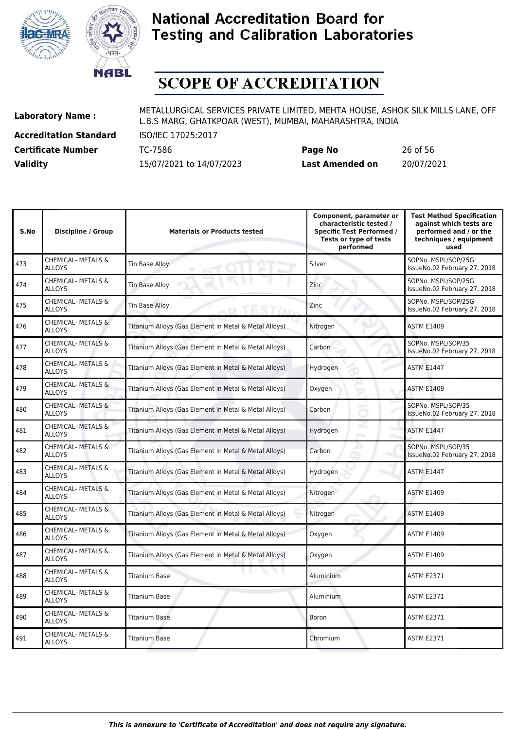



# **SCOPE OF ACCREDITATION**

**Accreditation Standard** ISO/IEC 17025:2017

**Laboratory Name :** METALLURGICAL SERVICES PRIVATE LIMITED, MEHTA HOUSE, ASHOK SILK MILLS LANE, OFF L.B.S MARG, GHATKPOAR (WEST), MUMBAI, MAHARASHTRA, INDIA

**Certificate Number** TC-7586 **Page No** 26 of 56 **Validity** 15/07/2021 to 14/07/2023 **Last Amended on** 20/07/2021

| S.No | <b>Discipline / Group</b>                      | <b>Materials or Products tested</b>                   | Component, parameter or<br>characteristic tested /<br><b>Specific Test Performed /</b><br>Tests or type of tests<br>performed | <b>Test Method Specification</b><br>against which tests are<br>performed and / or the<br>techniques / equipment<br>used |
|------|------------------------------------------------|-------------------------------------------------------|-------------------------------------------------------------------------------------------------------------------------------|-------------------------------------------------------------------------------------------------------------------------|
| 473  | <b>CHEMICAL- METALS &amp;</b><br><b>ALLOYS</b> | <b>Tin Base Alloy</b>                                 | Silver                                                                                                                        | SOPNo. MSPL/SOP/25G<br>IssueNo.02 February 27, 2018                                                                     |
| 474  | CHEMICAL- METALS &<br><b>ALLOYS</b>            | Tin Base Alloy                                        | Zinc                                                                                                                          | SOPNo. MSPL/SOP/25G<br>IssueNo.02 February 27, 2018                                                                     |
| 475  | CHEMICAL- METALS &<br><b>ALLOYS</b>            | <b>Tin Base Alloy</b><br>STIAI                        | Zinc                                                                                                                          | SOPNo. MSPL/SOP/25G<br>IssueNo.02 February 27, 2018                                                                     |
| 476  | CHEMICAL- METALS &<br><b>ALLOYS</b>            | Titanium Alloys (Gas Element in Metal & Metal Alloys) | Nitrogen                                                                                                                      | <b>ASTM E1409</b>                                                                                                       |
| 477  | <b>CHEMICAL- METALS &amp;</b><br><b>ALLOYS</b> | Titanium Alloys (Gas Element In Metal & Metal Alloys) | Carbon                                                                                                                        | SOPNo. MSPL/SOP/35<br>IssueNo.02 February 27, 2018                                                                      |
| 478  | <b>CHEMICAL- METALS &amp;</b><br><b>ALLOYS</b> | Titanium Alloys (Gas Element in Metal & Metal Alloys) | Hydrogen                                                                                                                      | <b>ASTM E1447</b>                                                                                                       |
| 479  | CHEMICAL- METALS &<br><b>ALLOYS</b>            | Titanium Alloys (Gas Element in Metal & Metal Alloys) | Oxygen                                                                                                                        | <b>ASTM E1409</b>                                                                                                       |
| 480  | CHEMICAL- METALS &<br><b>ALLOYS</b>            | Titanium Alloys (Gas Element In Metal & Metal Alloys) | Carbon                                                                                                                        | SOPNo. MSPL/SOP/35<br>IssueNo.02 February 27, 2018                                                                      |
| 481  | CHEMICAL- METALS &<br><b>ALLOYS</b>            | Titanium Alloys (Gas Element in Metal & Metal Alloys) | Hydrogen                                                                                                                      | <b>ASTM E1447</b>                                                                                                       |
| 482  | CHEMICAL- METALS &<br><b>ALLOYS</b>            | Titanium Alloys (Gas Element In Metal & Metal Alloys) | Carbon                                                                                                                        | SOPNo. MSPL/SOP/35<br>IssueNo.02 February 27, 2018                                                                      |
| 483  | CHEMICAL- METALS &<br><b>ALLOYS</b>            | Titanium Alloys (Gas Element in Metal & Metal Alloys) | Hydrogen                                                                                                                      | <b>ASTM E1447</b>                                                                                                       |
| 484  | CHEMICAL- METALS &<br><b>ALLOYS</b>            | Titanium Alloys (Gas Element in Metal & Metal Alloys) | Nitrogen                                                                                                                      | <b>ASTM E1409</b>                                                                                                       |
| 485  | <b>CHEMICAL- METALS &amp;</b><br><b>ALLOYS</b> | Titanium Alloys (Gas Element in Metal & Metal Alloys) | Nitrogen                                                                                                                      | <b>ASTM E1409</b>                                                                                                       |
| 486  | CHEMICAL- METALS &<br><b>ALLOYS</b>            | Titanium Alloys (Gas Element in Metal & Metal Alloys) | Oxygen                                                                                                                        | <b>ASTM E1409</b>                                                                                                       |
| 487  | CHEMICAL- METALS &<br><b>ALLOYS</b>            | Titanium Alloys (Gas Element in Metal & Metal Alloys) | Oxygen                                                                                                                        | <b>ASTM E1409</b>                                                                                                       |
| 488  | CHEMICAL- METALS &<br><b>ALLOYS</b>            | <b>Titanium Base</b>                                  | Aluminium                                                                                                                     | <b>ASTM E2371</b>                                                                                                       |
| 489  | CHEMICAL- METALS &<br><b>ALLOYS</b>            | <b>Titanium Base</b>                                  | Aluminium                                                                                                                     | <b>ASTM E2371</b>                                                                                                       |
| 490  | <b>CHEMICAL- METALS &amp;</b><br><b>ALLOYS</b> | <b>Titanium Base</b>                                  | Boron                                                                                                                         | <b>ASTM E2371</b>                                                                                                       |
| 491  | <b>CHEMICAL- METALS &amp;</b><br><b>ALLOYS</b> | <b>Titanium Base</b>                                  | Chromium                                                                                                                      | <b>ASTM E2371</b>                                                                                                       |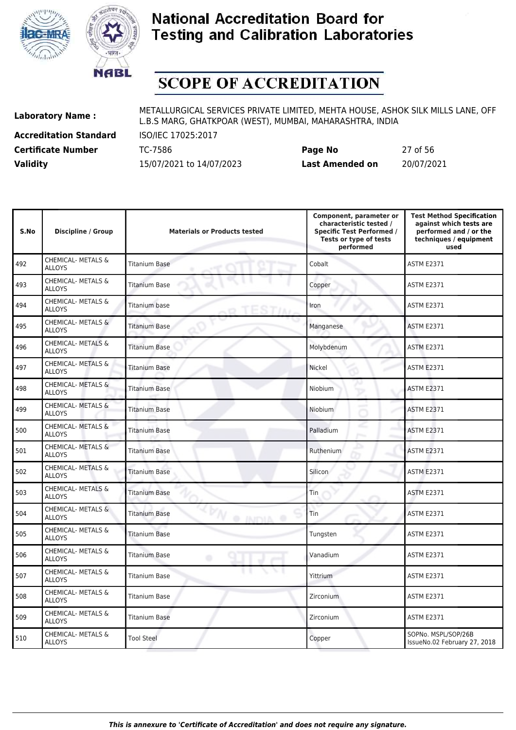



# **SCOPE OF ACCREDITATION**

**Accreditation Standard** ISO/IEC 17025:2017

**Laboratory Name :** METALLURGICAL SERVICES PRIVATE LIMITED, MEHTA HOUSE, ASHOK SILK MILLS LANE, OFF L.B.S MARG, GHATKPOAR (WEST), MUMBAI, MAHARASHTRA, INDIA

**Certificate Number** TC-7586 **Page No** 27 of 56 **Validity** 15/07/2021 to 14/07/2023 **Last Amended on** 20/07/2021

| S.No | <b>Discipline / Group</b>                      | <b>Materials or Products tested</b> | Component, parameter or<br>characteristic tested /<br><b>Specific Test Performed /</b><br>Tests or type of tests<br>performed | <b>Test Method Specification</b><br>against which tests are<br>performed and / or the<br>techniques / equipment<br>used |
|------|------------------------------------------------|-------------------------------------|-------------------------------------------------------------------------------------------------------------------------------|-------------------------------------------------------------------------------------------------------------------------|
| 492  | <b>CHEMICAL- METALS &amp;</b><br><b>ALLOYS</b> | <b>Titanium Base</b>                | Cobalt                                                                                                                        | <b>ASTM E2371</b>                                                                                                       |
| 493  | CHEMICAL- METALS &<br><b>ALLOYS</b>            | <b>Titanium Base</b>                | Copper                                                                                                                        | <b>ASTM E2371</b>                                                                                                       |
| 494  | CHEMICAL- METALS &<br><b>ALLOYS</b>            | Titanium base                       | Iron                                                                                                                          | <b>ASTM E2371</b>                                                                                                       |
| 495  | <b>CHEMICAL- METALS &amp;</b><br><b>ALLOYS</b> | <b>Titanium Base</b>                | Manganese                                                                                                                     | <b>ASTM E2371</b>                                                                                                       |
| 496  | <b>CHEMICAL- METALS &amp;</b><br><b>ALLOYS</b> | <b>Titanium Base</b>                | Molybdenum                                                                                                                    | <b>ASTM E2371</b>                                                                                                       |
| 497  | CHEMICAL- METALS &<br><b>ALLOYS</b>            | <b>Titanium Base</b>                | Nickel                                                                                                                        | <b>ASTM E2371</b>                                                                                                       |
| 498  | CHEMICAL- METALS &<br><b>ALLOYS</b>            | <b>Titanium Base</b>                | Niobium                                                                                                                       | <b>ASTM E2371</b>                                                                                                       |
| 499  | CHEMICAL- METALS &<br><b>ALLOYS</b>            | Titanium Base                       | Niobium                                                                                                                       | ASTM E2371                                                                                                              |
| 500  | CHEMICAL- METALS &<br><b>ALLOYS</b>            | <b>Titanium Base</b>                | Palladium                                                                                                                     | <b>ASTM E2371</b>                                                                                                       |
| 501  | <b>CHEMICAL- METALS &amp;</b><br><b>ALLOYS</b> | <b>Titanium Base</b>                | Ruthenium                                                                                                                     | <b>ASTM E2371</b>                                                                                                       |
| 502  | <b>CHEMICAL- METALS &amp;</b><br><b>ALLOYS</b> | <b>Titanium Base</b>                | Silicon                                                                                                                       | <b>ASTM E2371</b>                                                                                                       |
| 503  | <b>CHEMICAL- METALS &amp;</b><br><b>ALLOYS</b> | <b>Titanium Base</b>                | Tin                                                                                                                           | <b>ASTM E2371</b>                                                                                                       |
| 504  | <b>CHEMICAL- METALS &amp;</b><br><b>ALLOYS</b> | <b>Titanium Base</b><br>@ INIDIA    | Tin                                                                                                                           | <b>ASTM E2371</b>                                                                                                       |
| 505  | CHEMICAL- METALS &<br><b>ALLOYS</b>            | <b>Titanium Base</b>                | Tungsten                                                                                                                      | <b>ASTM E2371</b>                                                                                                       |
| 506  | CHEMICAL- METALS &<br><b>ALLOYS</b>            | <b>Titanium Base</b><br>۰           | Vanadium                                                                                                                      | ASTM E2371                                                                                                              |
| 507  | <b>CHEMICAL- METALS &amp;</b><br><b>ALLOYS</b> | Titanium Base                       | Yittrium                                                                                                                      | ASTM E2371                                                                                                              |
| 508  | CHEMICAL- METALS &<br><b>ALLOYS</b>            | <b>Titanium Base</b>                | Zirconium                                                                                                                     | ASTM E2371                                                                                                              |
| 509  | CHEMICAL- METALS &<br><b>ALLOYS</b>            | Titanium Base                       | Zirconium                                                                                                                     | ASTM E2371                                                                                                              |
| 510  | <b>CHEMICAL- METALS &amp;</b><br>ALLOYS        | <b>Tool Steel</b>                   | Copper                                                                                                                        | SOPNo. MSPL/SOP/26B<br>IssueNo.02 February 27, 2018                                                                     |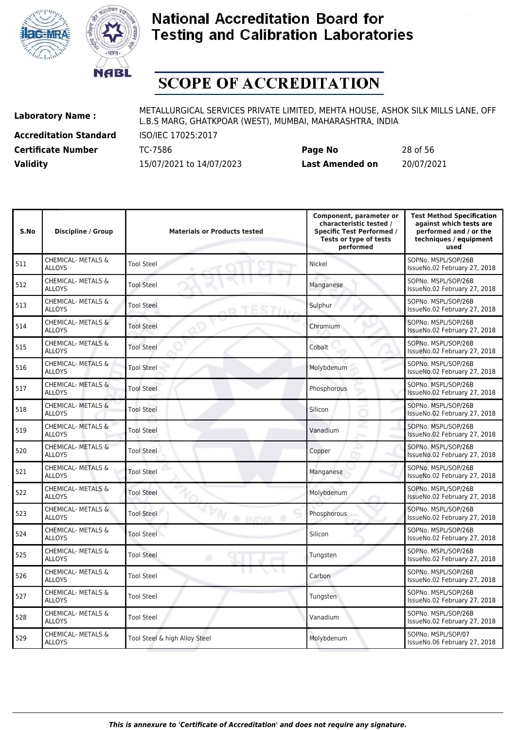



# **SCOPE OF ACCREDITATION**

511

512

513

514

515

517

518

519

520

522

523

524

525

526

527

528

529 CHEMICAL- METALS &

**Accreditation Standard** ISO/IEC 17025:2017

**Laboratory Name :** METALLURGICAL SERVICES PRIVATE LIMITED, MEHTA HOUSE, ASHOK SILK MILLS LANE, OFF L.B.S MARG, GHATKPOAR (WEST), MUMBAI, MAHARASHTRA, INDIA

**Certificate Number** TC-7586 **Page No** 28 of 56 **Validity** 15/07/2021 to 14/07/2023 **Last Amended on** 20/07/2021

| S.No | <b>Discipline / Group</b>                      | <b>Materials or Products tested</b>      | Component, parameter or<br>characteristic tested /<br><b>Specific Test Performed /</b><br>Tests or type of tests<br>performed | <b>Test Method Specification</b><br>against which tests are<br>performed and / or the<br>techniques / equipment<br>used |
|------|------------------------------------------------|------------------------------------------|-------------------------------------------------------------------------------------------------------------------------------|-------------------------------------------------------------------------------------------------------------------------|
| 511  | <b>CHEMICAL- METALS &amp;</b><br><b>ALLOYS</b> | <b>Tool Steel</b>                        | Nickel                                                                                                                        | SOPNo. MSPL/SOP/26B<br>IssueNo.02 February 27, 2018                                                                     |
| 512  | CHEMICAL- METALS &<br><b>ALLOYS</b>            | <b>Tool Steel</b>                        | Manganese                                                                                                                     | SOPNo. MSPL/SOP/26B<br>IssueNo.02 February 27, 2018                                                                     |
| 513  | <b>CHEMICAL- METALS &amp;</b><br><b>ALLOYS</b> | <b>Tool Steel</b>                        | Sulphur                                                                                                                       | SOPNo. MSPL/SOP/26B<br>IssueNo.02 February 27, 2018                                                                     |
| 514  | <b>CHEMICAL- METALS &amp;</b><br><b>ALLOYS</b> | <b>Tool Steel</b>                        | Chromium                                                                                                                      | SOPNo. MSPL/SOP/26B<br>IssueNo.02 February 27, 2018                                                                     |
| 515  | CHEMICAL- METALS &<br><b>ALLOYS</b>            | <b>Tool Steel</b>                        | Cobalt                                                                                                                        | SOPNo. MSPL/SOP/26B<br>IssueNo.02 February 27, 2018                                                                     |
| 516  | <b>CHEMICAL- METALS &amp;</b><br><b>ALLOYS</b> | <b>Tool Steel</b>                        | Molybdenum                                                                                                                    | SOPNo. MSPL/SOP/26B<br>IssueNo.02 February 27, 2018                                                                     |
| 517  | CHEMICAL- METALS &<br><b>ALLOYS</b>            | <b>Tool Steel</b>                        | Phosphorous                                                                                                                   | SOPNo. MSPL/SOP/26B<br>IssueNo.02 February 27, 2018                                                                     |
| 518  | <b>CHEMICAL- METALS &amp;</b><br><b>ALLOYS</b> | <b>Tool Steel</b>                        | Silicon                                                                                                                       | SOPNo. MSPL/SOP/26B<br>IssueNo.02 February 27, 2018                                                                     |
| 519  | CHEMICAL- METALS &<br><b>ALLOYS</b>            | <b>Tool Steel</b>                        | Vanadium                                                                                                                      | SOPNo. MSPL/SOP/26B<br>IssueNo.02 February 27, 2018                                                                     |
| 520  | <b>CHEMICAL- METALS &amp;</b><br><b>ALLOYS</b> | <b>Tool Steel</b>                        | Copper                                                                                                                        | SOPNo. MSPL/SOP/26B<br>IssueNo.02 February 27, 2018                                                                     |
| 521  | CHEMICAL- METALS &<br><b>ALLOYS</b>            | <b>Tool Steel</b>                        | Manganese                                                                                                                     | SOPNo. MSPL/SOP/26B<br>IssueNo.02 February 27, 2018                                                                     |
| 522  | <b>CHEMICAL- METALS &amp;</b><br><b>ALLOYS</b> | <b>Tool Steel</b>                        | Molybdenum                                                                                                                    | SOPNo. MSPL/SOP/26B<br>IssueNo.02 February 27, 2018                                                                     |
| 523  | CHEMICAL- METALS &<br><b>ALLOYS</b>            | <b>Tool Steel</b><br><b>JAIPALA</b><br>۰ | Phosphorous                                                                                                                   | SOPNo. MSPL/SOP/26B<br>IssueNo.02 February 27, 2018                                                                     |
| 524  | <b>CHEMICAL- METALS &amp;</b><br><b>ALLOYS</b> | <b>Tool Steel</b>                        | Silicon                                                                                                                       | SOPNo. MSPL/SOP/26B<br>IssueNo.02 February 27, 2018                                                                     |
| 525  | <b>CHEMICAL- METALS &amp;</b><br><b>ALLOYS</b> | <b>Tool Steel</b>                        | Tungsten                                                                                                                      | SOPNo. MSPL/SOP/26B<br>IssueNo.02 February 27, 2018                                                                     |
| 526  | CHEMICAL- METALS &<br><b>ALLOYS</b>            | <b>Tool Steel</b>                        | Carbon                                                                                                                        | SOPNo. MSPL/SOP/26B<br>IssueNo.02 February 27, 2018                                                                     |
| 527  | CHEMICAL- METALS &<br><b>ALLOYS</b>            | <b>Tool Steel</b>                        | Tungsten                                                                                                                      | SOPNo. MSPL/SOP/26B<br>IssueNo.02 February 27, 2018                                                                     |
| 528  | <b>CHEMICAL- METALS &amp;</b><br><b>ALLOYS</b> | <b>Tool Steel</b>                        | Vanadium                                                                                                                      | SOPNo. MSPL/SOP/26B<br>IssueNo.02 February 27, 2018                                                                     |

Tool Steel & high Alloy Steel Molybdenum North Molybdenum SOPNo. MSPL/SOP/07

IssueNo.06 February 27, 2018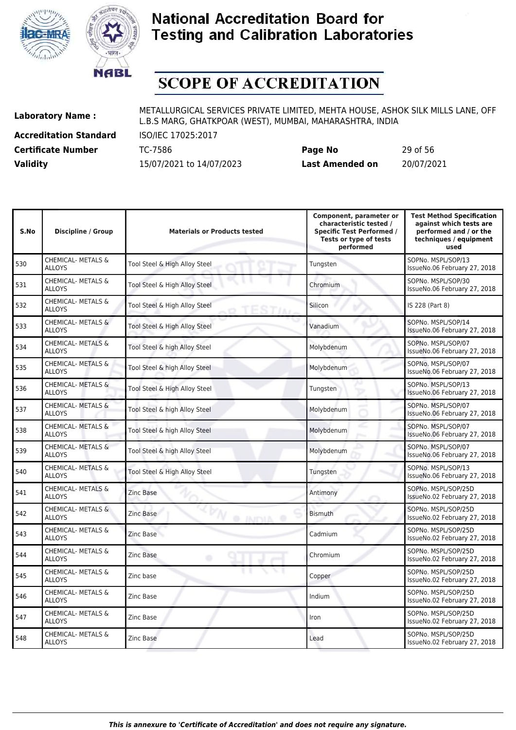



# **SCOPE OF ACCREDITATION**

**Accreditation Standard** ISO/IEC 17025:2017

**Laboratory Name :** METALLURGICAL SERVICES PRIVATE LIMITED, MEHTA HOUSE, ASHOK SILK MILLS LANE, OFF L.B.S MARG, GHATKPOAR (WEST), MUMBAI, MAHARASHTRA, INDIA

**Certificate Number** TC-7586 **Page No** 29 of 56 **Validity** 15/07/2021 to 14/07/2023 **Last Amended on** 20/07/2021

| S.No | Discipline / Group                             | <b>Materials or Products tested</b> | Component, parameter or<br>characteristic tested /<br><b>Specific Test Performed /</b><br>Tests or type of tests<br>performed | <b>Test Method Specification</b><br>against which tests are<br>performed and / or the<br>techniques / equipment<br>used |
|------|------------------------------------------------|-------------------------------------|-------------------------------------------------------------------------------------------------------------------------------|-------------------------------------------------------------------------------------------------------------------------|
| 530  | <b>CHEMICAL- METALS &amp;</b><br><b>ALLOYS</b> | Tool Steel & High Alloy Steel       | Tungsten                                                                                                                      | SOPNo. MSPL/SOP/13<br>IssueNo.06 February 27, 2018                                                                      |
| 531  | <b>CHEMICAL- METALS &amp;</b><br><b>ALLOYS</b> | Tool Steel & High Alloy Steel       | Chromium                                                                                                                      | SOPNo. MSPL/SOP/30<br>IssueNo.06 February 27, 2018                                                                      |
| 532  | <b>CHEMICAL- METALS &amp;</b><br><b>ALLOYS</b> | Tool Steel & High Alloy Steel       | Silicon                                                                                                                       | IS 228 (Part 8)                                                                                                         |
| 533  | <b>CHEMICAL- METALS &amp;</b><br><b>ALLOYS</b> | Tool Steel & High Alloy Steel       | Vanadium                                                                                                                      | SOPNo. MSPL/SOP/14<br>IssueNo.06 February 27, 2018                                                                      |
| 534  | <b>CHEMICAL- METALS &amp;</b><br><b>ALLOYS</b> | Tool Steel & high Alloy Steel       | Molybdenum                                                                                                                    | SOPNo. MSPL/SOP/07<br>IssueNo.06 February 27, 2018                                                                      |
| 535  | CHEMICAL- METALS &<br><b>ALLOYS</b>            | Tool Steel & high Alloy Steel       | Molybdenum                                                                                                                    | SOPNo. MSPL/SOP/07<br>IssueNo.06 February 27, 2018                                                                      |
| 536  | CHEMICAL- METALS &<br><b>ALLOYS</b>            | Tool Steel & High Alloy Steel       | Tungsten                                                                                                                      | SOPNo. MSPL/SOP/13<br>IssueNo.06 February 27, 2018                                                                      |
| 537  | <b>CHEMICAL- METALS &amp;</b><br><b>ALLOYS</b> | Tool Steel & high Alloy Steel       | Molybdenum                                                                                                                    | SOPNo. MSPL/SOP/07<br>IssueNo.06 February 27, 2018                                                                      |
| 538  | CHEMICAL- METALS &<br><b>ALLOYS</b>            | Tool Steel & high Alloy Steel       | Molybdenum                                                                                                                    | SOPNo. MSPL/SOP/07<br>IssueNo.06 February 27, 2018                                                                      |
| 539  | CHEMICAL- METALS &<br><b>ALLOYS</b>            | Tool Steel & high Alloy Steel       | Molybdenum                                                                                                                    | SOPNo. MSPL/SOP/07<br>IssueNo.06 February 27, 2018                                                                      |
| 540  | <b>CHEMICAL- METALS &amp;</b><br><b>ALLOYS</b> | Tool Steel & High Alloy Steel       | Tungsten                                                                                                                      | SOPNo. MSPL/SOP/13<br>IssueNo.06 February 27, 2018                                                                      |
| 541  | CHEMICAL- METALS &<br><b>ALLOYS</b>            | Zinc Base                           | Antimony                                                                                                                      | SOPNo. MSPL/SOP/25D<br>IssueNo.02 February 27, 2018                                                                     |
| 542  | <b>CHEMICAL- METALS &amp;</b><br><b>ALLOYS</b> | Zinc Base<br><b>INDIA</b>           | <b>Bismuth</b>                                                                                                                | SOPNo. MSPL/SOP/25D<br>IssueNo.02 February 27, 2018                                                                     |
| 543  | <b>CHEMICAL- METALS &amp;</b><br><b>ALLOYS</b> | Zinc Base                           | Cadmium                                                                                                                       | SOPNo. MSPL/SOP/25D<br>IssueNo.02 February 27, 2018                                                                     |
| 544  | <b>CHEMICAL- METALS &amp;</b><br><b>ALLOYS</b> | Zinc Base<br>۰                      | Chromium                                                                                                                      | SOPNo. MSPL/SOP/25D<br>IssueNo.02 February 27, 2018                                                                     |
| 545  | CHEMICAL- METALS &<br><b>ALLOYS</b>            | Zinc base                           | Copper                                                                                                                        | SOPNo. MSPL/SOP/25D<br>IssueNo.02 February 27, 2018                                                                     |
| 546  | <b>CHEMICAL- METALS &amp;</b><br><b>ALLOYS</b> | Zinc Base                           | Indium                                                                                                                        | SOPNo. MSPL/SOP/25D<br>IssueNo.02 February 27, 2018                                                                     |
| 547  | CHEMICAL- METALS &<br><b>ALLOYS</b>            | Zinc Base                           | Iron                                                                                                                          | SOPNo. MSPL/SOP/25D<br>IssueNo.02 February 27, 2018                                                                     |
| 548  | CHEMICAL- METALS &<br><b>ALLOYS</b>            | Zinc Base                           | Lead                                                                                                                          | SOPNo. MSPL/SOP/25D<br>IssueNo.02 February 27, 2018                                                                     |
|      |                                                |                                     |                                                                                                                               |                                                                                                                         |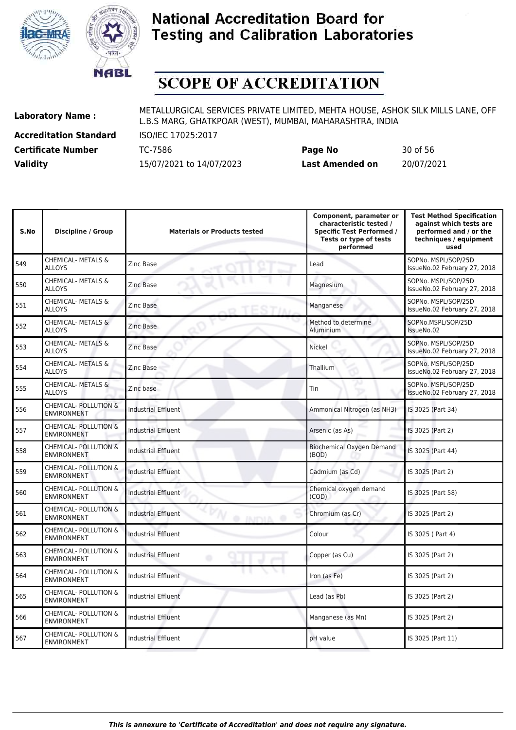



# **SCOPE OF ACCREDITATION**

**Accreditation Standard** ISO/IEC 17025:2017

567 CHEMICAL- POLLUTION &

**Laboratory Name :** METALLURGICAL SERVICES PRIVATE LIMITED, MEHTA HOUSE, ASHOK SILK MILLS LANE, OFF L.B.S MARG, GHATKPOAR (WEST), MUMBAI, MAHARASHTRA, INDIA

**Certificate Number** TC-7586 **Page No** 30 of 56 **Validity** 15/07/2021 to 14/07/2023 **Last Amended on** 20/07/2021

| S.No | <b>Discipline / Group</b>                              | <b>Materials or Products tested</b>   | Component, parameter or<br>characteristic tested /<br><b>Specific Test Performed /</b><br>Tests or type of tests<br>performed | <b>Test Method Specification</b><br>against which tests are<br>performed and / or the<br>techniques / equipment<br>used |
|------|--------------------------------------------------------|---------------------------------------|-------------------------------------------------------------------------------------------------------------------------------|-------------------------------------------------------------------------------------------------------------------------|
| 549  | <b>CHEMICAL- METALS &amp;</b><br><b>ALLOYS</b>         | Zinc Base                             | Lead                                                                                                                          | SOPNo. MSPL/SOP/25D<br>IssueNo.02 February 27, 2018                                                                     |
| 550  | CHEMICAL- METALS &<br><b>ALLOYS</b>                    | <b>Zinc Base</b>                      | Magnesium                                                                                                                     | SOPNo. MSPL/SOP/25D<br>IssueNo.02 February 27, 2018                                                                     |
| 551  | CHEMICAL- METALS &<br><b>ALLOYS</b>                    | Zinc Base                             | Manganese                                                                                                                     | SOPNo. MSPL/SOP/25D<br>IssueNo.02 February 27, 2018                                                                     |
| 552  | <b>CHEMICAL- METALS &amp;</b><br><b>ALLOYS</b>         | Zinc Base                             | Method to determine<br>Aluminium                                                                                              | SOPNo.MSPL/SOP/25D<br>IssueNo.02                                                                                        |
| 553  | CHEMICAL- METALS &<br><b>ALLOYS</b>                    | Zinc Base                             | Nickel                                                                                                                        | SOPNo. MSPL/SOP/25D<br>IssueNo.02 February 27, 2018                                                                     |
| 554  | CHEMICAL- METALS &<br><b>ALLOYS</b>                    | Zinc Base                             | Thallium                                                                                                                      | SOPNo. MSPL/SOP/25D<br>IssueNo.02 February 27, 2018                                                                     |
| 555  | CHEMICAL- METALS &<br>ALLOYS                           | Zinc base                             | Tin                                                                                                                           | SOPNo. MSPL/SOP/25D<br>IssueNo.02 February 27, 2018                                                                     |
| 556  | CHEMICAL- POLLUTION &<br><b>ENVIRONMENT</b>            | Industrial Effluent                   | Ammonical Nitrogen (as NH3)                                                                                                   | IS 3025 (Part 34)                                                                                                       |
| 557  | <b>CHEMICAL- POLLUTION &amp;</b><br><b>ENVIRONMENT</b> | <b>Industrial Effluent</b>            | Arsenic (as As)                                                                                                               | IS 3025 (Part 2)                                                                                                        |
| 558  | <b>CHEMICAL- POLLUTION &amp;</b><br><b>ENVIRONMENT</b> | <b>Industrial Effluent</b>            | <b>Biochemical Oxygen Demand</b><br>(BOD)                                                                                     | IS 3025 (Part 44)                                                                                                       |
| 559  | CHEMICAL- POLLUTION &<br><b>ENVIRONMENT</b>            | Industrial Effluent                   | Cadmium (as Cd)                                                                                                               | IS 3025 (Part 2)                                                                                                        |
| 560  | CHEMICAL- POLLUTION &<br><b>ENVIRONMENT</b>            | <b>Industrial Effluent</b>            | Chemical oxygen demand<br>(COD)                                                                                               | IS 3025 (Part 58)                                                                                                       |
| 561  | <b>CHEMICAL- POLLUTION &amp;</b><br><b>ENVIRONMENT</b> | <b>Industrial Effluent</b><br>@ INDIA | Chromium (as Cr)                                                                                                              | IS 3025 (Part 2)                                                                                                        |
| 562  | CHEMICAL- POLLUTION &<br><b>ENVIRONMENT</b>            | Industrial Effluent                   | Colour                                                                                                                        | IS 3025 (Part 4)                                                                                                        |
| 563  | CHEMICAL- POLLUTION &<br><b>ENVIRONMENT</b>            | <b>Industrial Effluent</b><br>٠       | Copper (as Cu)                                                                                                                | IS 3025 (Part 2)                                                                                                        |
| 564  | <b>CHEMICAL- POLLUTION &amp;</b><br><b>ENVIRONMENT</b> | <b>Industrial Effluent</b>            | Iron (as Fe)                                                                                                                  | IS 3025 (Part 2)                                                                                                        |
| 565  | CHEMICAL- POLLUTION &<br><b>ENVIRONMENT</b>            | <b>Industrial Effluent</b>            | Lead (as Pb)                                                                                                                  | IS 3025 (Part 2)                                                                                                        |
| 566  | CHEMICAL- POLLUTION &<br><b>ENVIRONMENT</b>            | Industrial Effluent                   | Manganese (as Mn)                                                                                                             | IS 3025 (Part 2)                                                                                                        |

ENVIRONMENT INDUSTRIAL INDUSTRIAL Effluent Manganese (as Mn) IS 3025 (Part 2)

ENVIRONMENT ISLED NOT A Industrial Effluent pH value IS 3025 (Part 11)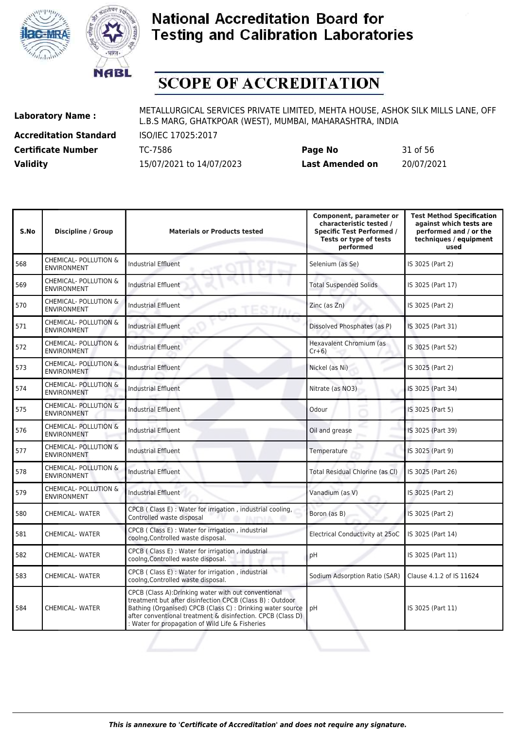



# **SCOPE OF ACCREDITATION**

**Accreditation Standard** ISO/IEC 17025:2017

**Laboratory Name :** METALLURGICAL SERVICES PRIVATE LIMITED, MEHTA HOUSE, ASHOK SILK MILLS LANE, OFF L.B.S MARG, GHATKPOAR (WEST), MUMBAI, MAHARASHTRA, INDIA

**Certificate Number** TC-7586 **Page No** 31 of 56 **Validity** 15/07/2021 to 14/07/2023 **Last Amended on** 20/07/2021

| S.No | <b>Discipline / Group</b>                              | <b>Materials or Products tested</b>                                                                                                                                                                                                                                                                | Component, parameter or<br>characteristic tested /<br><b>Specific Test Performed /</b><br>Tests or type of tests<br>performed | <b>Test Method Specification</b><br>against which tests are<br>performed and / or the<br>techniques / equipment<br>used |
|------|--------------------------------------------------------|----------------------------------------------------------------------------------------------------------------------------------------------------------------------------------------------------------------------------------------------------------------------------------------------------|-------------------------------------------------------------------------------------------------------------------------------|-------------------------------------------------------------------------------------------------------------------------|
| 568  | CHEMICAL- POLLUTION &<br><b>ENVIRONMENT</b>            | <b>Industrial Effluent</b>                                                                                                                                                                                                                                                                         | Selenium (as Se)                                                                                                              | IS 3025 (Part 2)                                                                                                        |
| 569  | CHEMICAL- POLLUTION &<br><b>ENVIRONMENT</b>            | <b>Industrial Effluent</b>                                                                                                                                                                                                                                                                         | <b>Total Suspended Solids</b>                                                                                                 | IS 3025 (Part 17)                                                                                                       |
| 570  | <b>CHEMICAL- POLLUTION &amp;</b><br><b>ENVIRONMENT</b> | <b>Industrial Effluent</b>                                                                                                                                                                                                                                                                         | $Zinc$ (as $Zn$ )                                                                                                             | IS 3025 (Part 2)                                                                                                        |
| 571  | CHEMICAL- POLLUTION &<br><b>ENVIRONMENT</b>            | <b>Industrial Effluent</b>                                                                                                                                                                                                                                                                         | Dissolved Phosphates (as P)                                                                                                   | IS 3025 (Part 31)                                                                                                       |
| 572  | CHEMICAL- POLLUTION &<br><b>ENVIRONMENT</b>            | <b>Industrial Effluent</b>                                                                                                                                                                                                                                                                         | Hexavalent Chromium (as<br>$Cr+6$                                                                                             | IS 3025 (Part 52)                                                                                                       |
| 573  | CHEMICAL- POLLUTION &<br><b>ENVIRONMENT</b>            | <b>Industrial Effluent</b>                                                                                                                                                                                                                                                                         | Nickel (as Ni)                                                                                                                | IS 3025 (Part 2)                                                                                                        |
| 574  | CHEMICAL- POLLUTION &<br><b>ENVIRONMENT</b>            | <b>Industrial Effluent</b>                                                                                                                                                                                                                                                                         | Nitrate (as NO3)                                                                                                              | IS 3025 (Part 34)                                                                                                       |
| 575  | CHEMICAL- POLLUTION &<br><b>ENVIRONMENT</b>            | Industrial Effluent                                                                                                                                                                                                                                                                                | Odour                                                                                                                         | IS 3025 (Part 5)                                                                                                        |
| 576  | CHEMICAL- POLLUTION &<br><b>ENVIRONMENT</b>            | <b>Industrial Effluent</b>                                                                                                                                                                                                                                                                         | Oil and grease                                                                                                                | IS 3025 (Part 39)                                                                                                       |
| 577  | CHEMICAL- POLLUTION &<br><b>ENVIRONMENT</b>            | <b>Industrial Effluent</b>                                                                                                                                                                                                                                                                         | Temperature                                                                                                                   | IS 3025 (Part 9)                                                                                                        |
| 578  | <b>CHEMICAL- POLLUTION &amp;</b><br><b>ENVIRONMENT</b> | <b>Industrial Effluent</b>                                                                                                                                                                                                                                                                         | Total Residual Chlorine (as Cl)                                                                                               | IS 3025 (Part 26)                                                                                                       |
| 579  | CHEMICAL- POLLUTION &<br><b>ENVIRONMENT</b>            | <b>Industrial Effluent</b>                                                                                                                                                                                                                                                                         | Vanadium (as V)                                                                                                               | IS 3025 (Part 2)                                                                                                        |
| 580  | <b>CHEMICAL-WATER</b>                                  | CPCB ( Class E) : Water for irrigation, industrial cooling,<br>Controlled waste disposal<br><b>JAPALA</b>                                                                                                                                                                                          | Boron (as B)                                                                                                                  | IS 3025 (Part 2)                                                                                                        |
| 581  | <b>CHEMICAL- WATER</b>                                 | CPCB ( Class E) : Water for irrigation, industrial<br>coolng, Controlled waste disposal.                                                                                                                                                                                                           | Electrical Conductivity at 25oC                                                                                               | IS 3025 (Part 14)                                                                                                       |
| 582  | <b>CHEMICAL- WATER</b>                                 | CPCB ( Class E) : Water for irrigation, industrial<br>coolng, Controlled waste disposal.                                                                                                                                                                                                           | pH                                                                                                                            | IS 3025 (Part 11)                                                                                                       |
| 583  | <b>CHEMICAL-WATER</b>                                  | CPCB ( Class E) : Water for irrigation, industrial<br>coolng, Controlled waste disposal.                                                                                                                                                                                                           | Sodium Adsorption Ratio (SAR)                                                                                                 | Clause 4.1.2 of IS 11624                                                                                                |
| 584  | <b>CHEMICAL- WATER</b>                                 | CPCB (Class A): Drinking water with out conventional<br>treatment but after disinfection CPCB (Class B) : Outdoor<br>Bathing (Organised) CPCB (Class C) : Drinking water source<br>after conventional treatment & disinfection. CPCB (Class D)<br>: Water for propagation of Wild Life & Fisheries | pH                                                                                                                            | IS 3025 (Part 11)                                                                                                       |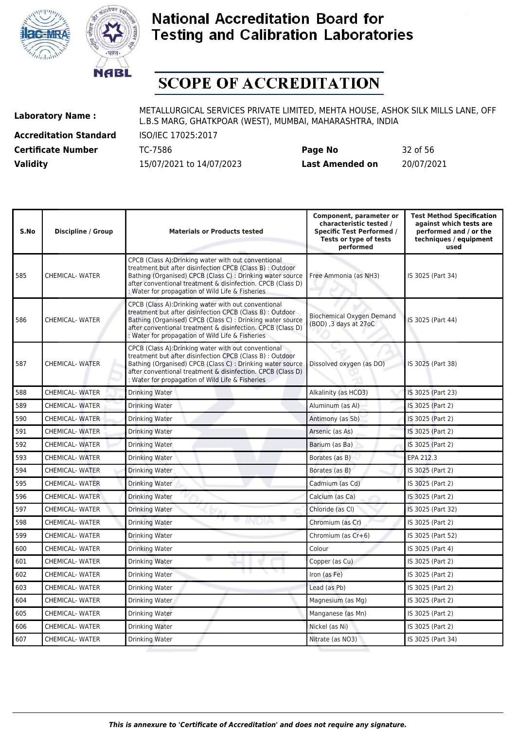



# **SCOPE OF ACCREDITATION**

**Accreditation Standard** ISO/IEC 17025:2017

| <b>Certificate Number</b> | TC-7586                  | Page No                | 32 of 56   |
|---------------------------|--------------------------|------------------------|------------|
| <b>Validity</b>           | 15/07/2021 to 14/07/2023 | <b>Last Amended on</b> | 20/07/2021 |

| S.No | <b>Discipline / Group</b> | <b>Materials or Products tested</b>                                                                                                                                                                                                                                                                | Component, parameter or<br>characteristic tested /<br><b>Specific Test Performed /</b><br>Tests or type of tests<br>performed | <b>Test Method Specification</b><br>against which tests are<br>performed and / or the<br>techniques / equipment<br>used |
|------|---------------------------|----------------------------------------------------------------------------------------------------------------------------------------------------------------------------------------------------------------------------------------------------------------------------------------------------|-------------------------------------------------------------------------------------------------------------------------------|-------------------------------------------------------------------------------------------------------------------------|
| 585  | <b>CHEMICAL- WATER</b>    | CPCB (Class A): Drinking water with out conventional<br>treatment but after disinfection CPCB (Class B) : Outdoor<br>Bathing (Organised) CPCB (Class C) : Drinking water source<br>after conventional treatment & disinfection. CPCB (Class D)<br>: Water for propagation of Wild Life & Fisheries | Free Ammonia (as NH3)                                                                                                         | IS 3025 (Part 34)                                                                                                       |
| 586  | <b>CHEMICAL- WATER</b>    | CPCB (Class A): Drinking water with out conventional<br>treatment but after disinfection CPCB (Class B) : Outdoor<br>Bathing (Organised) CPCB (Class C) : Drinking water source<br>after conventional treatment & disinfection. CPCB (Class D)<br>: Water for propagation of Wild Life & Fisheries | <b>Biochemical Oxygen Demand</b><br>(BOD), 3 days at 27oC                                                                     | IS 3025 (Part 44)                                                                                                       |
| 587  | <b>CHEMICAL- WATER</b>    | CPCB (Class A):Drinking water with out conventional<br>treatment but after disinfection CPCB (Class B) : Outdoor<br>Bathing (Organised) CPCB (Class C) : Drinking water source<br>after conventional treatment & disinfection. CPCB (Class D)<br>: Water for propagation of Wild Life & Fisheries  | Dissolved oxygen (as DO)                                                                                                      | IS 3025 (Part 38)                                                                                                       |
| 588  | <b>CHEMICAL- WATER</b>    | Drinking Water                                                                                                                                                                                                                                                                                     | Alkalinity (as HCO3)                                                                                                          | IS 3025 (Part 23)                                                                                                       |
| 589  | <b>CHEMICAL- WATER</b>    | Drinking Water                                                                                                                                                                                                                                                                                     | Aluminum (as Al)                                                                                                              | IS 3025 (Part 2)                                                                                                        |
| 590  | <b>CHEMICAL- WATER</b>    | Drinking Water                                                                                                                                                                                                                                                                                     | Antimony (as Sb)                                                                                                              | IS 3025 (Part 2)                                                                                                        |
| 591  | <b>CHEMICAL- WATER</b>    | Drinking Water                                                                                                                                                                                                                                                                                     | Arsenic (as As)                                                                                                               | IS 3025 (Part 2)                                                                                                        |
| 592  | <b>CHEMICAL- WATER</b>    | Drinking Water                                                                                                                                                                                                                                                                                     | Barium (as Ba)                                                                                                                | IS 3025 (Part 2)                                                                                                        |
| 593  | <b>CHEMICAL- WATER</b>    | Drinking Water                                                                                                                                                                                                                                                                                     | Borates (as B)                                                                                                                | EPA 212.3                                                                                                               |
| 594  | <b>CHEMICAL- WATER</b>    | <b>Drinking Water</b>                                                                                                                                                                                                                                                                              | Borates (as B)                                                                                                                | IS 3025 (Part 2)                                                                                                        |
| 595  | <b>CHEMICAL- WATER</b>    | Drinking Water                                                                                                                                                                                                                                                                                     | Cadmium (as Cd)                                                                                                               | IS 3025 (Part 2)                                                                                                        |
| 596  | <b>CHEMICAL- WATER</b>    | <b>Drinking Water</b>                                                                                                                                                                                                                                                                              | Calcium (as Ca)                                                                                                               | IS 3025 (Part 2)                                                                                                        |
| 597  | <b>CHEMICAL- WATER</b>    | Drinking Water                                                                                                                                                                                                                                                                                     | Chloride (as CI)                                                                                                              | IS 3025 (Part 32)                                                                                                       |
| 598  | <b>CHEMICAL- WATER</b>    | Drinking Water                                                                                                                                                                                                                                                                                     | Chromium (as Cr)                                                                                                              | IS 3025 (Part 2)                                                                                                        |
| 599  | <b>CHEMICAL- WATER</b>    | Drinking Water                                                                                                                                                                                                                                                                                     | Chromium (as Cr+6)                                                                                                            | IS 3025 (Part 52)                                                                                                       |
| 600  | <b>CHEMICAL- WATER</b>    | Drinking Water                                                                                                                                                                                                                                                                                     | Colour                                                                                                                        | IS 3025 (Part 4)                                                                                                        |
| 601  | <b>CHEMICAL- WATER</b>    | w<br>Drinking Water                                                                                                                                                                                                                                                                                | Copper (as Cu)                                                                                                                | IS 3025 (Part 2)                                                                                                        |
| 602  | <b>CHEMICAL- WATER</b>    | Drinking Water                                                                                                                                                                                                                                                                                     | Iron (as Fe)                                                                                                                  | IS 3025 (Part 2)                                                                                                        |
| 603  | <b>CHEMICAL- WATER</b>    | Drinking Water                                                                                                                                                                                                                                                                                     | Lead (as Pb)                                                                                                                  | IS 3025 (Part 2)                                                                                                        |
| 604  | <b>CHEMICAL- WATER</b>    | Drinking Water                                                                                                                                                                                                                                                                                     | Magnesium (as Mg)                                                                                                             | IS 3025 (Part 2)                                                                                                        |
| 605  | <b>CHEMICAL- WATER</b>    | Drinking Water                                                                                                                                                                                                                                                                                     | Manganese (as Mn)                                                                                                             | IS 3025 (Part 2)                                                                                                        |
| 606  | <b>CHEMICAL- WATER</b>    | Drinking Water                                                                                                                                                                                                                                                                                     | Nickel (as Ni)                                                                                                                | IS 3025 (Part 2)                                                                                                        |
| 607  | CHEMICAL- WATER           | Drinking Water                                                                                                                                                                                                                                                                                     | Nitrate (as NO3)                                                                                                              | IS 3025 (Part 34)                                                                                                       |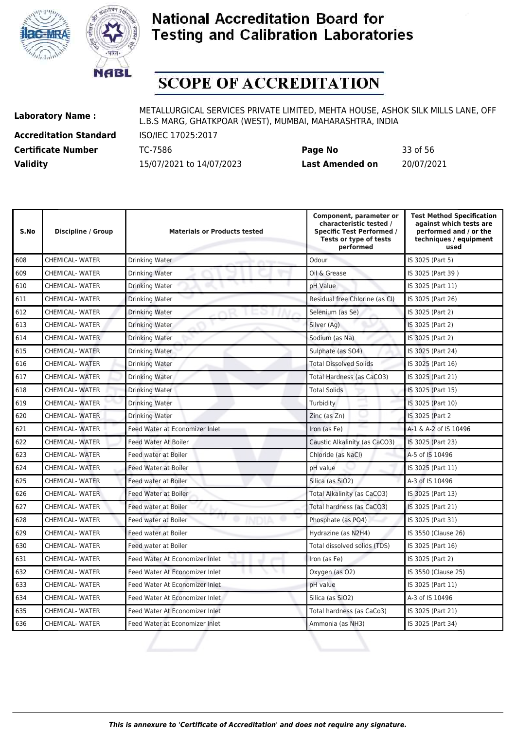



# **SCOPE OF ACCREDITATION**

**Accreditation Standard** ISO/IEC 17025:2017

**Laboratory Name :** METALLURGICAL SERVICES PRIVATE LIMITED, MEHTA HOUSE, ASHOK SILK MILLS LANE, OFF L.B.S MARG, GHATKPOAR (WEST), MUMBAI, MAHARASHTRA, INDIA

**Certificate Number** TC-7586 **Page No** 33 of 56 **Validity** 15/07/2021 to 14/07/2023 **Last Amended on** 20/07/2021

| S.No | Discipline / Group     | <b>Materials or Products tested</b> | Component, parameter or<br>characteristic tested /<br><b>Specific Test Performed /</b><br>Tests or type of tests<br>performed | <b>Test Method Specification</b><br>against which tests are<br>performed and / or the<br>techniques / equipment<br>used |
|------|------------------------|-------------------------------------|-------------------------------------------------------------------------------------------------------------------------------|-------------------------------------------------------------------------------------------------------------------------|
| 608  | <b>CHEMICAL-WATER</b>  | Drinking Water                      | Odour                                                                                                                         | IS 3025 (Part 5)                                                                                                        |
| 609  | <b>CHEMICAL- WATER</b> | Drinking Water                      | Oil & Grease                                                                                                                  | IS 3025 (Part 39)                                                                                                       |
| 610  | <b>CHEMICAL-WATER</b>  | Drinking Water                      | pH Value                                                                                                                      | IS 3025 (Part 11)                                                                                                       |
| 611  | <b>CHEMICAL-WATER</b>  | Drinking Water                      | Residual free Chlorine (as CI)                                                                                                | IS 3025 (Part 26)                                                                                                       |
| 612  | <b>CHEMICAL- WATER</b> | <b>Drinking Water</b>               | Selenium (as Se)                                                                                                              | IS 3025 (Part 2)                                                                                                        |
| 613  | <b>CHEMICAL-WATER</b>  | Drinking Water                      | Silver (Ag)                                                                                                                   | IS 3025 (Part 2)                                                                                                        |
| 614  | CHEMICAL-WATER         | <b>Drinking Water</b>               | Sodium (as Na)                                                                                                                | IS 3025 (Part 2)                                                                                                        |
| 615  | <b>CHEMICAL- WATER</b> | Drinking Water                      | Sulphate (as SO4)                                                                                                             | IS 3025 (Part 24)                                                                                                       |
| 616  | <b>CHEMICAL- WATER</b> | Drinking Water                      | <b>Total Dissolved Solids</b>                                                                                                 | IS 3025 (Part 16)                                                                                                       |
| 617  | <b>CHEMICAL- WATER</b> | Drinking Water                      | Total Hardness (as CaCO3)                                                                                                     | IS 3025 (Part 21)                                                                                                       |
| 618  | <b>CHEMICAL-WATER</b>  | <b>Drinking Water</b>               | <b>Total Solids</b>                                                                                                           | IS 3025 (Part 15)                                                                                                       |
| 619  | <b>CHEMICAL- WATER</b> | Drinking Water                      | Turbidity                                                                                                                     | IS 3025 (Part 10)                                                                                                       |
| 620  | <b>CHEMICAL-WATER</b>  | <b>Drinking Water</b>               | Zinc (as Zn)                                                                                                                  | IS 3025 (Part 2                                                                                                         |
| 621  | <b>CHEMICAL- WATER</b> | Feed Water at Economizer Inlet      | Iron (as Fe)                                                                                                                  | A-1 & A-2 of IS 10496                                                                                                   |
| 622  | CHEMICAL-WATER         | Feed Water At Boiler                | Caustic Alkalinity (as CaCO3)                                                                                                 | IS 3025 (Part 23)                                                                                                       |
| 623  | <b>CHEMICAL- WATER</b> | Feed water at Boiler                | Chloride (as NaCl)                                                                                                            | A-5 of IS 10496                                                                                                         |
| 624  | CHEMICAL-WATER         | <b>Feed Water at Boiler</b>         | pH value                                                                                                                      | IS 3025 (Part 11)                                                                                                       |
| 625  | <b>CHEMICAL- WATER</b> | Feed water at Boiler                | Silica (as SiO2)                                                                                                              | A-3 of IS 10496                                                                                                         |
| 626  | <b>CHEMICAL- WATER</b> | Feed Water at Boiler                | Total Alkalinity (as CaCO3)                                                                                                   | IS 3025 (Part 13)                                                                                                       |
| 627  | <b>CHEMICAL-WATER</b>  | Feed water at Boiler                | Total hardness (as CaCO3)                                                                                                     | IS 3025 (Part 21)                                                                                                       |
| 628  | <b>CHEMICAL-WATER</b>  | r y<br>Feed water at Boiler         | Phosphate (as PO4)                                                                                                            | IS 3025 (Part 31)                                                                                                       |
| 629  | <b>CHEMICAL- WATER</b> | Feed water at Boiler                | Hydrazine (as N2H4)                                                                                                           | IS 3550 (Clause 26)                                                                                                     |
| 630  | <b>CHEMICAL-WATER</b>  | Feed water at Boiler                | Total dissolved solids (TDS)                                                                                                  | IS 3025 (Part 16)                                                                                                       |
| 631  | <b>CHEMICAL- WATER</b> | Feed Water At Economizer Inlet      | Iron (as Fe)                                                                                                                  | IS 3025 (Part 2)                                                                                                        |
| 632  | <b>CHEMICAL- WATER</b> | Feed Water At Economizer Inlet      | Oxygen (as O2)                                                                                                                | IS 3550 (Clause 25)                                                                                                     |
| 633  | <b>CHEMICAL- WATER</b> | Feed Water At Economizer Inlet      | pH value                                                                                                                      | IS 3025 (Part 11)                                                                                                       |
| 634  | <b>CHEMICAL- WATER</b> | Feed Water At Economizer Inlet      | Silica (as SiO2)                                                                                                              | A-3 of IS 10496                                                                                                         |
| 635  | <b>CHEMICAL-WATER</b>  | Feed Water At Economizer Inlet      | Total hardness (as CaCo3)                                                                                                     | IS 3025 (Part 21)                                                                                                       |

636 CHEMICAL- WATER Feed Water at Economizer Inlet Ammonia (as NH3) IS 3025 (Part 34)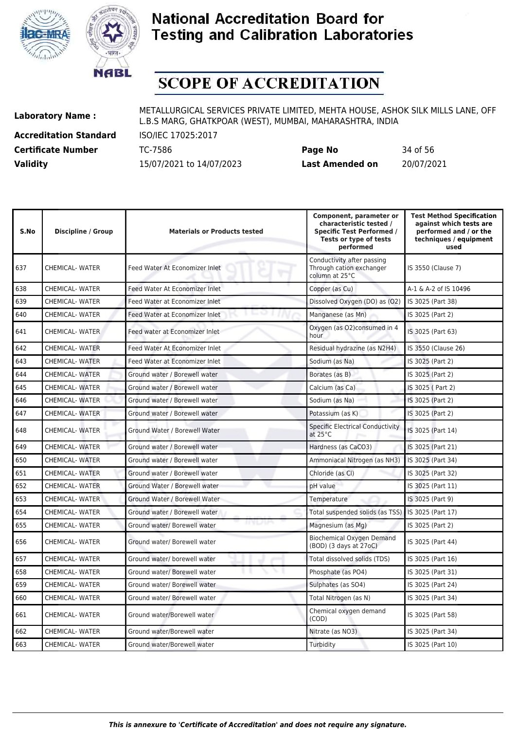



# **SCOPE OF ACCREDITATION**

**Accreditation Standard** ISO/IEC 17025:2017

**Laboratory Name :** METALLURGICAL SERVICES PRIVATE LIMITED, MEHTA HOUSE, ASHOK SILK MILLS LANE, OFF L.B.S MARG, GHATKPOAR (WEST), MUMBAI, MAHARASHTRA, INDIA

**Certificate Number** TC-7586 **Page No** 34 of 56 **Validity** 15/07/2021 to 14/07/2023 **Last Amended on** 20/07/2021

| S.No | Discipline / Group     | <b>Materials or Products tested</b>     | Component, parameter or<br>characteristic tested /<br><b>Specific Test Performed /</b><br>Tests or type of tests<br>performed | <b>Test Method Specification</b><br>against which tests are<br>performed and / or the<br>techniques / equipment<br>used |
|------|------------------------|-----------------------------------------|-------------------------------------------------------------------------------------------------------------------------------|-------------------------------------------------------------------------------------------------------------------------|
| 637  | <b>CHEMICAL- WATER</b> | Feed Water At Economizer Inlet          | Conductivity after passing<br>Through cation exchanger<br>column at 25°C                                                      | IS 3550 (Clause 7)                                                                                                      |
| 638  | <b>CHEMICAL- WATER</b> | Feed Water At Economizer Inlet          | Copper (as Cu)                                                                                                                | A-1 & A-2 of IS 10496                                                                                                   |
| 639  | <b>CHEMICAL- WATER</b> | Feed Water at Economizer Inlet          | Dissolved Oxygen (DO) as (O2)                                                                                                 | IS 3025 (Part 38)                                                                                                       |
| 640  | <b>CHEMICAL-WATER</b>  | Feed Water at Economizer Inlet          | Manganese (as Mn)                                                                                                             | IS 3025 (Part 2)                                                                                                        |
| 641  | <b>CHEMICAL-WATER</b>  | Feed water at Economizer Inlet          | Oxygen (as O2)consumed in 4<br>hour                                                                                           | IS 3025 (Part 63)                                                                                                       |
| 642  | <b>CHEMICAL- WATER</b> | Feed Water At Economizer Inlet          | Residual hydrazine (as N2H4)                                                                                                  | IS 3550 (Clause 26)                                                                                                     |
| 643  | <b>CHEMICAL- WATER</b> | Feed Water at Economizer Inlet          | Sodium (as Na)                                                                                                                | IS 3025 (Part 2)                                                                                                        |
| 644  | <b>CHEMICAL- WATER</b> | Ground water / Borewell water           | Borates (as B)                                                                                                                | IS 3025 (Part 2)                                                                                                        |
| 645  | <b>CHEMICAL- WATER</b> | Ground water / Borewell water           | Calcium (as Ca)                                                                                                               | IS 3025 (Part 2)                                                                                                        |
| 646  | <b>CHEMICAL- WATER</b> | Ground water / Borewell water           | Sodium (as Na)                                                                                                                | IS 3025 (Part 2)                                                                                                        |
| 647  | <b>CHEMICAL- WATER</b> | Ground water / Borewell water           | Potassium (as K)                                                                                                              | IS 3025 (Part 2)                                                                                                        |
| 648  | <b>CHEMICAL- WATER</b> | Ground Water / Borewell Water           | Specific Electrical Conductivity<br>at $25^{\circ}$ C                                                                         | IS 3025 (Part 14)                                                                                                       |
| 649  | <b>CHEMICAL- WATER</b> | Ground water / Borewell water           | Hardness (as CaCO3)                                                                                                           | IS 3025 (Part 21)                                                                                                       |
| 650  | <b>CHEMICAL-WATER</b>  | Ground water / Borewell water           | Ammoniacal Nitrogen (as NH3)                                                                                                  | IS 3025 (Part 34)                                                                                                       |
| 651  | <b>CHEMICAL- WATER</b> | Ground water / Borewell water           | Chloride (as Cl)                                                                                                              | IS 3025 (Part 32)                                                                                                       |
| 652  | <b>CHEMICAL- WATER</b> | Ground Water / Borewell water           | pH value                                                                                                                      | IS 3025 (Part 11)                                                                                                       |
| 653  | <b>CHEMICAL- WATER</b> | Ground Water / Borewell Water           | Temperature                                                                                                                   | IS 3025 (Part 9)                                                                                                        |
| 654  | <b>CHEMICAL-WATER</b>  | Ground water / Borewell water           | Total suspended solids (as TSS)                                                                                               | IS 3025 (Part 17)                                                                                                       |
| 655  | <b>CHEMICAL- WATER</b> | ינרטורו<br>Ground water/ Borewell water | Magnesium (as Mg)                                                                                                             | IS 3025 (Part 2)                                                                                                        |
| 656  | <b>CHEMICAL- WATER</b> | Ground water/ Borewell water            | <b>Biochemical Oxygen Demand</b><br>(BOD) (3 days at 27oC)                                                                    | IS 3025 (Part 44)                                                                                                       |
| 657  | <b>CHEMICAL- WATER</b> | Ground water/ borewell water            | Total dissolved solids (TDS)                                                                                                  | IS 3025 (Part 16)                                                                                                       |
| 658  | <b>CHEMICAL-WATER</b>  | Ground water/ Borewell water            | Phosphate (as PO4)                                                                                                            | IS 3025 (Part 31)                                                                                                       |
| 659  | <b>CHEMICAL- WATER</b> | Ground water/ Borewell water            | Sulphates (as SO4)                                                                                                            | IS 3025 (Part 24)                                                                                                       |
| 660  | <b>CHEMICAL- WATER</b> | Ground water/ Borewell water            | Total Nitrogen (as N)                                                                                                         | IS 3025 (Part 34)                                                                                                       |
| 661  | CHEMICAL-WATER         | Ground water/Borewell water             | Chemical oxygen demand<br>(COD)                                                                                               | IS 3025 (Part 58)                                                                                                       |
| 662  | <b>CHEMICAL- WATER</b> | Ground water/Borewell water             | Nitrate (as NO3)                                                                                                              | IS 3025 (Part 34)                                                                                                       |
| 663  | <b>CHEMICAL-WATER</b>  | Ground water/Borewell water             | Turbidity                                                                                                                     | IS 3025 (Part 10)                                                                                                       |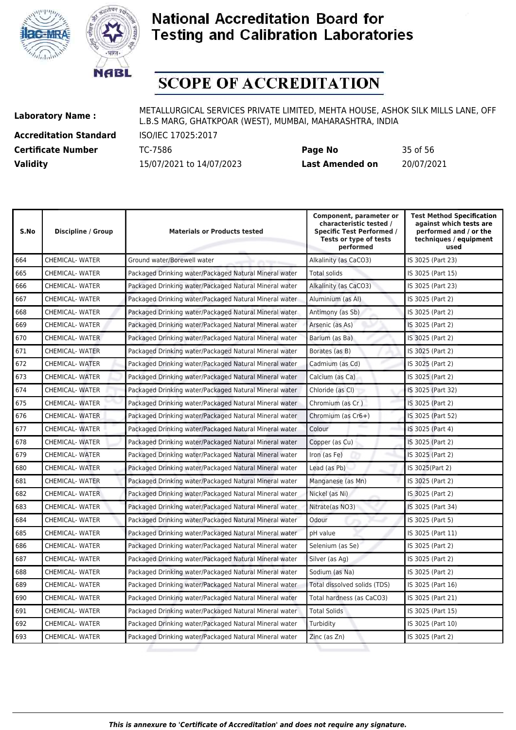



# **SCOPE OF ACCREDITATION**

**Accreditation Standard** ISO/IEC 17025:2017

| <b>Certificate Number</b> | TC-7586                  | Page No                | 35 of 56   |
|---------------------------|--------------------------|------------------------|------------|
| <b>Validity</b>           | 15/07/2021 to 14/07/2023 | <b>Last Amended on</b> | 20/07/2021 |

| S.No | <b>Discipline / Group</b> | <b>Materials or Products tested</b>                    | Component, parameter or<br>characteristic tested /<br><b>Specific Test Performed /</b><br>Tests or type of tests<br>performed | <b>Test Method Specification</b><br>against which tests are<br>performed and / or the<br>techniques / equipment<br>used |
|------|---------------------------|--------------------------------------------------------|-------------------------------------------------------------------------------------------------------------------------------|-------------------------------------------------------------------------------------------------------------------------|
| 664  | <b>CHEMICAL- WATER</b>    | Ground water/Borewell water                            | Alkalinity (as CaCO3)                                                                                                         | IS 3025 (Part 23)                                                                                                       |
| 665  | CHEMICAL- WATER           | Packaged Drinking water/Packaged Natural Mineral water | <b>Total solids</b>                                                                                                           | IS 3025 (Part 15)                                                                                                       |
| 666  | CHEMICAL- WATER           | Packaged Drinking water/Packaged Natural Mineral water | Alkalinity (as CaCO3)                                                                                                         | IS 3025 (Part 23)                                                                                                       |
| 667  | <b>CHEMICAL- WATER</b>    | Packaged Drinking water/Packaged Natural Mineral water | Aluminium (as Al)                                                                                                             | IS 3025 (Part 2)                                                                                                        |
| 668  | <b>CHEMICAL- WATER</b>    | Packaged Drinking water/Packaged Natural Mineral water | Antimony (as Sb)                                                                                                              | IS 3025 (Part 2)                                                                                                        |
| 669  | <b>CHEMICAL- WATER</b>    | Packaged Drinking water/Packaged Natural Mineral water | Arsenic (as As)                                                                                                               | IS 3025 (Part 2)                                                                                                        |
| 670  | CHEMICAL-WATER            | Packaged Drinking water/Packaged Natural Mineral water | Barium (as Ba)                                                                                                                | IS 3025 (Part 2)                                                                                                        |
| 671  | CHEMICAL- WATER           | Packaged Drinking water/Packaged Natural Mineral water | Borates (as B)                                                                                                                | IS 3025 (Part 2)                                                                                                        |
| 672  | <b>CHEMICAL- WATER</b>    | Packaged Drinking water/Packaged Natural Mineral water | Cadmium (as Cd)                                                                                                               | IS 3025 (Part 2)                                                                                                        |
| 673  | CHEMICAL- WATER           | Packaged Drinking water/Packaged Natural Mineral water | Calcium (as Ca)                                                                                                               | IS 3025 (Part 2)                                                                                                        |
| 674  | CHEMICAL- WATER           | Packaged Drinking water/Packaged Natural Mineral water | Chloride (as CI)                                                                                                              | IS 3025 (Part 32)                                                                                                       |
| 675  | <b>CHEMICAL- WATER</b>    | Packaged Drinking water/Packaged Natural Mineral water | Chromium (as Cr)                                                                                                              | IS 3025 (Part 2)                                                                                                        |
| 676  | <b>CHEMICAL- WATER</b>    | Packaged Drinking water/Packaged Natural Mineral water | Chromium (as $Cr6+$ )                                                                                                         | IS 3025 (Part 52)                                                                                                       |
| 677  | <b>CHEMICAL- WATER</b>    | Packaged Drinking water/Packaged Natural Mineral water | Colour                                                                                                                        | IS 3025 (Part 4)                                                                                                        |
| 678  | <b>CHEMICAL- WATER</b>    | Packaged Drinking water/Packaged Natural Mineral water | Copper (as Cu)                                                                                                                | IS 3025 (Part 2)                                                                                                        |
| 679  | <b>CHEMICAL- WATER</b>    | Packaged Drinking water/Packaged Natural Mineral water | Iron (as Fe)                                                                                                                  | IS 3025 (Part 2)                                                                                                        |
| 680  | <b>CHEMICAL- WATER</b>    | Packaged Drinking water/Packaged Natural Mineral water | Lead (as Pb)                                                                                                                  | IS 3025(Part 2)                                                                                                         |
| 681  | <b>CHEMICAL- WATER</b>    | Packaged Drinking water/Packaged Natural Mineral water | Manganese (as Mn)                                                                                                             | IS 3025 (Part 2)                                                                                                        |
| 682  | CHEMICAL-WATER            | Packaged Drinking water/Packaged Natural Mineral water | Nickel (as Ni)                                                                                                                | IS 3025 (Part 2)                                                                                                        |
| 683  | CHEMICAL- WATER           | Packaged Drinking water/Packaged Natural Mineral water | Nitrate(as NO3)                                                                                                               | IS 3025 (Part 34)                                                                                                       |
| 684  | CHEMICAL- WATER           | Packaged Drinking water/Packaged Natural Mineral water | Odour                                                                                                                         | IS 3025 (Part 5)                                                                                                        |
| 685  | <b>CHEMICAL- WATER</b>    | Packaged Drinking water/Packaged Natural Mineral water | pH value                                                                                                                      | IS 3025 (Part 11)                                                                                                       |
| 686  | <b>CHEMICAL- WATER</b>    | Packaged Drinking water/Packaged Natural Mineral water | Selenium (as Se)                                                                                                              | IS 3025 (Part 2)                                                                                                        |
| 687  | CHEMICAL- WATER           | Packaged Drinking water/Packaged Natural Mineral water | Silver (as Ag)                                                                                                                | IS 3025 (Part 2)                                                                                                        |
| 688  | <b>CHEMICAL- WATER</b>    | Packaged Drinking water/Packaged Natural Mineral water | Sodium (as Na)                                                                                                                | IS 3025 (Part 2)                                                                                                        |
| 689  | <b>CHEMICAL- WATER</b>    | Packaged Drinking water/Packaged Natural Mineral water | Total dissolved solids (TDS)                                                                                                  | IS 3025 (Part 16)                                                                                                       |
| 690  | <b>CHEMICAL- WATER</b>    | Packaged Drinking water/Packaged Natural Mineral water | Total hardness (as CaCO3)                                                                                                     | IS 3025 (Part 21)                                                                                                       |
| 691  | <b>CHEMICAL- WATER</b>    | Packaged Drinking water/Packaged Natural Mineral water | <b>Total Solids</b>                                                                                                           | IS 3025 (Part 15)                                                                                                       |
| 692  | CHEMICAL- WATER           | Packaged Drinking water/Packaged Natural Mineral water | Turbidity                                                                                                                     | IS 3025 (Part 10)                                                                                                       |
| 693  | <b>CHEMICAL- WATER</b>    | Packaged Drinking water/Packaged Natural Mineral water | Zinc (as Zn)                                                                                                                  | IS 3025 (Part 2)                                                                                                        |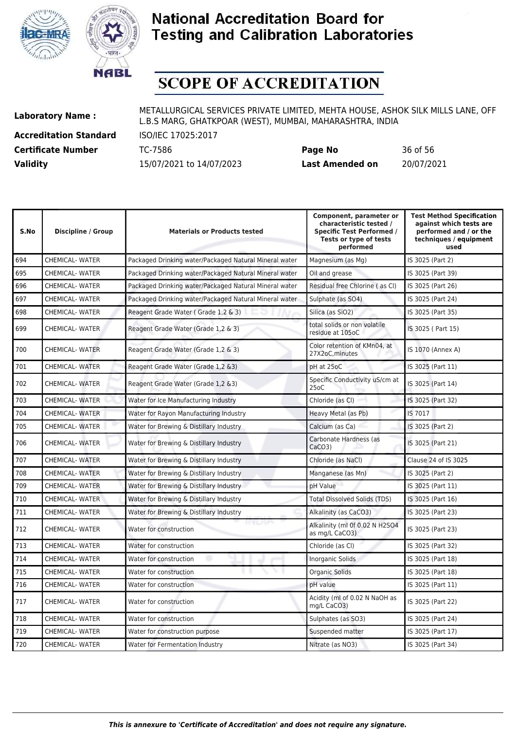



# **SCOPE OF ACCREDITATION**

**Accreditation Standard** ISO/IEC 17025:2017

| <b>Certificate Number</b> | TC-7586                  | Page No                | 36 of 56   |
|---------------------------|--------------------------|------------------------|------------|
| <b>Validity</b>           | 15/07/2021 to 14/07/2023 | <b>Last Amended on</b> | 20/07/2021 |

| S.No | Discipline / Group     | <b>Materials or Products tested</b>                    | Component, parameter or<br>characteristic tested /<br><b>Specific Test Performed /</b><br>Tests or type of tests<br>performed | <b>Test Method Specification</b><br>against which tests are<br>performed and / or the<br>techniques / equipment<br>used |
|------|------------------------|--------------------------------------------------------|-------------------------------------------------------------------------------------------------------------------------------|-------------------------------------------------------------------------------------------------------------------------|
| 694  | <b>CHEMICAL- WATER</b> | Packaged Drinking water/Packaged Natural Mineral water | Magnesium (as Mg)                                                                                                             | IS 3025 (Part 2)                                                                                                        |
| 695  | <b>CHEMICAL- WATER</b> | Packaged Drinking water/Packaged Natural Mineral water | Oil and grease                                                                                                                | IS 3025 (Part 39)                                                                                                       |
| 696  | <b>CHEMICAL- WATER</b> | Packaged Drinking water/Packaged Natural Mineral water | Residual free Chlorine (as Cl)                                                                                                | IS 3025 (Part 26)                                                                                                       |
| 697  | <b>CHEMICAL- WATER</b> | Packaged Drinking water/Packaged Natural Mineral water | Sulphate (as SO4)                                                                                                             | IS 3025 (Part 24)                                                                                                       |
| 698  | <b>CHEMICAL- WATER</b> | Reagent Grade Water (Grade 1,2 & 3)                    | Silica (as SiO2)                                                                                                              | IS 3025 (Part 35)                                                                                                       |
| 699  | <b>CHEMICAL- WATER</b> | Reagent Grade Water (Grade 1,2 & 3)                    | total solids or non volatile<br>residue at 105oC                                                                              | IS 3025 (Part 15)                                                                                                       |
| 700  | <b>CHEMICAL- WATER</b> | Reagent Grade Water (Grade 1,2 & 3)                    | Color retention of KMn04, at<br>27X2oC, minutes                                                                               | IS 1070 (Annex A)                                                                                                       |
| 701  | <b>CHEMICAL- WATER</b> | Reagent Grade Water (Grade 1,2 &3)                     | pH at 25oC                                                                                                                    | IS 3025 (Part 11)                                                                                                       |
| 702  | <b>CHEMICAL- WATER</b> | Reagent Grade Water (Grade 1,2 &3)                     | Specific Conductivity uS/cm at<br>25 <sub>0</sub> C                                                                           | IS 3025 (Part 14)                                                                                                       |
| 703  | <b>CHEMICAL- WATER</b> | Water for Ice Manufacturing Industry                   | Chloride (as CI)                                                                                                              | IS 3025 (Part 32)                                                                                                       |
| 704  | <b>CHEMICAL- WATER</b> | Water for Rayon Manufacturing Industry                 | Heavy Metal (as Pb)                                                                                                           | IS 7017                                                                                                                 |
| 705  | <b>CHEMICAL- WATER</b> | Water for Brewing & Distillary Industry                | Calcium (as Ca)                                                                                                               | IS 3025 (Part 2)                                                                                                        |
| 706  | <b>CHEMICAL- WATER</b> | Water for Brewing & Distillary Industry                | Carbonate Hardness (as<br>CaCO3                                                                                               | IS 3025 (Part 21)                                                                                                       |
| 707  | <b>CHEMICAL- WATER</b> | Water for Brewing & Distillary Industry                | Chloride (as NaCl)                                                                                                            | Clause 24 of IS 3025                                                                                                    |
| 708  | <b>CHEMICAL- WATER</b> | Water for Brewing & Distillary Industry                | Manganese (as Mn)                                                                                                             | IS 3025 (Part 2)                                                                                                        |
| 709  | <b>CHEMICAL- WATER</b> | Water for Brewing & Distillary Industry                | pH Value                                                                                                                      | IS 3025 (Part 11)                                                                                                       |
| 710  | <b>CHEMICAL- WATER</b> | Water for Brewing & Distillary Industry                | Total Dissolved Solids (TDS)                                                                                                  | IS 3025 (Part 16)                                                                                                       |
| 711  | <b>CHEMICAL- WATER</b> | Water for Brewing & Distillary Industry                | Alkalinity (as CaCO3)                                                                                                         | IS 3025 (Part 23)                                                                                                       |
| 712  | <b>CHEMICAL- WATER</b> | mum<br>Water for construction                          | Alkalinity (ml 0f 0.02 N H2SO4<br>as mg/L CaCO3)                                                                              | IS 3025 (Part 23)                                                                                                       |
| 713  | <b>CHEMICAL- WATER</b> | Water for construction                                 | Chloride (as CI)                                                                                                              | IS 3025 (Part 32)                                                                                                       |
| 714  | <b>CHEMICAL- WATER</b> | Water for construction                                 | Inorganic Solids                                                                                                              | IS 3025 (Part 18)                                                                                                       |
| 715  | <b>CHEMICAL- WATER</b> | Water for construction                                 | <b>Organic Solids</b>                                                                                                         | IS 3025 (Part 18)                                                                                                       |
| 716  | <b>CHEMICAL- WATER</b> | Water for construction                                 | pH value                                                                                                                      | IS 3025 (Part 11)                                                                                                       |
| 717  | <b>CHEMICAL- WATER</b> | Water for construction                                 | Acidity (ml of 0.02 N NaOH as<br>mg/L CaCO3)                                                                                  | IS 3025 (Part 22)                                                                                                       |
| 718  | <b>CHEMICAL- WATER</b> | Water for construction                                 | Sulphates (as SO3)                                                                                                            | IS 3025 (Part 24)                                                                                                       |
| 719  | <b>CHEMICAL- WATER</b> | Water for construction purpose                         | Suspended matter                                                                                                              | IS 3025 (Part 17)                                                                                                       |
| 720  | <b>CHEMICAL- WATER</b> | Water for Fermentation Industry                        | Nitrate (as NO3)                                                                                                              | IS 3025 (Part 34)                                                                                                       |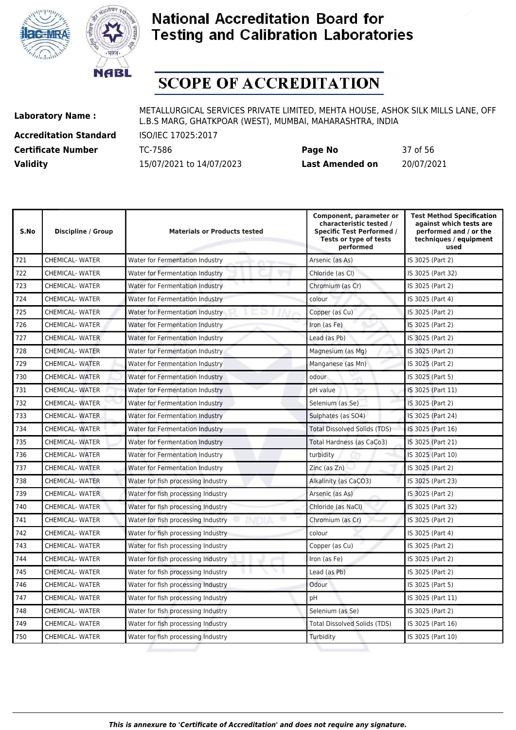



# **SCOPE OF ACCREDITATION**

**Accreditation Standard** ISO/IEC 17025:2017

| <b>Certificate Number</b> | TC-7586                  | Page No                | 37 of 56   |
|---------------------------|--------------------------|------------------------|------------|
| <b>Validity</b>           | 15/07/2021 to 14/07/2023 | <b>Last Amended on</b> | 20/07/2021 |

| S.No | Discipline / Group     | <b>Materials or Products tested</b> | Component, parameter or<br>characteristic tested /<br><b>Specific Test Performed /</b><br>Tests or type of tests<br>performed | <b>Test Method Specification</b><br>against which tests are<br>performed and / or the<br>techniques / equipment<br>used |
|------|------------------------|-------------------------------------|-------------------------------------------------------------------------------------------------------------------------------|-------------------------------------------------------------------------------------------------------------------------|
| 721  | <b>CHEMICAL- WATER</b> | Water for Fermentation Industry     | Arsenic (as As)                                                                                                               | IS 3025 (Part 2)                                                                                                        |
| 722  | CHEMICAL- WATER        | Water for Fermentation Industry     | Chloride (as CI)                                                                                                              | IS 3025 (Part 32)                                                                                                       |
| 723  | <b>CHEMICAL- WATER</b> | Water for Fermentation Industry     | Chromium (as Cr)                                                                                                              | IS 3025 (Part 2)                                                                                                        |
| 724  | <b>CHEMICAL- WATER</b> | Water for Fermentation Industry     | colour                                                                                                                        | IS 3025 (Part 4)                                                                                                        |
| 725  | <b>CHEMICAL- WATER</b> | Water for Fermentation Industry     | Copper (as Cu)                                                                                                                | IS 3025 (Part 2)                                                                                                        |
| 726  | <b>CHEMICAL-WATER</b>  | Water for Fermentation Industry     | Iron (as Fe)                                                                                                                  | IS 3025 (Part 2)                                                                                                        |
| 727  | <b>CHEMICAL-WATER</b>  | Water for Fermentation Industry     | Lead (as Pb)                                                                                                                  | IS 3025 (Part 2)                                                                                                        |
| 728  | <b>CHEMICAL- WATER</b> | Water for Fermentation Industry     | Magnesium (as Mg)                                                                                                             | IS 3025 (Part 2)                                                                                                        |
| 729  | <b>CHEMICAL- WATER</b> | Water for Fermentation Industry     | Manganese (as Mn)                                                                                                             | IS 3025 (Part 2)                                                                                                        |
| 730  | <b>CHEMICAL- WATER</b> | Water for Fermentation Industry     | odour                                                                                                                         | IS 3025 (Part 5)                                                                                                        |
| 731  | CHEMICAL- WATER        | Water for Fermentation Industry     | pH value                                                                                                                      | IS 3025 (Part 11)                                                                                                       |
| 732  | <b>CHEMICAL- WATER</b> | Water for Fermentation Industry     | Selenium (as Se)                                                                                                              | IS 3025 (Part 2)                                                                                                        |
| 733  | <b>CHEMICAL- WATER</b> | Water for Fermentation Industry     | Sulphates (as SO4)                                                                                                            | IS 3025 (Part 24)                                                                                                       |
| 734  | <b>CHEMICAL- WATER</b> | Water for Fermentation Industry     | <b>Total Dissolved Solids (TDS)</b>                                                                                           | IS 3025 (Part 16)                                                                                                       |
| 735  | <b>CHEMICAL- WATER</b> | Water for Fermentation Industry     | Total Hardness (as CaCo3)                                                                                                     | IS 3025 (Part 21)                                                                                                       |
| 736  | <b>CHEMICAL- WATER</b> | Water for Fermentation Industry     | turbidity                                                                                                                     | IS 3025 (Part 10)                                                                                                       |
| 737  | <b>CHEMICAL- WATER</b> | Water for Fermentation Industry     | Zinc (as Zn)                                                                                                                  | IS 3025 (Part 2)                                                                                                        |
| 738  | <b>CHEMICAL- WATER</b> | Water for fish processing Industry  | Alkalinity (as CaCO3)                                                                                                         | IS 3025 (Part 23)                                                                                                       |
| 739  | <b>CHEMICAL-WATER</b>  | Water for fish processing Industry  | Arsenic (as As)                                                                                                               | IS 3025 (Part 2)                                                                                                        |
| 740  | <b>CHEMICAL- WATER</b> | Water for fish processing Industry  | Chloride (as NaCl)                                                                                                            | IS 3025 (Part 32)                                                                                                       |
| 741  | <b>CHEMICAL- WATER</b> | Water for fish processing Industry  | Chromium (as Cr)                                                                                                              | IS 3025 (Part 2)                                                                                                        |
| 742  | <b>CHEMICAL- WATER</b> | Water for fish processing Industry  | colour                                                                                                                        | IS 3025 (Part 4)                                                                                                        |
| 743  | <b>CHEMICAL-WATER</b>  | Water for fish processing Industry  | Copper (as Cu)                                                                                                                | IS 3025 (Part 2)                                                                                                        |
| 744  | <b>CHEMICAL- WATER</b> | Water for fish processing Industry  | Iron (as Fe)                                                                                                                  | IS 3025 (Part 2)                                                                                                        |
| 745  | <b>CHEMICAL- WATER</b> | Water for fish processing Industry  | Lead (as Pb)                                                                                                                  | IS 3025 (Part 2)                                                                                                        |
| 746  | CHEMICAL- WATER        | Water for fish processing Industry  | Odour                                                                                                                         | IS 3025 (Part 5)                                                                                                        |
| 747  | <b>CHEMICAL- WATER</b> | Water for fish processing Industry  | pH                                                                                                                            | IS 3025 (Part 11)                                                                                                       |
| 748  | <b>CHEMICAL- WATER</b> | Water for fish processing Industry  | Selenium (as Se)                                                                                                              | IS 3025 (Part 2)                                                                                                        |
| 749  | <b>CHEMICAL- WATER</b> | Water for fish processing Industry  | <b>Total Dissolved Solids (TDS)</b>                                                                                           | IS 3025 (Part 16)                                                                                                       |
| 750  | CHEMICAL- WATER        | Water for fish processing Industry  | Turbidity                                                                                                                     | IS 3025 (Part 10)                                                                                                       |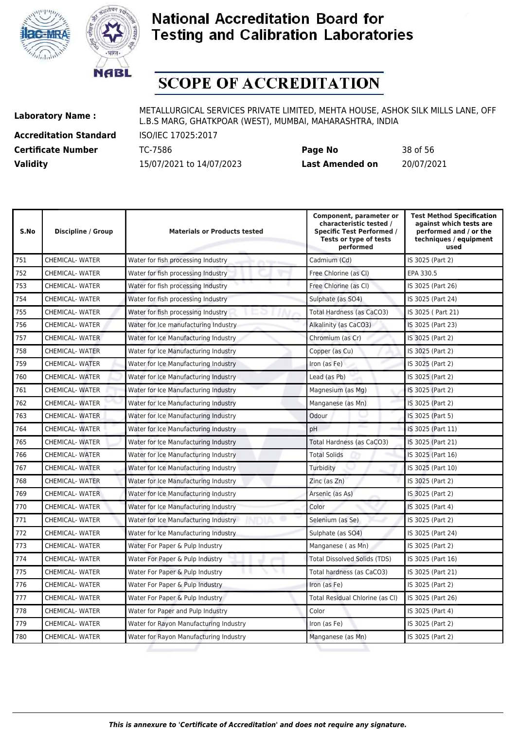



# **SCOPE OF ACCREDITATION**

**Accreditation Standard** ISO/IEC 17025:2017

| <b>Certificate Number</b> | TC-7586                  | Page No                | 38 of 56   |
|---------------------------|--------------------------|------------------------|------------|
| <b>Validity</b>           | 15/07/2021 to 14/07/2023 | <b>Last Amended on</b> | 20/07/2021 |

| S.No | Discipline / Group     | <b>Materials or Products tested</b>    | Component, parameter or<br>characteristic tested /<br><b>Specific Test Performed /</b><br>Tests or type of tests<br>performed | <b>Test Method Specification</b><br>against which tests are<br>performed and / or the<br>techniques / equipment<br>used |
|------|------------------------|----------------------------------------|-------------------------------------------------------------------------------------------------------------------------------|-------------------------------------------------------------------------------------------------------------------------|
| 751  | <b>CHEMICAL- WATER</b> | Water for fish processing Industry     | Cadmium (Cd)                                                                                                                  | IS 3025 (Part 2)                                                                                                        |
| 752  | <b>CHEMICAL-WATER</b>  | Water for fish processing Industry     | Free Chlorine (as Cl)                                                                                                         | EPA 330.5                                                                                                               |
| 753  | <b>CHEMICAL- WATER</b> | Water for fish processing Industry     | Free Chlorine (as Cl)                                                                                                         | IS 3025 (Part 26)                                                                                                       |
| 754  | <b>CHEMICAL- WATER</b> | Water for fish processing Industry     | Sulphate (as SO4)                                                                                                             | IS 3025 (Part 24)                                                                                                       |
| 755  | <b>CHEMICAL- WATER</b> | Water for fish processing Industry     | Total Hardness (as CaCO3)                                                                                                     | IS 3025 ( Part 21)                                                                                                      |
| 756  | <b>CHEMICAL-WATER</b>  | Water for Ice manufacturing Industry   | Alkalinity (as CaCO3)                                                                                                         | IS 3025 (Part 23)                                                                                                       |
| 757  | <b>CHEMICAL- WATER</b> | Water for Ice Manufacturing Industry   | Chromium (as Cr)                                                                                                              | IS 3025 (Part 2)                                                                                                        |
| 758  | <b>CHEMICAL- WATER</b> | Water for Ice Manufacturing Industry   | Copper (as Cu)                                                                                                                | IS 3025 (Part 2)                                                                                                        |
| 759  | <b>CHEMICAL- WATER</b> | Water for Ice Manufacturing Industry   | Iron (as Fe)                                                                                                                  | IS 3025 (Part 2)                                                                                                        |
| 760  | <b>CHEMICAL- WATER</b> | Water for Ice Manufacturing Industry   | Lead (as Pb)                                                                                                                  | IS 3025 (Part 2)                                                                                                        |
| 761  | <b>CHEMICAL- WATER</b> | Water for Ice Manufacturing Industry   | Magnesium (as Mg)                                                                                                             | IS 3025 (Part 2)                                                                                                        |
| 762  | <b>CHEMICAL- WATER</b> | Water for Ice Manufacturing Industry   | Manganese (as Mn)                                                                                                             | IS 3025 (Part 2)                                                                                                        |
| 763  | <b>CHEMICAL- WATER</b> | Water for Ice Manufacturing Industry   | Odour                                                                                                                         | IS 3025 (Part 5)                                                                                                        |
| 764  | <b>CHEMICAL- WATER</b> | Water for Ice Manufacturing Industry   | pH                                                                                                                            | IS 3025 (Part 11)                                                                                                       |
| 765  | <b>CHEMICAL- WATER</b> | Water for Ice Manufacturing Industry   | Total Hardness (as CaCO3)                                                                                                     | IS 3025 (Part 21)                                                                                                       |
| 766  | <b>CHEMICAL- WATER</b> | Water for Ice Manufacturing Industry   | <b>Total Solids</b>                                                                                                           | IS 3025 (Part 16)                                                                                                       |
| 767  | <b>CHEMICAL- WATER</b> | Water for Ice Manufacturing Industry   | Turbidity                                                                                                                     | IS 3025 (Part 10)                                                                                                       |
| 768  | <b>CHEMICAL- WATER</b> | Water for Ice Manufacturing Industry   | Zinc (as Zn)                                                                                                                  | IS 3025 (Part 2)                                                                                                        |
| 769  | <b>CHEMICAL-WATER</b>  | Water for Ice Manufacturing Industry   | Arsenic (as As)                                                                                                               | IS 3025 (Part 2)                                                                                                        |
| 770  | <b>CHEMICAL- WATER</b> | Water for Ice Manufacturing Industry   | Color                                                                                                                         | IS 3025 (Part 4)                                                                                                        |
| 771  | <b>CHEMICAL- WATER</b> | Water for Ice Manufacturing Industry   | Selenium (as Se)                                                                                                              | IS 3025 (Part 2)                                                                                                        |
| 772  | <b>CHEMICAL- WATER</b> | Water for Ice Manufacturing Industry   | Sulphate (as SO4)                                                                                                             | IS 3025 (Part 24)                                                                                                       |
| 773  | <b>CHEMICAL- WATER</b> | Water For Paper & Pulp Industry        | Manganese (as Mn)                                                                                                             | IS 3025 (Part 2)                                                                                                        |
| 774  | <b>CHEMICAL- WATER</b> | Water For Paper & Pulp Industry        | <b>Total Dissolved Solids (TDS)</b>                                                                                           | IS 3025 (Part 16)                                                                                                       |
| 775  | <b>CHEMICAL-WATER</b>  | Water For Paper & Pulp Industry        | Total hardness (as CaCO3)                                                                                                     | IS 3025 (Part 21)                                                                                                       |
| 776  | <b>CHEMICAL-WATER</b>  | Water For Paper & Pulp Industry        | Iron (as Fe)                                                                                                                  | IS 3025 (Part 2)                                                                                                        |
| 777  | <b>CHEMICAL-WATER</b>  | Water For Paper & Pulp Industry        | Total Residual Chlorine (as Cl)                                                                                               | IS 3025 (Part 26)                                                                                                       |
| 778  | <b>CHEMICAL- WATER</b> | Water for Paper and Pulp Industry      | Color                                                                                                                         | IS 3025 (Part 4)                                                                                                        |
| 779  | <b>CHEMICAL- WATER</b> | Water for Rayon Manufacturing Industry | Iron (as Fe)                                                                                                                  | IS 3025 (Part 2)                                                                                                        |
| 780  | <b>CHEMICAL-WATER</b>  | Water for Rayon Manufacturing Industry | Manganese (as Mn)                                                                                                             | IS 3025 (Part 2)                                                                                                        |
|      |                        |                                        |                                                                                                                               |                                                                                                                         |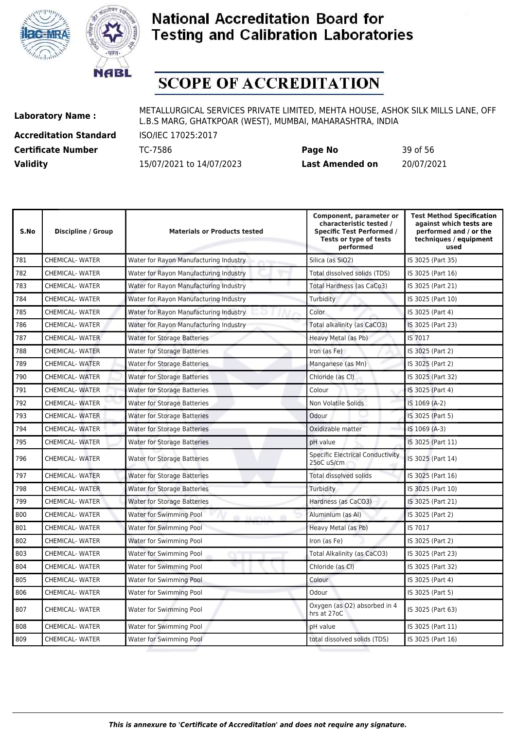



# **SCOPE OF ACCREDITATION**

**Accreditation Standard** ISO/IEC 17025:2017

**Laboratory Name :** METALLURGICAL SERVICES PRIVATE LIMITED, MEHTA HOUSE, ASHOK SILK MILLS LANE, OFF L.B.S MARG, GHATKPOAR (WEST), MUMBAI, MAHARASHTRA, INDIA

**Certificate Number** TC-7586 **Page No** 39 of 56 **Validity** 15/07/2021 to 14/07/2023 **Last Amended on** 20/07/2021

| Discipline / Group     | <b>Materials or Products tested</b>    | Component, parameter or<br>characteristic tested /<br><b>Specific Test Performed /</b><br>Tests or type of tests<br>performed | <b>Test Method Specification</b><br>against which tests are<br>performed and / or the<br>techniques / equipment<br>used |
|------------------------|----------------------------------------|-------------------------------------------------------------------------------------------------------------------------------|-------------------------------------------------------------------------------------------------------------------------|
| <b>CHEMICAL- WATER</b> | Water for Rayon Manufacturing Industry | Silica (as SiO2)                                                                                                              | IS 3025 (Part 35)                                                                                                       |
| <b>CHEMICAL-WATER</b>  | Water for Rayon Manufacturing Industry | Total dissolved solids (TDS)                                                                                                  | IS 3025 (Part 16)                                                                                                       |
| <b>CHEMICAL- WATER</b> | Water for Rayon Manufacturing Industry | Total Hardness (as CaCo3)                                                                                                     | IS 3025 (Part 21)                                                                                                       |
| <b>CHEMICAL- WATER</b> | Water for Rayon Manufacturing Industry | Turbidity                                                                                                                     | IS 3025 (Part 10)                                                                                                       |
| <b>CHEMICAL- WATER</b> | Water for Rayon Manufacturing Industry | Color                                                                                                                         | IS 3025 (Part 4)                                                                                                        |
| <b>CHEMICAL- WATER</b> | Water for Rayon Manufacturing Industry | Total alkalinity (as CaCO3)                                                                                                   | IS 3025 (Part 23)                                                                                                       |
| <b>CHEMICAL- WATER</b> | <b>Water for Storage Batteries</b>     | Heavy Metal (as Pb)                                                                                                           | IS 7017                                                                                                                 |
| <b>CHEMICAL- WATER</b> | <b>Water for Storage Batteries</b>     | Iron (as Fe)                                                                                                                  | IS 3025 (Part 2)                                                                                                        |
| <b>CHEMICAL- WATER</b> | <b>Water for Storage Batteries</b>     | Manganese (as Mn)                                                                                                             | IS 3025 (Part 2)                                                                                                        |
| <b>CHEMICAL- WATER</b> | <b>Water for Storage Batteries</b>     | Chloride (as CI)                                                                                                              | IS 3025 (Part 32)                                                                                                       |
| <b>CHEMICAL- WATER</b> | <b>Water for Storage Batteries</b>     | Colour                                                                                                                        | IS 3025 (Part 4)                                                                                                        |
| <b>CHEMICAL-WATER</b>  | <b>Water for Storage Batteries</b>     | Non Volatile Solids                                                                                                           | IS 1069 (A-2)                                                                                                           |
| <b>CHEMICAL- WATER</b> | <b>Water for Storage Batteries</b>     | Odour                                                                                                                         | IS 3025 (Part 5)                                                                                                        |
| <b>CHEMICAL- WATER</b> | <b>Water for Storage Batteries</b>     | Oxidizable matter                                                                                                             | IS 1069 (A-3)                                                                                                           |
| <b>CHEMICAL-WATER</b>  | <b>Water for Storage Batteries</b>     | pH value                                                                                                                      | IS 3025 (Part 11)                                                                                                       |
| <b>CHEMICAL-WATER</b>  | <b>Water for Storage Batteries</b>     | <b>Specific Electrical Conductivity</b><br>25oC uS/cm                                                                         | IS 3025 (Part 14)                                                                                                       |
| <b>CHEMICAL- WATER</b> | <b>Water for Storage Batteries</b>     | <b>Total dissolved solids</b>                                                                                                 | IS 3025 (Part 16)                                                                                                       |
| <b>CHEMICAL- WATER</b> | <b>Water for Storage Batteries</b>     | Turbidity                                                                                                                     | IS 3025 (Part 10)                                                                                                       |
| <b>CHEMICAL- WATER</b> | <b>Water for Storage Batteries</b>     | Hardness (as CaCO3)                                                                                                           | IS 3025 (Part 21)                                                                                                       |
| <b>CHEMICAL-WATER</b>  | <b>Water for Swimming Pool</b>         | Aluminium (as Al)                                                                                                             | IS 3025 (Part 2)                                                                                                        |
| <b>CHEMICAL- WATER</b> | Water for Swimming Pool                | Heavy Metal (as Pb)                                                                                                           | IS 7017                                                                                                                 |
| <b>CHEMICAL- WATER</b> | Water for Swimming Pool                | Iron (as Fe)                                                                                                                  | IS 3025 (Part 2)                                                                                                        |
| CHEMICAL-WATER         | Water for Swimming Pool                | Total Alkalinity (as CaCO3)                                                                                                   | IS 3025 (Part 23)                                                                                                       |
| <b>CHEMICAL- WATER</b> | Water for Swimming Pool                | Chloride (as CI)                                                                                                              | IS 3025 (Part 32)                                                                                                       |
| <b>CHEMICAL- WATER</b> | Water for Swimming Pool                | Colour                                                                                                                        | IS 3025 (Part 4)                                                                                                        |
| <b>CHEMICAL-WATER</b>  | Water for Swimming Pool                | Odour                                                                                                                         | IS 3025 (Part 5)                                                                                                        |
| <b>CHEMICAL- WATER</b> | Water for Swimming Pool                | Oxygen (as O2) absorbed in 4<br>hrs at 27oC                                                                                   | IS 3025 (Part 63)                                                                                                       |
| <b>CHEMICAL-WATER</b>  | Water for Swimming Pool                | pH value                                                                                                                      | IS 3025 (Part 11)                                                                                                       |
| <b>CHEMICAL- WATER</b> | Water for Swimming Pool                | total dissolved solids (TDS)                                                                                                  | IS 3025 (Part 16)                                                                                                       |
|                        |                                        |                                                                                                                               |                                                                                                                         |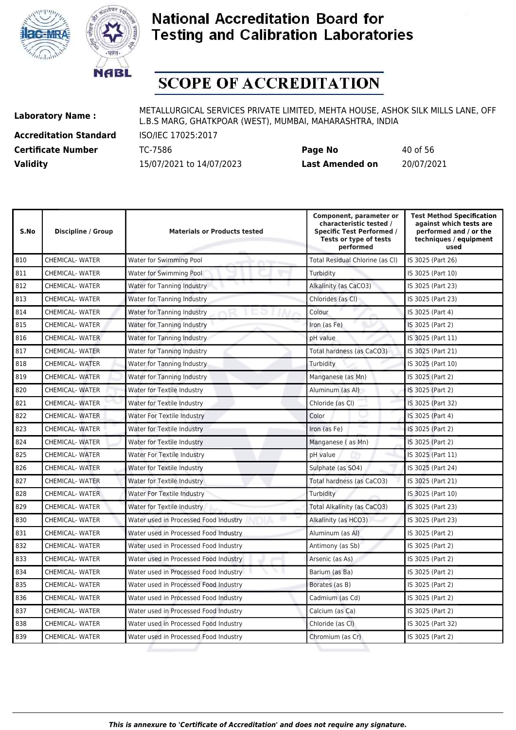



# **SCOPE OF ACCREDITATION**

**Accreditation Standard** ISO/IEC 17025:2017

**Laboratory Name :** METALLURGICAL SERVICES PRIVATE LIMITED, MEHTA HOUSE, ASHOK SILK MILLS LANE, OFF L.B.S MARG, GHATKPOAR (WEST), MUMBAI, MAHARASHTRA, INDIA

**Certificate Number** TC-7586 **Page No** 40 of 56 **Validity** 15/07/2021 to 14/07/2023 **Last Amended on** 20/07/2021

| S.No | Discipline / Group     | <b>Materials or Products tested</b>   | Component, parameter or<br>characteristic tested /<br><b>Specific Test Performed /</b><br>Tests or type of tests<br>performed | <b>Test Method Specification</b><br>against which tests are<br>performed and / or the<br>techniques / equipment<br>used |
|------|------------------------|---------------------------------------|-------------------------------------------------------------------------------------------------------------------------------|-------------------------------------------------------------------------------------------------------------------------|
| 810  | <b>CHEMICAL- WATER</b> | Water for Swimming Pool               | Total Residual Chlorine (as Cl)                                                                                               | IS 3025 (Part 26)                                                                                                       |
| 811  | <b>CHEMICAL-WATER</b>  | Water for Swimming Pool               | Turbidity                                                                                                                     | IS 3025 (Part 10)                                                                                                       |
| 812  | <b>CHEMICAL-WATER</b>  | Water for Tanning Industry            | Alkalinity (as CaCO3)                                                                                                         | IS 3025 (Part 23)                                                                                                       |
| 813  | <b>CHEMICAL- WATER</b> | Water for Tanning Industry            | Chlorides (as CI)                                                                                                             | IS 3025 (Part 23)                                                                                                       |
| 814  | <b>CHEMICAL-WATER</b>  | Water for Tanning Industry            | Colour                                                                                                                        | IS 3025 (Part 4)                                                                                                        |
| 815  | <b>CHEMICAL- WATER</b> | Water for Tanning Industry            | Iron (as Fe)                                                                                                                  | IS 3025 (Part 2)                                                                                                        |
| 816  | <b>CHEMICAL- WATER</b> | Water for Tanning Industry            | pH value                                                                                                                      | IS 3025 (Part 11)                                                                                                       |
| 817  | <b>CHEMICAL-WATER</b>  | Water for Tanning Industry            | Total hardness (as CaCO3)                                                                                                     | IS 3025 (Part 21)                                                                                                       |
| 818  | <b>CHEMICAL-WATER</b>  | Water for Tanning Industry            | Turbidity                                                                                                                     | IS 3025 (Part 10)                                                                                                       |
| 819  | <b>CHEMICAL- WATER</b> | Water for Tanning Industry            | Manganese (as Mn)                                                                                                             | IS 3025 (Part 2)                                                                                                        |
| 820  | <b>CHEMICAL-WATER</b>  | Water for Textile Industry            | Aluminum (as Al)                                                                                                              | IS 3025 (Part 2)                                                                                                        |
| 821  | <b>CHEMICAL-WATER</b>  | Water for Textile Industry            | Chloride (as Cl)                                                                                                              | IS 3025 (Part 32)                                                                                                       |
| 822  | <b>CHEMICAL-WATER</b>  | Water For Textile Industry            | Color                                                                                                                         | IS 3025 (Part 4)                                                                                                        |
| 823  | <b>CHEMICAL- WATER</b> | Water for Textile Industry            | Iron (as Fe)                                                                                                                  | IS 3025 (Part 2)                                                                                                        |
| 824  | <b>CHEMICAL- WATER</b> | Water for Textile Industry            | Manganese (as Mn)                                                                                                             | IS 3025 (Part 2)                                                                                                        |
| 825  | <b>CHEMICAL-WATER</b>  | Water For Textile Industry            | pH value                                                                                                                      | IS 3025 (Part 11)                                                                                                       |
| 826  | <b>CHEMICAL- WATER</b> | Water for Textile Industry            | Sulphate (as SO4)                                                                                                             | IS 3025 (Part 24)                                                                                                       |
| 827  | <b>CHEMICAL- WATER</b> | Water for Textile Industry            | Total hardness (as CaCO3)                                                                                                     | IS 3025 (Part 21)                                                                                                       |
| 828  | <b>CHEMICAL-WATER</b>  | <b>Water For Textile Industry</b>     | Turbidity                                                                                                                     | IS 3025 (Part 10)                                                                                                       |
| 829  | <b>CHEMICAL- WATER</b> | Water for Textile Industry            | Total Alkalinity (as CaCO3)                                                                                                   | IS 3025 (Part 23)                                                                                                       |
| 830  | <b>CHEMICAL- WATER</b> | Water used in Processed Food Industry | Alkalinity (as HCO3)                                                                                                          | IS 3025 (Part 23)                                                                                                       |
| 831  | <b>CHEMICAL-WATER</b>  | Water used in Processed Food Industry | Aluminum (as Al)                                                                                                              | IS 3025 (Part 2)                                                                                                        |
| 832  | <b>CHEMICAL-WATER</b>  | Water used in Processed Food Industry | Antimony (as Sb)                                                                                                              | IS 3025 (Part 2)                                                                                                        |
| 833  | <b>CHEMICAL-WATER</b>  | Water used in Processed Food Industry | Arsenic (as As)                                                                                                               | IS 3025 (Part 2)                                                                                                        |
| 834  | <b>CHEMICAL-WATER</b>  | Water used in Processed Food Industry | Barium (as Ba)                                                                                                                | IS 3025 (Part 2)                                                                                                        |
| 835  | <b>CHEMICAL- WATER</b> | Water used in Processed Food Industry | Borates (as B)                                                                                                                | IS 3025 (Part 2)                                                                                                        |
| 836  | <b>CHEMICAL-WATER</b>  | Water used in Processed Food Industry | Cadmium (as Cd)                                                                                                               | IS 3025 (Part 2)                                                                                                        |
| 837  | <b>CHEMICAL-WATER</b>  | Water used in Processed Food Industry | Calcium (as Ca)                                                                                                               | IS 3025 (Part 2)                                                                                                        |

838 CHEMICAL- WATER Water used in Processed Food Industry Chloride (as Cl) Chloride (as Cl) 839 CHEMICAL- WATER Water used in Processed Food Industry Chromium (as Cr) Chromium (as Cr) IS 3025 (Part 2)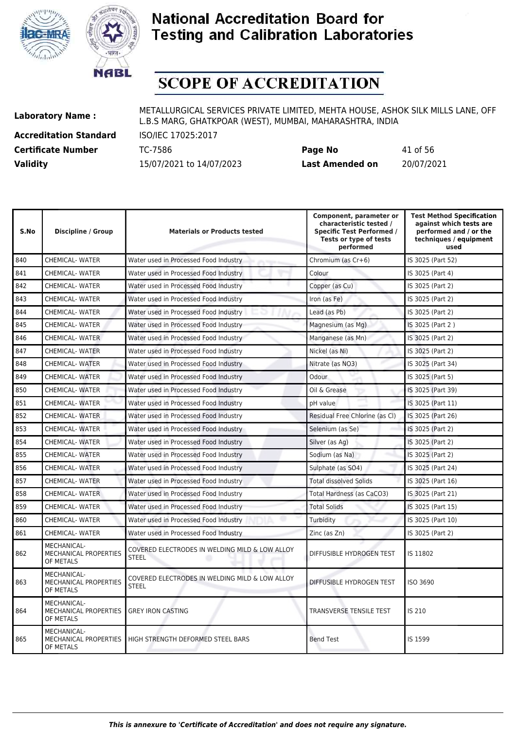



# **SCOPE OF ACCREDITATION**

**Accreditation Standard** ISO/IEC 17025:2017

| <b>Certificate Number</b> | TC-7586                  | Page No                | 41 of 56   |
|---------------------------|--------------------------|------------------------|------------|
| <b>Validity</b>           | 15/07/2021 to 14/07/2023 | <b>Last Amended on</b> | 20/07/2021 |

| S.No | Discipline / Group                                       | <b>Materials or Products tested</b>                            | Component, parameter or<br>characteristic tested /<br><b>Specific Test Performed /</b><br>Tests or type of tests<br>performed | <b>Test Method Specification</b><br>against which tests are<br>performed and / or the<br>techniques / equipment<br>used |
|------|----------------------------------------------------------|----------------------------------------------------------------|-------------------------------------------------------------------------------------------------------------------------------|-------------------------------------------------------------------------------------------------------------------------|
| 840  | <b>CHEMICAL-WATER</b>                                    | Water used in Processed Food Industry                          | Chromium (as Cr+6)                                                                                                            | IS 3025 (Part 52)                                                                                                       |
| 841  | <b>CHEMICAL- WATER</b>                                   | Water used in Processed Food Industry                          | Colour                                                                                                                        | IS 3025 (Part 4)                                                                                                        |
| 842  | <b>CHEMICAL- WATER</b>                                   | Water used in Processed Food Industry                          | Copper (as Cu)                                                                                                                | IS 3025 (Part 2)                                                                                                        |
| 843  | <b>CHEMICAL- WATER</b>                                   | Water used in Processed Food Industry                          | Iron (as Fe)                                                                                                                  | IS 3025 (Part 2)                                                                                                        |
| 844  | <b>CHEMICAL- WATER</b>                                   | Water used in Processed Food Industry                          | Lead (as Pb)                                                                                                                  | IS 3025 (Part 2)                                                                                                        |
| 845  | <b>CHEMICAL- WATER</b>                                   | Water used in Processed Food Industry                          | Magnesium (as Mg)                                                                                                             | IS 3025 (Part 2)                                                                                                        |
| 846  | <b>CHEMICAL-WATER</b>                                    | Water used in Processed Food Industry                          | Manganese (as Mn)                                                                                                             | IS 3025 (Part 2)                                                                                                        |
| 847  | <b>CHEMICAL-WATER</b>                                    | Water used in Processed Food Industry                          | Nickel (as Ni)                                                                                                                | IS 3025 (Part 2)                                                                                                        |
| 848  | <b>CHEMICAL- WATER</b>                                   | Water used in Processed Food Industry                          | Nitrate (as NO3)                                                                                                              | IS 3025 (Part 34)                                                                                                       |
| 849  | <b>CHEMICAL- WATER</b>                                   | Water used in Processed Food Industry                          | Odour                                                                                                                         | IS 3025 (Part 5)                                                                                                        |
| 850  | <b>CHEMICAL- WATER</b>                                   | Water used in Processed Food Industry                          | Oil & Grease                                                                                                                  | IS 3025 (Part 39)                                                                                                       |
| 851  | <b>CHEMICAL- WATER</b>                                   | Water used in Processed Food Industry                          | pH value                                                                                                                      | IS 3025 (Part 11)                                                                                                       |
| 852  | <b>CHEMICAL-WATER</b>                                    | Water used in Processed Food Industry                          | Residual Free Chlorine (as Cl)                                                                                                | IS 3025 (Part 26)                                                                                                       |
| 853  | <b>CHEMICAL- WATER</b>                                   | Water used in Processed Food Industry                          | Selenium (as Se)                                                                                                              | IS 3025 (Part 2)                                                                                                        |
| 854  | <b>CHEMICAL- WATER</b>                                   | Water used in Processed Food Industry                          | Silver (as Ag)                                                                                                                | IS 3025 (Part 2)                                                                                                        |
| 855  | <b>CHEMICAL- WATER</b>                                   | Water used in Processed Food Industry                          | Sodium (as Na)                                                                                                                | IS 3025 (Part 2)                                                                                                        |
| 856  | <b>CHEMICAL- WATER</b>                                   | Water used in Processed Food Industry                          | Sulphate (as SO4)                                                                                                             | IS 3025 (Part 24)                                                                                                       |
| 857  | <b>CHEMICAL- WATER</b>                                   | Water used in Processed Food Industry                          | <b>Total dissolved Solids</b>                                                                                                 | IS 3025 (Part 16)                                                                                                       |
| 858  | <b>CHEMICAL-WATER</b>                                    | Water used in Processed Food Industry                          | Total Hardness (as CaCO3)                                                                                                     | IS 3025 (Part 21)                                                                                                       |
| 859  | <b>CHEMICAL- WATER</b>                                   | Water used in Processed Food Industry                          | <b>Total Solids</b>                                                                                                           | IS 3025 (Part 15)                                                                                                       |
| 860  | <b>CHEMICAL- WATER</b>                                   | Water used in Processed Food Industry                          | Turbidity                                                                                                                     | IS 3025 (Part 10)                                                                                                       |
| 861  | <b>CHEMICAL-WATER</b>                                    | Water used in Processed Food Industry                          | Zinc (as Zn)                                                                                                                  | IS 3025 (Part 2)                                                                                                        |
| 862  | MECHANICAL-<br><b>MECHANICAL PROPERTIES</b><br>OF METALS | COVERED ELECTRODES IN WELDING MILD & LOW ALLOY<br><b>STEEL</b> | DIFFUSIBLE HYDROGEN TEST                                                                                                      | IS 11802                                                                                                                |
| 863  | MECHANICAL-<br>MECHANICAL PROPERTIES<br>OF METALS        | COVERED ELECTRODES IN WELDING MILD & LOW ALLOY<br><b>STEEL</b> | DIFFUSIBLE HYDROGEN TEST                                                                                                      | ISO 3690                                                                                                                |
| 864  | MECHANICAL-<br>MECHANICAL PROPERTIES<br>OF METALS        | <b>GREY IRON CASTING</b>                                       | TRANSVERSE TENSILE TEST                                                                                                       | IS 210                                                                                                                  |
| 865  | MECHANICAL-<br>MECHANICAL PROPERTIES<br>OF METALS        | HIGH STRENGTH DEFORMED STEEL BARS                              | <b>Bend Test</b>                                                                                                              | IS 1599                                                                                                                 |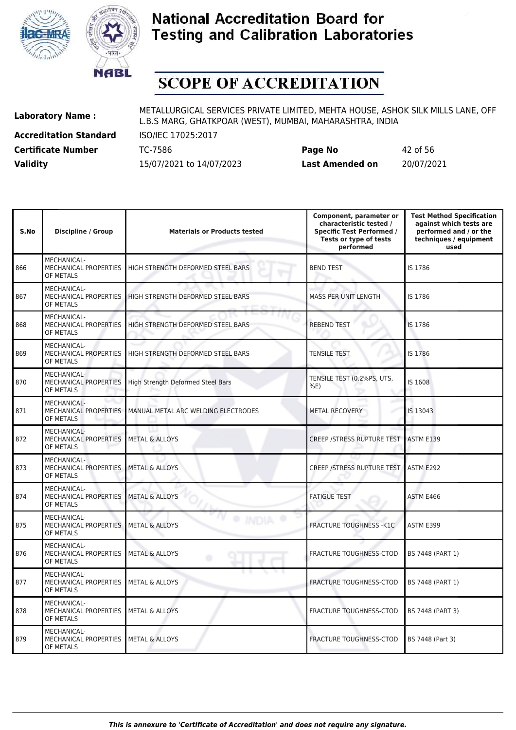



# **SCOPE OF ACCREDITATION**

**Accreditation Standard** ISO/IEC 17025:2017

**Laboratory Name :** METALLURGICAL SERVICES PRIVATE LIMITED, MEHTA HOUSE, ASHOK SILK MILLS LANE, OFF L.B.S MARG, GHATKPOAR (WEST), MUMBAI, MAHARASHTRA, INDIA

**Certificate Number** TC-7586 **Page No** 42 of 56 **Validity** 15/07/2021 to 14/07/2023 **Last Amended on** 20/07/2021

| S.No | <b>Discipline / Group</b>                                          | <b>Materials or Products tested</b> | Component, parameter or<br>characteristic tested /<br><b>Specific Test Performed /</b><br>Tests or type of tests<br>performed | <b>Test Method Specification</b><br>against which tests are<br>performed and / or the<br>techniques / equipment<br>used |
|------|--------------------------------------------------------------------|-------------------------------------|-------------------------------------------------------------------------------------------------------------------------------|-------------------------------------------------------------------------------------------------------------------------|
| 866  | MECHANICAL-<br>MECHANICAL PROPERTIES<br>OF METALS                  | HIGH STRENGTH DEFORMED STEEL BARS   | <b>BEND TEST</b>                                                                                                              | IS 1786                                                                                                                 |
| 867  | MECHANICAL-<br>MECHANICAL PROPERTIES<br>OF METALS                  | HIGH STRENGTH DEFORMED STEEL BARS   | MASS PER UNIT LENGTH                                                                                                          | IS 1786                                                                                                                 |
| 868  | MECHANICAL-<br>MECHANICAL PROPERTIES<br>OF METALS                  | HIGH STRENGTH DEFORMED STEEL BARS   | <b>REBEND TEST</b>                                                                                                            | IS 1786                                                                                                                 |
| 869  | MECHANICAL-<br>MECHANICAL PROPERTIES<br>OF METALS                  | HIGH STRENGTH DEFORMED STEEL BARS   | <b>TENSILE TEST</b>                                                                                                           | IS 1786                                                                                                                 |
| 870  | MECHANICAL-<br><b>MECHANICAL PROPERTIES</b><br>OF METALS           | High Strength Deformed Steel Bars   | TENSILE TEST (0.2%PS, UTS,<br>%E                                                                                              | IS 1608                                                                                                                 |
| 871  | MECHANICAL-<br>MECHANICAL PROPERTIES<br>OF METALS                  | MANUAL METAL ARC WELDING ELECTRODES | METAL RECOVERY                                                                                                                | IS 13043                                                                                                                |
| 872  | MECHANICAL-<br>MECHANICAL PROPERTIES<br>OF METALS                  | <b>METAL &amp; ALLOYS</b>           | <b>CREEP /STRESS RUPTURE TEST</b>                                                                                             | ASTM E139                                                                                                               |
| 873  | MECHANICAL-<br>MECHANICAL PROPERTIES<br>OF METALS                  | <b>METAL &amp; ALLOYS</b>           | <b>CREEP /STRESS RUPTURE TEST</b>                                                                                             | ASTM E292                                                                                                               |
| 874  | MECHANICAL-<br>MECHANICAL PROPERTIES<br>OF METALS                  | <b>METAL &amp; ALLOYS</b>           | <b>FATIGUE TEST</b>                                                                                                           | ASTM E466                                                                                                               |
| 875  | MECHANICAL-<br>MECHANICAL PROPERTIES<br>OF METALS                  | <b>METAL &amp; ALLOYS</b>           | <b>FRACTURE TOUGHNESS - K1C</b>                                                                                               | ASTM E399                                                                                                               |
| 876  | MECHANICAL-<br>MECHANICAL PROPERTIES<br>OF METALS                  | <b>METAL &amp; ALLOYS</b><br>۰      | <b>FRACTURE TOUGHNESS-CTOD</b>                                                                                                | BS 7448 (PART 1)                                                                                                        |
| 877  | MECHANICAL-<br>MECHANICAL PROPERTIES<br>OF METALS                  | <b>METAL &amp; ALLOYS</b>           | <b>FRACTURE TOUGHNESS-CTOD</b>                                                                                                | BS 7448 (PART 1)                                                                                                        |
| 878  | MECHANICAL-<br>MECHANICAL PROPERTIES<br>OF METALS                  | <b>METAL &amp; ALLOYS</b>           | FRACTURE TOUGHNESS-CTOD                                                                                                       | BS 7448 (PART 3)                                                                                                        |
| 879  | MECHANICAL-<br>MECHANICAL PROPERTIES   METAL & ALLOYS<br>OF METALS |                                     | FRACTURE TOUGHNESS-CTOD                                                                                                       | BS 7448 (Part 3)                                                                                                        |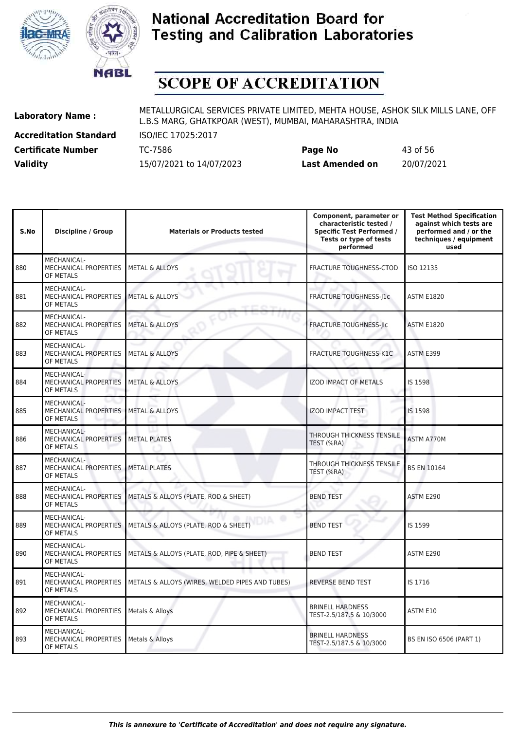



# **SCOPE OF ACCREDITATION**

**Accreditation Standard** ISO/IEC 17025:2017

**Laboratory Name :** METALLURGICAL SERVICES PRIVATE LIMITED, MEHTA HOUSE, ASHOK SILK MILLS LANE, OFF L.B.S MARG, GHATKPOAR (WEST), MUMBAI, MAHARASHTRA, INDIA

**Certificate Number** TC-7586 **Page No** 43 of 56 **Validity** 15/07/2021 to 14/07/2023 **Last Amended on** 20/07/2021

| S.No | <b>Discipline / Group</b>                                       | <b>Materials or Products tested</b>             | Component, parameter or<br>characteristic tested /<br><b>Specific Test Performed /</b><br>Tests or type of tests<br>performed | <b>Test Method Specification</b><br>against which tests are<br>performed and / or the<br>techniques / equipment<br>used |
|------|-----------------------------------------------------------------|-------------------------------------------------|-------------------------------------------------------------------------------------------------------------------------------|-------------------------------------------------------------------------------------------------------------------------|
| 880  | <b>MECHANICAL-</b><br><b>MECHANICAL PROPERTIES</b><br>OF METALS | <b>METAL &amp; ALLOYS</b>                       | <b>FRACTURE TOUGHNESS-CTOD</b>                                                                                                | ISO 12135                                                                                                               |
| 881  | MECHANICAL-<br>MECHANICAL PROPERTIES<br>OF METALS               | <b>METAL &amp; ALLOYS</b>                       | FRACTURE TOUGHNESS-J1c                                                                                                        | <b>ASTM E1820</b>                                                                                                       |
| 882  | MECHANICAL-<br>MECHANICAL PROPERTIES<br>OF METALS               | <b>METAL &amp; ALLOYS</b>                       | FRACTURE TOUGHNESS-JIC                                                                                                        | <b>ASTM E1820</b>                                                                                                       |
| 883  | <b>MECHANICAL-</b><br>MECHANICAL PROPERTIES<br>OF METALS        | <b>METAL &amp; ALLOYS</b>                       | FRACTURE TOUGHNESS-K1C                                                                                                        | ASTM E399                                                                                                               |
| 884  | MECHANICAL-<br>MECHANICAL PROPERTIES<br>OF METALS               | <b>METAL &amp; ALLOYS</b>                       | <b>IZOD IMPACT OF METALS</b>                                                                                                  | IS 1598                                                                                                                 |
| 885  | <b>MECHANICAL-</b><br><b>MECHANICAL PROPERTIES</b><br>OF METALS | <b>METAL &amp; ALLOYS</b>                       | <b>IZOD IMPACT TEST</b>                                                                                                       | IS 1598                                                                                                                 |
| 886  | MECHANICAL-<br>MECHANICAL PROPERTIES<br>OF METALS               | <b>METAL PLATES</b>                             | THROUGH THICKNESS TENSILE<br>TEST (%RA)                                                                                       | ASTM A770M                                                                                                              |
| 887  | MECHANICAL-<br>MECHANICAL PROPERTIES<br>OF METALS               | <b>METAL PLATES</b>                             | THROUGH THICKNESS TENSILE<br>TEST (%RA)                                                                                       | <b>BS EN 10164</b>                                                                                                      |
| 888  | MECHANICAL-<br><b>MECHANICAL PROPERTIES</b><br>OF METALS        | METALS & ALLOYS (PLATE, ROD & SHEET)            | <b>BEND TEST</b>                                                                                                              | ASTM E290                                                                                                               |
| 889  | MECHANICAL-<br>MECHANICAL PROPERTIES<br>OF METALS               | METALS & ALLOYS (PLATE, ROD & SHEET)            | <b>BEND TEST</b>                                                                                                              | IS 1599                                                                                                                 |
| 890  | MECHANICAL-<br>MECHANICAL PROPERTIES<br>OF METALS               | METALS & ALLOYS (PLATE, ROD, PIPE & SHEET)      | <b>BEND TEST</b>                                                                                                              | ASTM E290                                                                                                               |
| 891  | MECHANICAL-<br>MECHANICAL PROPERTIES<br>OF METALS               | METALS & ALLOYS (WIRES, WELDED PIPES AND TUBES) | <b>REVERSE BEND TEST</b>                                                                                                      | IS 1716                                                                                                                 |
| 892  | MECHANICAL-<br>MECHANICAL PROPERTIES<br>OF METALS               | Metals & Alloys                                 | <b>BRINELL HARDNESS</b><br>TEST-2.5/187.5 & 10/3000                                                                           | ASTM E10                                                                                                                |
| 893  | MECHANICAL-<br>MECHANICAL PROPERTIES<br>OF METALS               | Metals & Alloys                                 | <b>BRINELL HARDNESS</b><br>TEST-2.5/187.5 & 10/3000                                                                           | BS EN ISO 6506 (PART 1)                                                                                                 |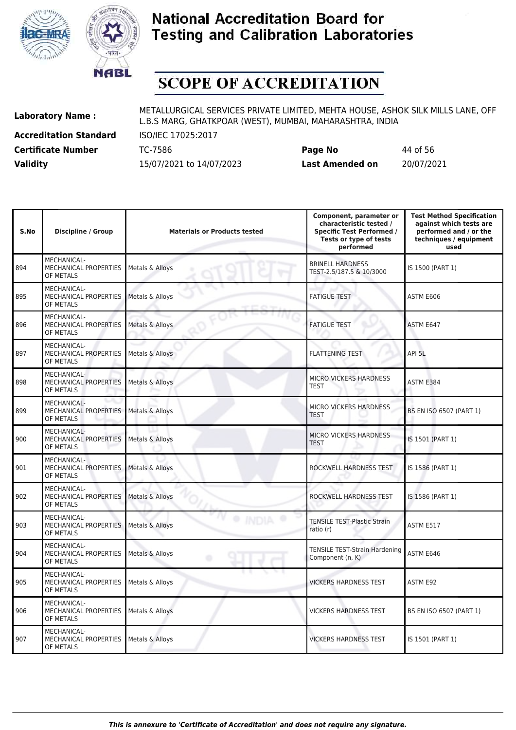



# **SCOPE OF ACCREDITATION**

894

895

896

897

898

899

900

901

902

903

904

905

906

907

MECHANICAL PROPERTIES

OF METALS

**Accreditation Standard** ISO/IEC 17025:2017

**Laboratory Name :** METALLURGICAL SERVICES PRIVATE LIMITED, MEHTA HOUSE, ASHOK SILK MILLS LANE, OFF L.B.S MARG, GHATKPOAR (WEST), MUMBAI, MAHARASHTRA, INDIA

**Certificate Number** TC-7586 **Page No** 44 of 56 **Validity** 15/07/2021 to 14/07/2023 **Last Amended on** 20/07/2021

VICKERS HARDNESS TEST | IS 1501 (PART 1)

| S.No | Discipline / Group                                              | <b>Materials or Products tested</b> | Component, parameter or<br>characteristic tested /<br><b>Specific Test Performed /</b><br>Tests or type of tests<br>performed | <b>Test Method Specification</b><br>against which tests are<br>performed and / or the<br>techniques / equipment<br>used |
|------|-----------------------------------------------------------------|-------------------------------------|-------------------------------------------------------------------------------------------------------------------------------|-------------------------------------------------------------------------------------------------------------------------|
| 94   | <b>MECHANICAL-</b><br>MECHANICAL PROPERTIES<br>OF METALS        | Metals & Alloys                     | <b>BRINELL HARDNESS</b><br>TEST-2.5/187.5 & 10/3000                                                                           | IS 1500 (PART 1)                                                                                                        |
| 95   | MECHANICAL-<br>MECHANICAL PROPERTIES<br>OF METALS               | Metals & Alloys                     | <b>FATIGUE TEST</b>                                                                                                           | ASTM E606                                                                                                               |
| 96   | MECHANICAL-<br>MECHANICAL PROPERTIES<br>OF METALS               | Metals & Alloys                     | <b>FATIGUE TEST</b>                                                                                                           | ASTM E647                                                                                                               |
| 97   | MECHANICAL-<br>MECHANICAL PROPERTIES<br>OF METALS               | Metals & Alloys                     | <b>FLATTENING TEST</b>                                                                                                        | API 5L                                                                                                                  |
| 98   | MECHANICAL-<br>MECHANICAL PROPERTIES<br>OF METALS               | Metals & Alloys                     | <b>MICRO VICKERS HARDNESS</b><br><b>TEST</b>                                                                                  | ASTM E384                                                                                                               |
| 99   | MECHANICAL-<br>MECHANICAL PROPERTIES<br>OF METALS               | Metals & Alloys                     | <b>MICRO VICKERS HARDNESS</b><br><b>TEST</b>                                                                                  | <b>BS EN ISO 6507 (PART 1)</b>                                                                                          |
| 00   | MECHANICAL-<br>MECHANICAL PROPERTIES<br>OF METALS               | Metals & Alloys                     | MICRO VICKERS HARDNESS<br>TEST                                                                                                | IS 1501 (PART 1)                                                                                                        |
| 01   | MECHANICAL-<br><b>MECHANICAL PROPERTIES</b><br>OF METALS        | Metals & Alloys                     | ROCKWELL HARDNESS TEST                                                                                                        | IS 1586 (PART 1)                                                                                                        |
| 02   | MECHANICAL-<br>MECHANICAL PROPERTIES<br>OF METALS               | Metals & Alloys                     | ROCKWELL HARDNESS TEST                                                                                                        | IS 1586 (PART 1)                                                                                                        |
| 03   | <b>MECHANICAL-</b><br><b>MECHANICAL PROPERTIES</b><br>OF METALS | Metals & Alloys                     | <b>TENSILE TEST-Plastic Strain</b><br>ratio (r)                                                                               | ASTM E517                                                                                                               |
| 04   | <b>MECHANICAL-</b><br>MECHANICAL PROPERTIES<br>OF METALS        | Metals & Alloys<br>۰                | <b>TENSILE TEST-Strain Hardening</b><br>Component (n, K)                                                                      | ASTM E646                                                                                                               |
| 05   | MECHANICAL-<br>MECHANICAL PROPERTIES<br>OF METALS               | Metals & Alloys                     | <b>VICKERS HARDNESS TEST</b>                                                                                                  | ASTM E92                                                                                                                |
| 06   | MECHANICAL-<br>MECHANICAL PROPERTIES<br>OF METALS               | Metals & Alloys                     | <b>VICKERS HARDNESS TEST</b>                                                                                                  | BS EN ISO 6507 (PART 1)                                                                                                 |
|      | MECHANICAL-                                                     |                                     |                                                                                                                               |                                                                                                                         |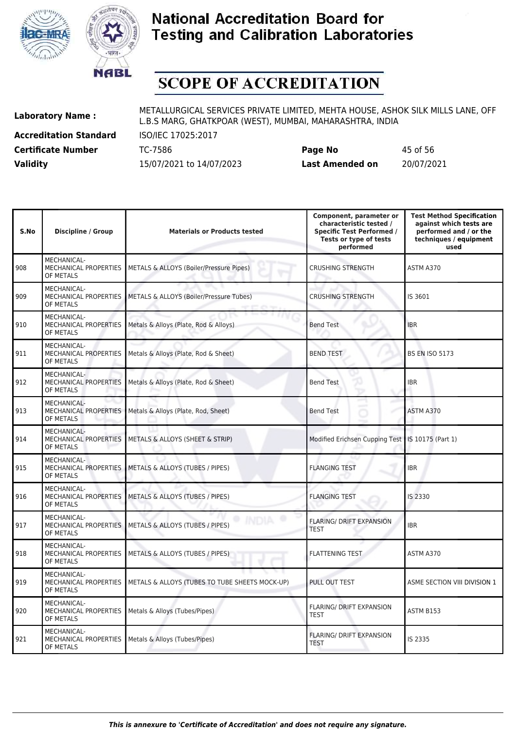



# **SCOPE OF ACCREDITATION**

**Accreditation Standard** ISO/IEC 17025:2017

**Laboratory Name :** METALLURGICAL SERVICES PRIVATE LIMITED, MEHTA HOUSE, ASHOK SILK MILLS LANE, OFF L.B.S MARG, GHATKPOAR (WEST), MUMBAI, MAHARASHTRA, INDIA

**Certificate Number** TC-7586 **Page No** 45 of 56 **Validity** 15/07/2021 to 14/07/2023 **Last Amended on** 20/07/2021

|      | 45 of 56  |
|------|-----------|
| d on | 20/07/202 |

| S.No | <b>Discipline / Group</b>                                | <b>Materials or Products tested</b>            | Component, parameter or<br>characteristic tested /<br><b>Specific Test Performed /</b><br>Tests or type of tests<br>performed | <b>Test Method Specification</b><br>against which tests are<br>performed and / or the<br>techniques / equipment<br>used |
|------|----------------------------------------------------------|------------------------------------------------|-------------------------------------------------------------------------------------------------------------------------------|-------------------------------------------------------------------------------------------------------------------------|
| 908  | MECHANICAL-<br><b>MECHANICAL PROPERTIES</b><br>OF METALS | METALS & ALLOYS (Boiler/Pressure Pipes)        | <b>CRUSHING STRENGTH</b>                                                                                                      | ASTM A370                                                                                                               |
| 909  | MECHANICAL-<br>MECHANICAL PROPERTIES<br>OF METALS        | METALS & ALLOYS (Boiler/Pressure Tubes)        | <b>CRUSHING STRENGTH</b>                                                                                                      | IS 3601                                                                                                                 |
| 910  | MECHANICAL-<br>MECHANICAL PROPERTIES<br>OF METALS        | Metals & Alloys (Plate, Rod & Alloys)          | <b>Bend Test</b>                                                                                                              | <b>IBR</b>                                                                                                              |
| 911  | MECHANICAL-<br>MECHANICAL PROPERTIES<br>OF METALS        | Metals & Alloys (Plate, Rod & Sheet)           | <b>BEND TEST</b>                                                                                                              | <b>BS EN ISO 5173</b>                                                                                                   |
| 912  | MECHANICAL-<br><b>MECHANICAL PROPERTIES</b><br>OF METALS | Metals & Alloys (Plate, Rod & Sheet)           | <b>Bend Test</b>                                                                                                              | <b>IBR</b>                                                                                                              |
| 913  | MECHANICAL-<br><b>MECHANICAL PROPERTIES</b><br>OF METALS | Metals & Alloys (Plate, Rod, Sheet)            | ا ب<br><b>Bend Test</b>                                                                                                       | ASTM A370                                                                                                               |
| 914  | MECHANICAL-<br>MECHANICAL PROPERTIES<br>OF METALS        | METALS & ALLOYS (SHEET & STRIP)                | Modified Erichsen Cupping Test   IS 10175 (Part 1)                                                                            |                                                                                                                         |
| 915  | MECHANICAL-<br>MECHANICAL PROPERTIES<br>OF METALS        | METALS & ALLOYS (TUBES / PIPES)                | <b>FLANGING TEST</b>                                                                                                          | <b>IBR</b>                                                                                                              |
| 916  | MECHANICAL-<br>MECHANICAL PROPERTIES<br>OF METALS        | METALS & ALLOYS (TUBES / PIPES)                | <b>FLANGING TEST</b>                                                                                                          | IS 2330                                                                                                                 |
| 917  | MECHANICAL-<br>MECHANICAL PROPERTIES<br>OF METALS        | METALS & ALLOYS (TUBES / PIPES)                | <b>FLARING/ DRIFT EXPANSION</b><br><b>TEST</b>                                                                                | <b>IBR</b>                                                                                                              |
| 918  | MECHANICAL-<br><b>MECHANICAL PROPERTIES</b><br>OF METALS | METALS & ALLOYS (TUBES / PIPES)                | <b>FLATTENING TEST</b>                                                                                                        | ASTM A370                                                                                                               |
| 919  | MECHANICAL-<br>MECHANICAL PROPERTIES<br>OF METALS        | METALS & ALLOYS (TUBES TO TUBE SHEETS MOCK-UP) | PULL OUT TEST                                                                                                                 | ASME SECTION VIII DIVISION 1                                                                                            |
| 920  | MECHANICAL-<br>MECHANICAL PROPERTIES<br>OF METALS        | Metals & Alloys (Tubes/Pipes)                  | <b>FLARING/ DRIFT EXPANSION</b><br><b>TEST</b>                                                                                | ASTM B153                                                                                                               |
| 921  | MECHANICAL-<br><b>MECHANICAL PROPERTIES</b><br>OF METALS | Metals & Alloys (Tubes/Pipes)                  | FLARING/ DRIFT EXPANSION<br><b>TEST</b>                                                                                       | IS 2335                                                                                                                 |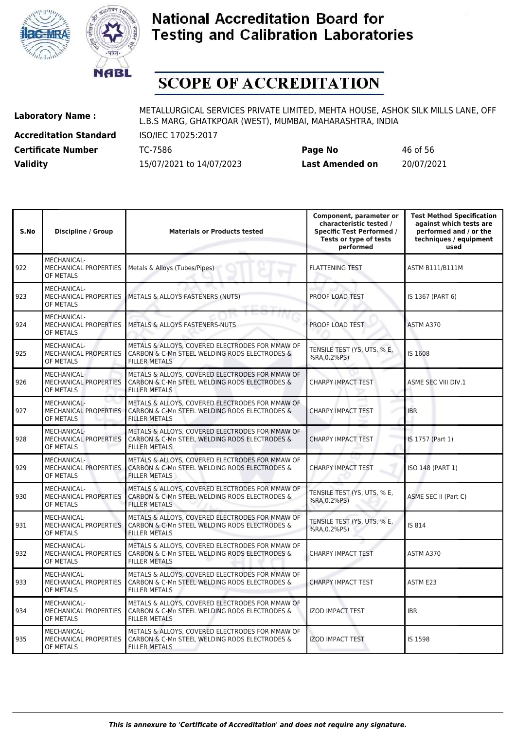



# **SCOPE OF ACCREDITATION**

**Accreditation Standard** ISO/IEC 17025:2017 **Certificate Number** TC-7586 **Page No** 46 of 56

**Laboratory Name :** METALLURGICAL SERVICES PRIVATE LIMITED, MEHTA HOUSE, ASHOK SILK MILLS LANE, OFF L.B.S MARG, GHATKPOAR (WEST), MUMBAI, MAHARASHTRA, INDIA

**Validity** 15/07/2021 to 14/07/2023 **Last Amended on** 20/07/2021

| S.No | <b>Discipline / Group</b>                                | <b>Materials or Products tested</b>                                                                                      | Component, parameter or<br>characteristic tested /<br><b>Specific Test Performed /</b><br>Tests or type of tests<br>performed | <b>Test Method Specification</b><br>against which tests are<br>performed and / or the<br>techniques / equipment<br>used |
|------|----------------------------------------------------------|--------------------------------------------------------------------------------------------------------------------------|-------------------------------------------------------------------------------------------------------------------------------|-------------------------------------------------------------------------------------------------------------------------|
| 922  | MECHANICAL-<br>MECHANICAL PROPERTIES<br>OF METALS        | Metals & Alloys (Tubes/Pipes)                                                                                            | <b>FLATTENING TEST</b>                                                                                                        | <b>ASTM B111/B111M</b>                                                                                                  |
| 923  | MECHANICAL-<br>MECHANICAL PROPERTIES<br>OF METALS        | METALS & ALLOYS FASTENERS (NUTS)                                                                                         | PROOF LOAD TEST                                                                                                               | IS 1367 (PART 6)                                                                                                        |
| 924  | MECHANICAL-<br>MECHANICAL PROPERTIES<br>OF METALS        | <b>METALS &amp; ALLOYS FASTENERS-NUTS</b>                                                                                | PROOF LOAD TEST                                                                                                               | ASTM A370                                                                                                               |
| 925  | <b>MECHANICAL-</b><br>MECHANICAL PROPERTIES<br>OF METALS | METALS & ALLOYS, COVERED ELECTRODES FOR MMAW OF<br>CARBON & C-Mn STEEL WELDING RODS ELECTRODES &<br><b>FILLER METALS</b> | TENSILE TEST (YS, UTS, % E,<br>%RA, 0.2%PS)                                                                                   | IS 1608                                                                                                                 |
| 926  | MECHANICAL-<br>MECHANICAL PROPERTIES<br>OF METALS        | METALS & ALLOYS, COVERED ELECTRODES FOR MMAW OF<br>CARBON & C-Mn STEEL WELDING RODS ELECTRODES &<br><b>FILLER METALS</b> | <b>CHARPY IMPACT TEST</b>                                                                                                     | ASME SEC VIII DIV.1                                                                                                     |
| 927  | MECHANICAL-<br>MECHANICAL PROPERTIES<br>OF METALS        | METALS & ALLOYS, COVERED ELECTRODES FOR MMAW OF<br>CARBON & C-Mn STEEL WELDING RODS ELECTRODES &<br><b>FILLER METALS</b> | <b>CHARPY IMPACT TEST</b>                                                                                                     | <b>IBR</b>                                                                                                              |
| 928  | MECHANICAL-<br>MECHANICAL PROPERTIES<br>OF METALS        | METALS & ALLOYS, COVERED ELECTRODES FOR MMAW OF<br>CARBON & C-Mn STEEL WELDING RODS ELECTRODES &<br><b>FILLER METALS</b> | <b>CHARPY IMPACT TEST</b>                                                                                                     | IS 1757 (Part 1)                                                                                                        |
| 929  | MECHANICAL-<br>MECHANICAL PROPERTIES<br>OF METALS        | METALS & ALLOYS, COVERED ELECTRODES FOR MMAW OF<br>CARBON & C-Mn STEEL WELDING RODS ELECTRODES &<br><b>FILLER METALS</b> | <b>CHARPY IMPACT TEST</b>                                                                                                     | ISO 148 (PART 1)                                                                                                        |
| 930  | <b>MECHANICAL-</b><br>MECHANICAL PROPERTIES<br>OF METALS | METALS & ALLOYS, COVERED ELECTRODES FOR MMAW OF<br>CARBON & C-Mn STEEL WELDING RODS ELECTRODES &<br><b>FILLER METALS</b> | TENSILE TEST (YS, UTS, % E,<br>%RA, 0.2%PS)                                                                                   | ASME SEC II (Part C)                                                                                                    |
| 931  | MECHANICAL-<br>MECHANICAL PROPERTIES<br>OF METALS        | METALS & ALLOYS, COVERED ELECTRODES FOR MMAW OF<br>CARBON & C-Mn STEEL WELDING RODS ELECTRODES &<br><b>FILLER METALS</b> | TENSILE TEST (YS, UTS, % E,<br>%RA, 0.2%PS)                                                                                   | IS 814                                                                                                                  |
| 932  | MECHANICAL-<br>MECHANICAL PROPERTIES<br>OF METALS        | METALS & ALLOYS, COVERED ELECTRODES FOR MMAW OF<br>CARBON & C-Mn STEEL WELDING RODS ELECTRODES &<br><b>FILLER METALS</b> | CHARPY IMPACT TEST                                                                                                            | ASTM A370                                                                                                               |
| 933  | MECHANICAL-<br>MECHANICAL PROPERTIES<br>OF METALS        | METALS & ALLOYS, COVERED ELECTRODES FOR MMAW OF<br>CARBON & C-Mn STEEL WELDING RODS ELECTRODES &<br><b>FILLER METALS</b> | <b>CHARPY IMPACT TEST</b>                                                                                                     | ASTM E23                                                                                                                |
| 934  | <b>MECHANICAL-</b><br>MECHANICAL PROPERTIES<br>OF METALS | METALS & ALLOYS, COVERED ELECTRODES FOR MMAW OF<br>CARBON & C-Mn STEEL WELDING RODS ELECTRODES &<br><b>FILLER METALS</b> | <b>IZOD IMPACT TEST</b>                                                                                                       | <b>IBR</b>                                                                                                              |
| 935  | <b>MECHANICAL-</b><br>MECHANICAL PROPERTIES<br>OF METALS | METALS & ALLOYS, COVERED ELECTRODES FOR MMAW OF<br>CARBON & C-Mn STEEL WELDING RODS ELECTRODES &<br><b>FILLER METALS</b> | <b>IZOD IMPACT TEST</b>                                                                                                       | IS 1598                                                                                                                 |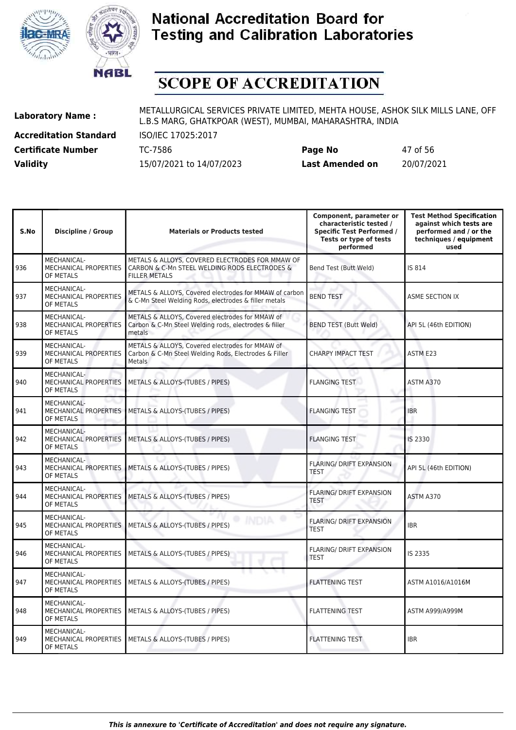



# **SCOPE OF ACCREDITATION**

**Accreditation Standard** ISO/IEC 17025:2017

| <b>Certificate Number</b> | TC-7586                  | Page No         | 47 of 56   |
|---------------------------|--------------------------|-----------------|------------|
| <b>Validity</b>           | 15/07/2021 to 14/07/2023 | Last Amended on | 20/07/2021 |

| S.No | <b>Discipline / Group</b>                                | <b>Materials or Products tested</b>                                                                                       | Component, parameter or<br>characteristic tested /<br><b>Specific Test Performed /</b><br>Tests or type of tests<br>performed | <b>Test Method Specification</b><br>against which tests are<br>performed and / or the<br>techniques / equipment<br>used |
|------|----------------------------------------------------------|---------------------------------------------------------------------------------------------------------------------------|-------------------------------------------------------------------------------------------------------------------------------|-------------------------------------------------------------------------------------------------------------------------|
| 936  | MECHANICAL-<br>MECHANICAL PROPERTIES<br>OF METALS        | METALS & ALLOYS, COVERED ELECTRODES FOR MMAW OF<br>CARBON & C-Mn STEEL WELDING RODS ELECTRODES &<br><b>FILLER METALS</b>  | Bend Test (Butt Weld)                                                                                                         | IS 814                                                                                                                  |
| 937  | MECHANICAL-<br>MECHANICAL PROPERTIES<br>OF METALS        | METALS & ALLOYS, Covered electrodes for MMAW of carbon<br>& C-Mn Steel Welding Rods, electrodes & filler metals           | <b>BEND TEST</b>                                                                                                              | ASME SECTION IX                                                                                                         |
| 938  | MECHANICAL-<br>MECHANICAL PROPERTIES<br>OF METALS        | METALS & ALLOYS, Covered electrodes for MMAW of<br>Carbon & C-Mn Steel Welding rods, electrodes & filler<br>metals        | <b>BEND TEST (Butt Weld)</b>                                                                                                  | API 5L (46th EDITION)                                                                                                   |
| 939  | MECHANICAL-<br>MECHANICAL PROPERTIES<br>OF METALS        | METALS & ALLOYS, Covered electrodes for MMAW of<br>Carbon & C-Mn Steel Welding Rods, Electrodes & Filler<br><b>Metals</b> | CHARPY IMPACT TEST                                                                                                            | ASTM E23                                                                                                                |
| 940  | MECHANICAL-<br>MECHANICAL PROPERTIES<br>OF METALS        | METALS & ALLOYS-(TUBES / PIPES)                                                                                           | <b>FLANGING TEST</b>                                                                                                          | ASTM A370                                                                                                               |
| 941  | MECHANICAL-<br><b>MECHANICAL PROPERTIES</b><br>OF METALS | METALS & ALLOYS-(TUBES / PIPES)                                                                                           | <b>FLANGING TEST</b>                                                                                                          | <b>IBR</b>                                                                                                              |
| 942  | MECHANICAL-<br><b>MECHANICAL PROPERTIES</b><br>OF METALS | METALS & ALLOYS-(TUBES / PIPES)                                                                                           | <b>FLANGING TEST</b>                                                                                                          | IS 2330                                                                                                                 |
| 943  | MECHANICAL-<br>MECHANICAL PROPERTIES<br>OF METALS        | METALS & ALLOYS-(TUBES / PIPES)                                                                                           | <b>FLARING/ DRIFT EXPANSION</b><br><b>TEST</b>                                                                                | API 5L (46th EDITION)                                                                                                   |
| 944  | MECHANICAL-<br>MECHANICAL PROPERTIES<br>OF METALS        | METALS & ALLOYS-(TUBES / PIPES)                                                                                           | <b>FLARING/ DRIFT EXPANSION</b><br><b>TEST</b>                                                                                | ASTM A370                                                                                                               |
| 945  | MECHANICAL-<br>MECHANICAL PROPERTIES<br>OF METALS        | METALS & ALLOYS-(TUBES / PIPES)                                                                                           | <b>FLARING/ DRIFT EXPANSION</b><br><b>TEST</b>                                                                                | <b>IBR</b>                                                                                                              |
| 946  | MECHANICAL-<br>MECHANICAL PROPERTIES<br>OF METALS        | METALS & ALLOYS-(TUBES / PIPES)                                                                                           | <b>FLARING/ DRIFT EXPANSION</b><br><b>TEST</b>                                                                                | IS 2335                                                                                                                 |
| 947  | <b>MECHANICAL-</b><br>MECHANICAL PROPERTIES<br>OF METALS | METALS & ALLOYS-(TUBES / PIPES)                                                                                           | <b>FLATTENING TEST</b>                                                                                                        | ASTM A1016/A1016M                                                                                                       |
| 948  | MECHANICAL-<br>MECHANICAL PROPERTIES<br>OF METALS        | METALS & ALLOYS-(TUBES / PIPES)                                                                                           | <b>FLATTENING TEST</b>                                                                                                        | <b>ASTM A999/A999M</b>                                                                                                  |
| 949  | MECHANICAL-<br>MECHANICAL PROPERTIES<br>OF METALS        | METALS & ALLOYS-(TUBES / PIPES)                                                                                           | <b>FLATTENING TEST</b>                                                                                                        | <b>IBR</b>                                                                                                              |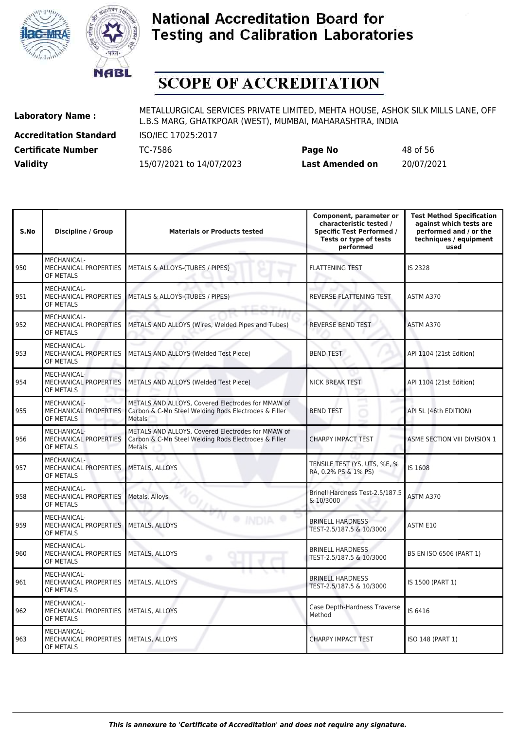



# **SCOPE OF ACCREDITATION**

**Accreditation Standard** ISO/IEC 17025:2017

**Laboratory Name :** METALLURGICAL SERVICES PRIVATE LIMITED, MEHTA HOUSE, ASHOK SILK MILLS LANE, OFF L.B.S MARG, GHATKPOAR (WEST), MUMBAI, MAHARASHTRA, INDIA

**Certificate Number** TC-7586 **Page No** 48 of 56 **Validity** 15/07/2021 to 14/07/2023 **Last Amended on** 20/07/2021

| S.No | <b>Discipline / Group</b>                                | <b>Materials or Products tested</b>                                                                                        | Component, parameter or<br>characteristic tested /<br><b>Specific Test Performed /</b><br>Tests or type of tests<br>performed | <b>Test Method Specification</b><br>against which tests are<br>performed and / or the<br>techniques / equipment<br>used |
|------|----------------------------------------------------------|----------------------------------------------------------------------------------------------------------------------------|-------------------------------------------------------------------------------------------------------------------------------|-------------------------------------------------------------------------------------------------------------------------|
| 950  | <b>MECHANICAL-</b><br>MECHANICAL PROPERTIES<br>OF METALS | METALS & ALLOYS-(TUBES / PIPES)                                                                                            | <b>FLATTENING TEST</b>                                                                                                        | IS 2328                                                                                                                 |
| 951  | MECHANICAL-<br>MECHANICAL PROPERTIES<br>OF METALS        | METALS & ALLOYS-(TUBES / PIPES)                                                                                            | REVERSE FLATTENING TEST                                                                                                       | ASTM A370                                                                                                               |
| 952  | MECHANICAL-<br>MECHANICAL PROPERTIES<br>OF METALS        | METALS AND ALLOYS (Wires, Welded Pipes and Tubes)                                                                          | <b>REVERSE BEND TEST</b>                                                                                                      | ASTM A370                                                                                                               |
| 953  | MECHANICAL-<br>MECHANICAL PROPERTIES<br>OF METALS        | METALS AND ALLOYS (Welded Test Piece)                                                                                      | <b>BEND TEST</b>                                                                                                              | API 1104 (21st Edition)                                                                                                 |
| 954  | MECHANICAL-<br>MECHANICAL PROPERTIES<br>OF METALS        | METALS AND ALLOYS (Welded Test Piece)                                                                                      | <b>NICK BREAK TEST</b><br>x                                                                                                   | API 1104 (21st Edition)                                                                                                 |
| 955  | MECHANICAL-<br>MECHANICAL PROPERTIES<br>OF METALS        | METALS AND ALLOYS. Covered Electrodes for MMAW of<br>Carbon & C-Mn Steel Welding Rods Electrodes & Filler<br><b>Metals</b> | -<br><b>BEND TEST</b>                                                                                                         | API 5L (46th EDITION)                                                                                                   |
| 956  | MECHANICAL-<br>MECHANICAL PROPERTIES<br>OF METALS        | METALS AND ALLOYS, Covered Electrodes for MMAW of<br>Carbon & C-Mn Steel Welding Rods Electrodes & Filler<br>Metals        | <b>CHARPY IMPACT TEST</b>                                                                                                     | ASME SECTION VIII DIVISION 1                                                                                            |
| 957  | MECHANICAL-<br><b>MECHANICAL PROPERTIES</b><br>OF METALS | METALS, ALLOYS                                                                                                             | TENSILE TEST (YS, UTS, %E, %<br>RA, 0.2% PS & 1% PS)                                                                          | IS 1608                                                                                                                 |
| 958  | MECHANICAL-<br>MECHANICAL PROPERTIES<br>OF METALS        | Metals, Alloys                                                                                                             | Brinell Hardness Test-2.5/187.5<br>& 10/3000                                                                                  | ASTM A370                                                                                                               |
| 959  | MECHANICAL-<br>MECHANICAL PROPERTIES<br>OF METALS        | <b>METALS, ALLOYS</b>                                                                                                      | <b>BRINELL HARDNESS</b><br>TEST-2.5/187.5 & 10/3000                                                                           | ASTM E10                                                                                                                |
| 960  | MECHANICAL-<br>MECHANICAL PROPERTIES<br>OF METALS        | METALS, ALLOYS                                                                                                             | <b>BRINELL HARDNESS</b><br>TEST-2.5/187.5 & 10/3000                                                                           | BS EN ISO 6506 (PART 1)                                                                                                 |
| 961  | <b>MECHANICAL-</b><br>MECHANICAL PROPERTIES<br>OF METALS | METALS, ALLOYS                                                                                                             | <b>BRINELL HARDNESS</b><br>TEST-2.5/187.5 & 10/3000                                                                           | IS 1500 (PART 1)                                                                                                        |
| 962  | <b>MECHANICAL-</b><br>MECHANICAL PROPERTIES<br>OF METALS | METALS, ALLOYS                                                                                                             | Case Depth-Hardness Traverse<br>Method                                                                                        | IS 6416                                                                                                                 |
| 963  | <b>MECHANICAL-</b><br>MECHANICAL PROPERTIES<br>OF METALS | METALS, ALLOYS                                                                                                             | <b>CHARPY IMPACT TEST</b>                                                                                                     | ISO 148 (PART 1)                                                                                                        |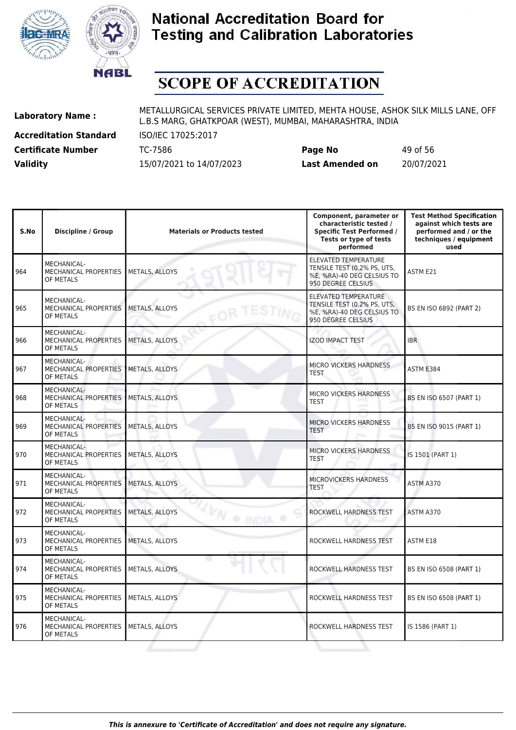



# **SCOPE OF ACCREDITATION**

**Accreditation Standard** ISO/IEC 17025:2017 **Certificate Number** TC-7586 **Page No** 49 of 56

**Laboratory Name :** METALLURGICAL SERVICES PRIVATE LIMITED, MEHTA HOUSE, ASHOK SILK MILLS LANE, OFF L.B.S MARG, GHATKPOAR (WEST), MUMBAI, MAHARASHTRA, INDIA

**Validity** 15/07/2021 to 14/07/2023 **Last Amended on** 20/07/2021

| S.No | <b>Discipline / Group</b>                                       | <b>Materials or Products tested</b> | Component, parameter or<br>characteristic tested /<br><b>Specific Test Performed /</b><br>Tests or type of tests<br>performed | <b>Test Method Specification</b><br>against which tests are<br>performed and / or the<br>techniques / equipment<br>used |
|------|-----------------------------------------------------------------|-------------------------------------|-------------------------------------------------------------------------------------------------------------------------------|-------------------------------------------------------------------------------------------------------------------------|
| 964  | MECHANICAL-<br><b>MECHANICAL PROPERTIES</b><br>OF METALS        | METALS, ALLOYS                      | <b>ELEVATED TEMPERATURE</b><br>TENSILE TEST (0.2% PS, UTS,<br>%E, %RA)-40 DEG CELSIUS TO<br>950 DEGREE CELSIUS                | ASTM E21                                                                                                                |
| 965  | MECHANICAL-<br>MECHANICAL PROPERTIES<br>OF METALS               | METALS, ALLOYS                      | <b>ELEVATED TEMPERATURE</b><br>TENSILE TEST (0.2% PS, UTS,<br>%E, %RA)-40 DEG CELSIUS TO<br>950 DEGREE CELSIUS                | BS EN ISO 6892 (PART 2)                                                                                                 |
| 966  | MECHANICAL-<br><b>MECHANICAL PROPERTIES</b><br>OF METALS        | METALS, ALLOYS                      | <b>IZOD IMPACT TEST</b>                                                                                                       | <b>IBR</b>                                                                                                              |
| 967  | MECHANICAL-<br>MECHANICAL PROPERTIES<br>OF METALS               | <b>METALS, ALLOYS</b>               | MICRO VICKERS HARDNESS<br><b>TEST</b>                                                                                         | ASTM E384                                                                                                               |
| 968  | MECHANICAL-<br>MECHANICAL PROPERTIES<br>OF METALS               | METALS, ALLOYS                      | MICRO VICKERS HARDNESS<br><b>TEST</b>                                                                                         | BS EN ISO 6507 (PART 1)                                                                                                 |
| 969  | MECHANICAL-<br><b>MECHANICAL PROPERTIES</b><br>OF METALS        | METALS, ALLOYS                      | MICRO VICKERS HARDNESS<br><b>TEST</b>                                                                                         | BS EN ISO 9015 (PART 1)                                                                                                 |
| 970  | MECHANICAL-<br>MECHANICAL PROPERTIES<br>OF METALS               | <b>METALS, ALLOYS</b>               | MICRO VICKERS HARDNESS<br><b>TEST</b>                                                                                         | IS 1501 (PART 1)                                                                                                        |
| 971  | MECHANICAL-<br>MECHANICAL PROPERTIES<br>OF METALS               | <b>METALS, ALLOYS</b>               | MICROVICKERS HARDNESS<br><b>TEST</b>                                                                                          | ASTM A370                                                                                                               |
| 972  | MECHANICAL-<br>MECHANICAL PROPERTIES<br>OF METALS               | METALS, ALLOYS<br><b>INDIA</b>      | ROCKWELL HARDNESS TEST                                                                                                        | ASTM A370                                                                                                               |
| 973  | <b>MECHANICAL-</b><br><b>MECHANICAL PROPERTIES</b><br>OF METALS | METALS, ALLOYS                      | ROCKWELL HARDNESS TEST                                                                                                        | ASTM E18                                                                                                                |
| 974  | MECHANICAL-<br>MECHANICAL PROPERTIES<br>OF METALS               | METALS, ALLOYS                      | ROCKWELL HARDNESS TEST                                                                                                        | BS EN ISO 6508 (PART 1)                                                                                                 |
| 975  | <b>MECHANICAL-</b><br>MECHANICAL PROPERTIES<br>OF METALS        | METALS, ALLOYS                      | ROCKWELL HARDNESS TEST                                                                                                        | BS EN ISO 6508 (PART 1)                                                                                                 |
| 976  | MECHANICAL-<br>MECHANICAL PROPERTIES<br>OF METALS               | METALS, ALLOYS                      | ROCKWELL HARDNESS TEST                                                                                                        | IS 1586 (PART 1)                                                                                                        |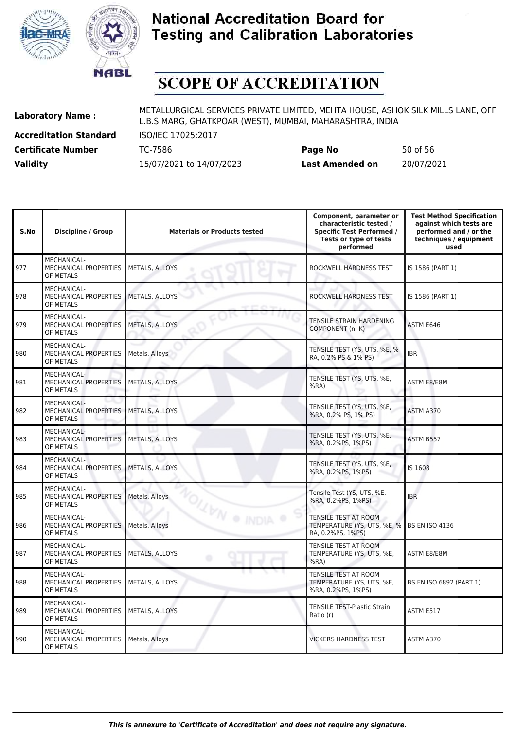



# **SCOPE OF ACCREDITATION**

**Accreditation Standard** ISO/IEC 17025:2017 **Certificate Number** TC-7586 **Page No** 50 of 56

**Laboratory Name :** METALLURGICAL SERVICES PRIVATE LIMITED, MEHTA HOUSE, ASHOK SILK MILLS LANE, OFF L.B.S MARG, GHATKPOAR (WEST), MUMBAI, MAHARASHTRA, INDIA

**Validity** 15/07/2021 to 14/07/2023 **Last Amended on** 20/07/2021

| S.No | <b>Discipline / Group</b>                         | <b>Materials or Products tested</b> | Component, parameter or<br>characteristic tested /<br><b>Specific Test Performed /</b><br>Tests or type of tests<br>performed | <b>Test Method Specification</b><br>against which tests are<br>performed and / or the<br>techniques / equipment<br>used |
|------|---------------------------------------------------|-------------------------------------|-------------------------------------------------------------------------------------------------------------------------------|-------------------------------------------------------------------------------------------------------------------------|
| 977  | MECHANICAL-<br>MECHANICAL PROPERTIES<br>OF METALS | METALS, ALLOYS                      | ROCKWELL HARDNESS TEST                                                                                                        | IS 1586 (PART 1)                                                                                                        |
| 978  | MECHANICAL-<br>MECHANICAL PROPERTIES<br>OF METALS | METALS, ALLOYS                      | ROCKWELL HARDNESS TEST                                                                                                        | IS 1586 (PART 1)                                                                                                        |
| 979  | MECHANICAL-<br>MECHANICAL PROPERTIES<br>OF METALS | METALS, ALLOYS                      | TENSILE STRAIN HARDENING<br>COMPONENT (n, K)                                                                                  | ASTM E646                                                                                                               |
| 980  | MECHANICAL-<br>MECHANICAL PROPERTIES<br>OF METALS | Metals, Alloys                      | TENSILE TEST (YS, UTS, %E, %<br>RA, 0.2% PS & 1% PS)                                                                          | <b>IBR</b>                                                                                                              |
| 981  | MECHANICAL-<br>MECHANICAL PROPERTIES<br>OF METALS | METALS, ALLOYS                      | TENSILE TEST (YS, UTS, %E,<br>$%RA$ )                                                                                         | ASTM E8/E8M                                                                                                             |
| 982  | MECHANICAL-<br>MECHANICAL PROPERTIES<br>OF METALS | METALS, ALLOYS                      | TENSILE TEST (YS, UTS, %E,<br>%RA, 0.2% PS, 1% PS)                                                                            | ASTM A370                                                                                                               |
| 983  | MECHANICAL-<br>MECHANICAL PROPERTIES<br>OF METALS | METALS, ALLOYS                      | TENSILE TEST (YS, UTS, %E,<br>%RA, 0.2%PS, 1%PS)                                                                              | ASTM B557                                                                                                               |
| 984  | MECHANICAL-<br>MECHANICAL PROPERTIES<br>OF METALS | METALS, ALLOYS                      | TENSILE TEST (YS, UTS, %E,<br>%RA, 0.2%PS, 1%PS)                                                                              | IS 1608                                                                                                                 |
| 985  | MECHANICAL-<br>MECHANICAL PROPERTIES<br>OF METALS | Metals, Alloys                      | Tensile Test (YS, UTS, %E,<br>%RA, 0.2%PS, 1%PS)                                                                              | <b>IBR</b>                                                                                                              |
| 986  | MECHANICAL-<br>MECHANICAL PROPERTIES<br>OF METALS | Metals, Alloys                      | TENSILE TEST AT ROOM<br>TEMPERATURE (YS, UTS, %E, %  <br>RA, 0.2%PS, 1%PS)                                                    | <b>BS EN ISO 4136</b>                                                                                                   |
| 987  | MECHANICAL-<br>MECHANICAL PROPERTIES<br>OF METALS | METALS, ALLOYS                      | TENSILE TEST AT ROOM<br>TEMPERATURE (YS, UTS, %E,<br>%RA                                                                      | ASTM E8/E8M                                                                                                             |
| 988  | MECHANICAL-<br>MECHANICAL PROPERTIES<br>OF METALS | METALS, ALLOYS                      | TENSILE TEST AT ROOM<br>TEMPERATURE (YS, UTS, %E,<br>%RA, 0.2%PS, 1%PS)                                                       | BS EN ISO 6892 (PART 1)                                                                                                 |
| 989  | MECHANICAL-<br>MECHANICAL PROPERTIES<br>OF METALS | METALS, ALLOYS                      | <b>TENSILE TEST-Plastic Strain</b><br>Ratio (r)                                                                               | ASTM E517                                                                                                               |
| 990  | MECHANICAL-<br>MECHANICAL PROPERTIES<br>OF METALS | Metals, Alloys                      | <b>VICKERS HARDNESS TEST</b>                                                                                                  | ASTM A370                                                                                                               |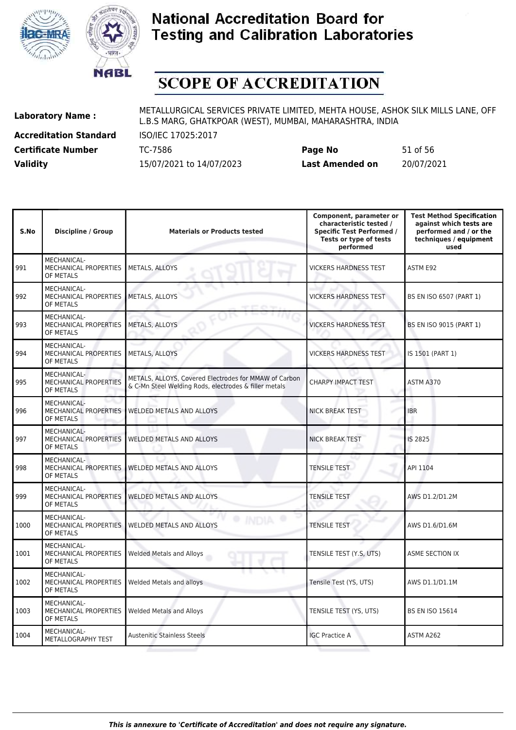



# **SCOPE OF ACCREDITATION**

**Accreditation Standard** ISO/IEC 17025:2017

**Laboratory Name :** METALLURGICAL SERVICES PRIVATE LIMITED, MEHTA HOUSE, ASHOK SILK MILLS LANE, OFF L.B.S MARG, GHATKPOAR (WEST), MUMBAI, MAHARASHTRA, INDIA

**Certificate Number** TC-7586 **Page No** 51 of 56 **Validity** 15/07/2021 to 14/07/2023 **Last Amended on** 20/07/2021

| S.No | <b>Discipline / Group</b>                                | <b>Materials or Products tested</b>                                                                            | Component, parameter or<br>characteristic tested /<br><b>Specific Test Performed /</b><br>Tests or type of tests<br>performed | <b>Test Method Specification</b><br>against which tests are<br>performed and / or the<br>techniques / equipment<br>used |
|------|----------------------------------------------------------|----------------------------------------------------------------------------------------------------------------|-------------------------------------------------------------------------------------------------------------------------------|-------------------------------------------------------------------------------------------------------------------------|
| 991  | MECHANICAL-<br>MECHANICAL PROPERTIES<br>OF METALS        | METALS, ALLOYS                                                                                                 | <b>VICKERS HARDNESS TEST</b>                                                                                                  | ASTM E92                                                                                                                |
| 992  | MECHANICAL-<br>MECHANICAL PROPERTIES<br>OF METALS        | METALS, ALLOYS                                                                                                 | <b>VICKERS HARDNESS TEST</b>                                                                                                  | BS EN ISO 6507 (PART 1)                                                                                                 |
| 993  | MECHANICAL-<br>MECHANICAL PROPERTIES<br>OF METALS        | METALS, ALLOYS                                                                                                 | <b>VICKERS HARDNESS TEST</b>                                                                                                  | <b>BS EN ISO 9015 (PART 1)</b>                                                                                          |
| 994  | MECHANICAL-<br><b>MECHANICAL PROPERTIES</b><br>OF METALS | METALS, ALLOYS                                                                                                 | <b>VICKERS HARDNESS TEST</b>                                                                                                  | IS 1501 (PART 1)                                                                                                        |
| 995  | MECHANICAL-<br>MECHANICAL PROPERTIES<br>OF METALS        | METALS, ALLOYS, Covered Electrodes for MMAW of Carbon<br>& C-Mn Steel Welding Rods, electrodes & filler metals | CHARPY IMPACT TEST                                                                                                            | ASTM A370                                                                                                               |
| 996  | MECHANICAL-<br><b>MECHANICAL PROPERTIES</b><br>OF METALS | <b>WELDED METALS AND ALLOYS</b>                                                                                | NICK BREAK TEST<br>s                                                                                                          | <b>IBR</b>                                                                                                              |
| 997  | MECHANICAL-<br>MECHANICAL PROPERTIES<br>OF METALS        | <b>WELDED METALS AND ALLOYS</b>                                                                                | <b>NICK BREAK TEST</b>                                                                                                        | IS 2825                                                                                                                 |
| 998  | MECHANICAL-<br>MECHANICAL PROPERTIES<br>OF METALS        | WELDED METALS AND ALLOYS                                                                                       | <b>TENSILE TEST</b>                                                                                                           | API 1104                                                                                                                |
| 999  | MECHANICAL-<br>MECHANICAL PROPERTIES<br>OF METALS        | <b>WELDED METALS AND ALLOYS</b>                                                                                | <b>TENSILE TEST</b>                                                                                                           | AWS D1.2/D1.2M                                                                                                          |
| 1000 | MECHANICAL-<br>MECHANICAL PROPERTIES<br>OF METALS        | <b>WELDED METALS AND ALLOYS</b>                                                                                | <b>TENSILE TEST</b>                                                                                                           | AWS D1.6/D1.6M                                                                                                          |
| 1001 | MECHANICAL-<br>MECHANICAL PROPERTIES<br>OF METALS        | <b>Welded Metals and Alloys</b>                                                                                | TENSILE TEST (Y.S, UTS)                                                                                                       | ASME SECTION IX                                                                                                         |
| 1002 | MECHANICAL-<br>MECHANICAL PROPERTIES<br>OF METALS        | Welded Metals and alloys                                                                                       | Tensile Test (YS, UTS)                                                                                                        | AWS D1.1/D1.1M                                                                                                          |
| 1003 | MECHANICAL-<br>MECHANICAL PROPERTIES<br>OF METALS        | <b>Welded Metals and Alloys</b>                                                                                | TENSILE TEST (YS, UTS)                                                                                                        | <b>BS EN ISO 15614</b>                                                                                                  |
| 1004 | MECHANICAL-<br>METALLOGRAPHY TEST                        | <b>Austenitic Stainless Steels</b>                                                                             | <b>IGC Practice A</b>                                                                                                         | ASTM A262                                                                                                               |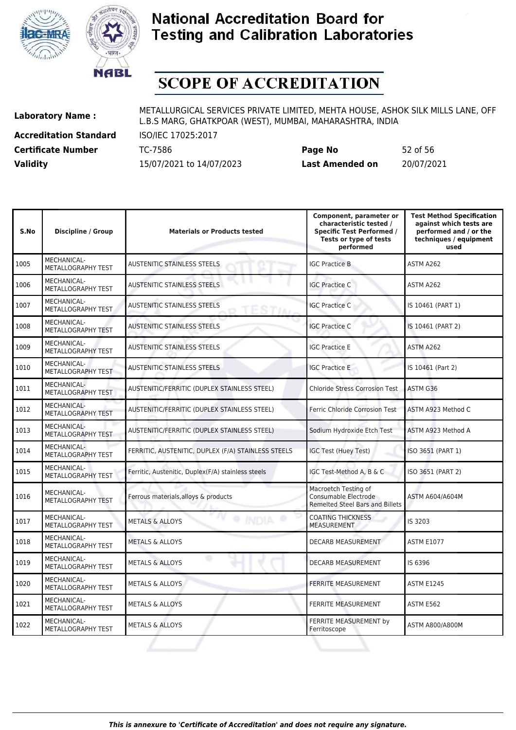



# **SCOPE OF ACCREDITATION**

**Accreditation Standard** ISO/IEC 17025:2017

**Laboratory Name :** METALLURGICAL SERVICES PRIVATE LIMITED, MEHTA HOUSE, ASHOK SILK MILLS LANE, OFF L.B.S MARG, GHATKPOAR (WEST), MUMBAI, MAHARASHTRA, INDIA

**Certificate Number** TC-7586 **Page No** 52 of 56 **Validity** 15/07/2021 to 14/07/2023 **Last Amended on** 20/07/2021

| S.No | <b>Discipline / Group</b>                | <b>Materials or Products tested</b>                 | Component, parameter or<br>characteristic tested /<br><b>Specific Test Performed /</b><br>Tests or type of tests<br>performed | <b>Test Method Specification</b><br>against which tests are<br>performed and / or the<br>techniques / equipment<br>used |
|------|------------------------------------------|-----------------------------------------------------|-------------------------------------------------------------------------------------------------------------------------------|-------------------------------------------------------------------------------------------------------------------------|
| 1005 | <b>MECHANICAL-</b><br>METALLOGRAPHY TEST | <b>AUSTENITIC STAINLESS STEELS</b>                  | <b>IGC Practice B</b>                                                                                                         | ASTM A262                                                                                                               |
| 1006 | MECHANICAL-<br>METALLOGRAPHY TEST        | AUSTENITIC STAINLESS STEELS                         | <b>IGC Practice C</b>                                                                                                         | ASTM A262                                                                                                               |
| 1007 | MECHANICAL-<br>METALLOGRAPHY TEST        | <b>AUSTENITIC STAINLESS STEELS</b>                  | <b>IGC Practice C</b>                                                                                                         | IS 10461 (PART 1)                                                                                                       |
| 1008 | <b>MECHANICAL-</b><br>METALLOGRAPHY TEST | <b>AUSTENITIC STAINLESS STEELS</b>                  | <b>IGC Practice C</b>                                                                                                         | IS 10461 (PART 2)                                                                                                       |
| 1009 | MECHANICAL-<br>METALLOGRAPHY TEST        | <b>AUSTENITIC STAINLESS STEELS</b>                  | <b>IGC Practice E</b>                                                                                                         | ASTM A262                                                                                                               |
| 1010 | MECHANICAL-<br>METALLOGRAPHY TEST        | AUSTENITIC STAINLESS STEELS                         | <b>IGC Practice E</b>                                                                                                         | IS 10461 (Part 2)                                                                                                       |
| 1011 | MECHANICAL-<br>METALLOGRAPHY TEST        | AUSTENITIC/FERRITIC (DUPLEX STAINLESS STEEL)        | <b>Chloride Stress Corrosion Test</b>                                                                                         | ASTM G36                                                                                                                |
| 1012 | MECHANICAL-<br>METALLOGRAPHY TEST        | AUSTENITIC/FERRITIC (DUPLEX STAINLESS STEEL)        | Ferric Chloride Corrosion Test                                                                                                | ASTM A923 Method C                                                                                                      |
| 1013 | MECHANICAL-<br>METALLOGRAPHY TEST        | AUSTENITIC/FERRITIC (DUPLEX STAINLESS STEEL)        | Sodium Hydroxide Etch Test                                                                                                    | ASTM A923 Method A                                                                                                      |
| 1014 | MECHANICAL-<br>METALLOGRAPHY TEST        | FERRITIC, AUSTENITIC, DUPLEX (F/A) STAINLESS STEELS | IGC Test (Huey Test)                                                                                                          | ISO 3651 (PART 1)                                                                                                       |
| 1015 | MECHANICAL-<br><b>METALLOGRAPHY TEST</b> | Ferritic, Austenitic, Duplex(F/A) stainless steels  | IGC Test-Method A, B & C                                                                                                      | ISO 3651 (PART 2)                                                                                                       |
| 1016 | <b>MECHANICAL-</b><br>METALLOGRAPHY TEST | Ferrous materials, alloys & products                | Macroetch Testing of<br>Consumable Electrode<br><b>Remelted Steel Bars and Billets</b>                                        | ASTM A604/A604M                                                                                                         |
| 1017 | MECHANICAL-<br>METALLOGRAPHY TEST        | <b>METALS &amp; ALLOYS</b>                          | <b>COATING THICKNESS</b><br><b>MEASUREMENT</b>                                                                                | IS 3203                                                                                                                 |
| 1018 | MECHANICAL-<br>METALLOGRAPHY TEST        | <b>METALS &amp; ALLOYS</b>                          | DECARB MEASUREMENT                                                                                                            | <b>ASTM E1077</b>                                                                                                       |
| 1019 | <b>MECHANICAL-</b><br>METALLOGRAPHY TEST | $\circ$<br><b>METALS &amp; ALLOYS</b>               | DECARB MEASUREMENT                                                                                                            | IS 6396                                                                                                                 |
| 1020 | MECHANICAL-<br>METALLOGRAPHY TEST        | <b>METALS &amp; ALLOYS</b>                          | <b>FERRITE MEASUREMENT</b>                                                                                                    | <b>ASTM E1245</b>                                                                                                       |
| 1021 | <b>MECHANICAL-</b><br>METALLOGRAPHY TEST | <b>METALS &amp; ALLOYS</b>                          | FERRITE MEASUREMENT                                                                                                           | ASTM E562                                                                                                               |
| 1022 | MECHANICAL-<br><b>METALLOGRAPHY TEST</b> | <b>METALS &amp; ALLOYS</b>                          | FERRITE MEASUREMENT by<br>Ferritoscope                                                                                        | ASTM A800/A800M                                                                                                         |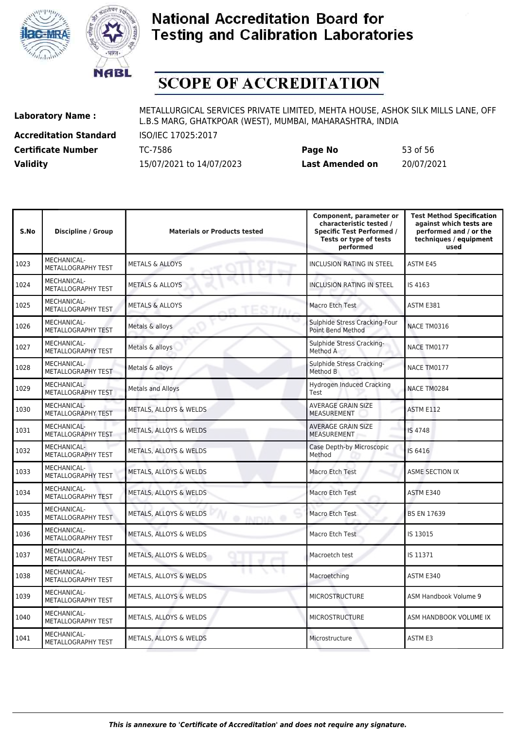



# **SCOPE OF ACCREDITATION**

**Accreditation Standard** ISO/IEC 17025:2017

**Laboratory Name :** METALLURGICAL SERVICES PRIVATE LIMITED, MEHTA HOUSE, ASHOK SILK MILLS LANE, OFF L.B.S MARG, GHATKPOAR (WEST), MUMBAI, MAHARASHTRA, INDIA

**Certificate Number** TC-7586 **Page No** 53 of 56 **Validity** 15/07/2021 to 14/07/2023 **Last Amended on** 20/07/2021

| S.No | <b>Discipline / Group</b>                | <b>Materials or Products tested</b>  | Component, parameter or<br>characteristic tested /<br><b>Specific Test Performed /</b><br>Tests or type of tests<br>performed | <b>Test Method Specification</b><br>against which tests are<br>performed and / or the<br>techniques / equipment<br>used |
|------|------------------------------------------|--------------------------------------|-------------------------------------------------------------------------------------------------------------------------------|-------------------------------------------------------------------------------------------------------------------------|
| 1023 | MECHANICAL-<br>METALLOGRAPHY TEST        | <b>METALS &amp; ALLOYS</b>           | INCLUSION RATING IN STEEL                                                                                                     | ASTM E45                                                                                                                |
| 1024 | MECHANICAL-<br>METALLOGRAPHY TEST        | <b>METALS &amp; ALLOYS</b>           | <b>INCLUSION RATING IN STEEL</b>                                                                                              | IS 4163                                                                                                                 |
| 1025 | MECHANICAL-<br>METALLOGRAPHY TEST        | <b>METALS &amp; ALLOYS</b>           | Macro Etch Test                                                                                                               | <b>ASTM E381</b>                                                                                                        |
| 1026 | MECHANICAL-<br>METALLOGRAPHY TEST        | Metals & alloys                      | Sulphide Stress Cracking-Four<br><b>Point Bend Method</b>                                                                     | NACE TM0316                                                                                                             |
| 1027 | MECHANICAL-<br>METALLOGRAPHY TEST        | Metals & alloys                      | Sulphide Stress Cracking-<br>Method A                                                                                         | NACE TM0177                                                                                                             |
| 1028 | MECHANICAL-<br>METALLOGRAPHY TEST        | Metals & alloys                      | Sulphide Stress Cracking-<br>Method B                                                                                         | NACE TM0177                                                                                                             |
| 1029 | MECHANICAL-<br>METALLOGRAPHY TEST        | <b>Metals and Alloys</b>             | <b>Hydrogen Induced Cracking</b><br>Test                                                                                      | NACE TM0284                                                                                                             |
| 1030 | MECHANICAL-<br><b>METALLOGRAPHY TEST</b> | <b>METALS, ALLOYS &amp; WELDS</b>    | AVERAGE GRAIN SIZE<br><b>MEASUREMENT</b>                                                                                      | ASTM E112                                                                                                               |
| 1031 | MECHANICAL-<br>METALLOGRAPHY TEST        | METALS, ALLOYS & WELDS               | <b>AVERAGE GRAIN SIZE</b><br><b>MEASUREMENT</b>                                                                               | <b>IS 4748</b>                                                                                                          |
| 1032 | MECHANICAL-<br>METALLOGRAPHY TEST        | METALS, ALLOYS & WELDS               | Case Depth-by Microscopic<br>Method                                                                                           | IS 6416                                                                                                                 |
| 1033 | MECHANICAL-<br>METALLOGRAPHY TEST        | METALS, ALLOYS & WELDS               | Macro Etch Test                                                                                                               | <b>ASME SECTION IX</b>                                                                                                  |
| 1034 | MECHANICAL-<br>METALLOGRAPHY TEST        | METALS, ALLOYS & WELDS               | Macro Etch Test                                                                                                               | ASTM E340                                                                                                               |
| 1035 | MECHANICAL-<br>METALLOGRAPHY TEST        | METALS, ALLOYS & WELDS<br>@ INIDIA @ | Macro Etch Test                                                                                                               | <b>BS EN 17639</b>                                                                                                      |
| 1036 | MECHANICAL-<br>METALLOGRAPHY TEST        | METALS, ALLOYS & WELDS               | Macro Etch Test                                                                                                               | IS 13015                                                                                                                |
| 1037 | MECHANICAL-<br>METALLOGRAPHY TEST        | METALS, ALLOYS & WELDS               | Macroetch test                                                                                                                | IS 11371                                                                                                                |
| 1038 | MECHANICAL-<br>METALLOGRAPHY TEST        | METALS, ALLOYS & WELDS               | Macroetching                                                                                                                  | ASTM E340                                                                                                               |
| 1039 | MECHANICAL-<br>METALLOGRAPHY TEST        | METALS, ALLOYS & WELDS               | <b>MICROSTRUCTURE</b>                                                                                                         | ASM Handbook Volume 9                                                                                                   |
| 1040 | MECHANICAL-<br>METALLOGRAPHY TEST        | METALS, ALLOYS & WELDS               | <b>MICROSTRUCTURE</b>                                                                                                         | ASM HANDBOOK VOLUME IX                                                                                                  |
| 1041 | <b>MECHANICAL-</b><br>METALLOGRAPHY TEST | METALS, ALLOYS & WELDS               | Microstructure                                                                                                                | <b>ASTM E3</b>                                                                                                          |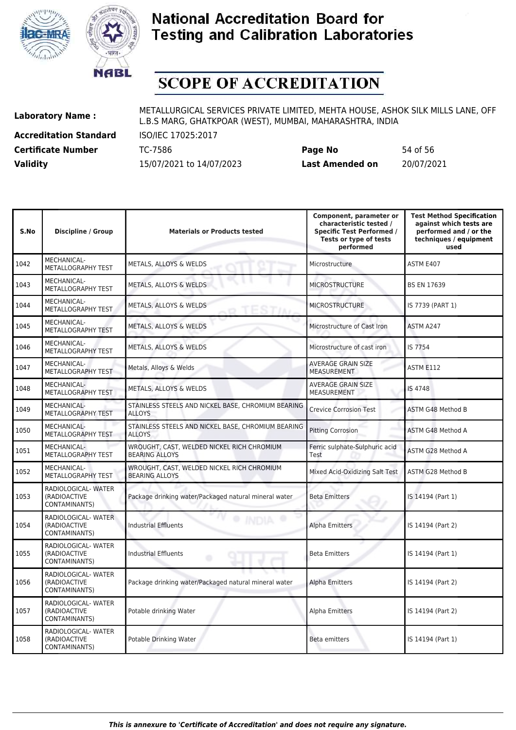



# **SCOPE OF ACCREDITATION**

**Accreditation Standard** ISO/IEC 17025:2017 **Certificate Number** TC-7586 **Page No** 54 of 56

**Laboratory Name :** METALLURGICAL SERVICES PRIVATE LIMITED, MEHTA HOUSE, ASHOK SILK MILLS LANE, OFF L.B.S MARG, GHATKPOAR (WEST), MUMBAI, MAHARASHTRA, INDIA

**Validity** 15/07/2021 to 14/07/2023 **Last Amended on** 20/07/2021

| S.No | <b>Discipline / Group</b>                            | <b>Materials or Products tested</b>                                 | Component, parameter or<br>characteristic tested /<br><b>Specific Test Performed /</b><br>Tests or type of tests<br>performed | <b>Test Method Specification</b><br>against which tests are<br>performed and / or the<br>techniques / equipment<br>used |
|------|------------------------------------------------------|---------------------------------------------------------------------|-------------------------------------------------------------------------------------------------------------------------------|-------------------------------------------------------------------------------------------------------------------------|
| 1042 | <b>MECHANICAL-</b><br>METALLOGRAPHY TEST             | METALS, ALLOYS & WELDS                                              | Microstructure                                                                                                                | ASTM E407                                                                                                               |
| 1043 | <b>MECHANICAL-</b><br>METALLOGRAPHY TEST             | METALS, ALLOYS & WELDS                                              | <b>MICROSTRUCTURE</b>                                                                                                         | <b>BS EN 17639</b>                                                                                                      |
| 1044 | <b>MECHANICAL-</b><br>METALLOGRAPHY TEST             | METALS, ALLOYS & WELDS                                              | <b>MICROSTRUCTURE</b>                                                                                                         | IS 7739 (PART 1)                                                                                                        |
| 1045 | <b>MECHANICAL-</b><br>METALLOGRAPHY TEST             | METALS, ALLOYS & WELDS                                              | Microstructure of Cast Iron                                                                                                   | ASTM A247                                                                                                               |
| 1046 | MECHANICAL-<br>METALLOGRAPHY TEST                    | METALS, ALLOYS & WELDS                                              | Microstructure of cast iron                                                                                                   | IS 7754                                                                                                                 |
| 1047 | MECHANICAL-<br>METALLOGRAPHY TEST                    | Metals, Alloys & Welds                                              | <b>AVERAGE GRAIN SIZE</b><br><b>MEASUREMENT</b>                                                                               | ASTM E112                                                                                                               |
| 1048 | MECHANICAL-<br>METALLOGRAPHY TEST                    | METALS, ALLOYS & WELDS                                              | <b>AVERAGE GRAIN SIZE</b><br><b>MEASUREMENT</b>                                                                               | IS 4748                                                                                                                 |
| 1049 | MECHANICAL-<br>METALLOGRAPHY TEST                    | STAINLESS STEELS AND NICKEL BASE, CHROMIUM BEARING<br><b>ALLOYS</b> | <b>Crevice Corrosion Test</b>                                                                                                 | ASTM G48 Method B                                                                                                       |
| 1050 | MECHANICAL-<br>METALLOGRAPHY TEST                    | STAINLESS STEELS AND NICKEL BASE, CHROMIUM BEARING<br><b>ALLOYS</b> | <b>Pitting Corrosion</b>                                                                                                      | ASTM G48 Method A                                                                                                       |
| 1051 | MECHANICAL-<br>METALLOGRAPHY TEST                    | WROUGHT, CAST, WELDED NICKEL RICH CHROMIUM<br><b>BEARING ALLOYS</b> | Ferric sulphate-Sulphuric acid<br>Test                                                                                        | ASTM G28 Method A                                                                                                       |
| 1052 | MECHANICAL-<br>METALLOGRAPHY TEST                    | WROUGHT, CAST, WELDED NICKEL RICH CHROMIUM<br><b>BEARING ALLOYS</b> | Mixed Acid-Oxidizing Salt Test                                                                                                | <b>ASTM G28 Method B</b>                                                                                                |
| 1053 | RADIOLOGICAL- WATER<br>(RADIOACTIVE<br>CONTAMINANTS) | Package drinking water/Packaged natural mineral water               | <b>Beta Emitters</b>                                                                                                          | IS 14194 (Part 1)                                                                                                       |
| 1054 | RADIOLOGICAL-WATER<br>(RADIOACTIVE<br>CONTAMINANTS)  | <b>Industrial Effluents</b>                                         | <b>Alpha Emitters</b>                                                                                                         | IS 14194 (Part 2)                                                                                                       |
| 1055 | RADIOLOGICAL- WATER<br>(RADIOACTIVE<br>CONTAMINANTS) | <b>Industrial Effluents</b>                                         | <b>Beta Emitters</b>                                                                                                          | IS 14194 (Part 1)                                                                                                       |
| 1056 | RADIOLOGICAL-WATER<br>(RADIOACTIVE<br>CONTAMINANTS)  | Package drinking water/Packaged natural mineral water               | Alpha Emitters                                                                                                                | IS 14194 (Part 2)                                                                                                       |
| 1057 | RADIOLOGICAL-WATER<br>(RADIOACTIVE<br>CONTAMINANTS)  | Potable drinking Water                                              | Alpha Emitters                                                                                                                | IS 14194 (Part 2)                                                                                                       |
| 1058 | RADIOLOGICAL-WATER<br>(RADIOACTIVE<br>CONTAMINANTS)  | Potable Drinking Water                                              | <b>Beta emitters</b>                                                                                                          | IS 14194 (Part 1)                                                                                                       |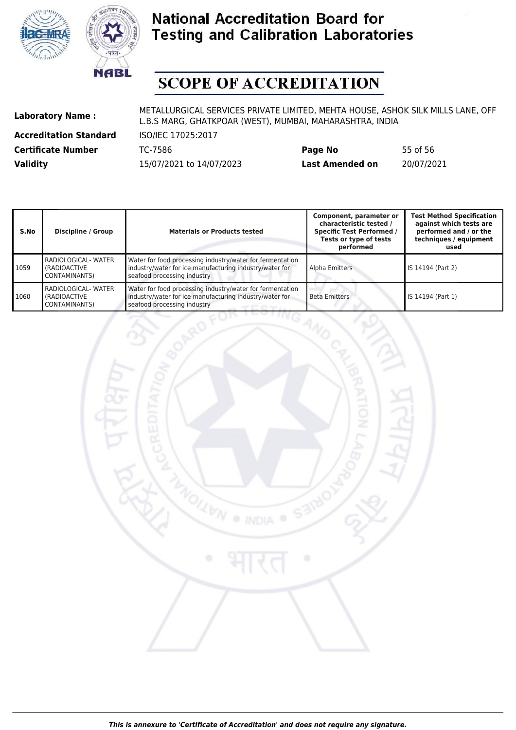



# **SCOPE OF ACCREDITATION**

**Accreditation Standard** ISO/IEC 17025:2017

| <b>Certificate Number</b> | TC-7586                  | Page No                | 55 of 56   |
|---------------------------|--------------------------|------------------------|------------|
| <b>Validity</b>           | 15/07/2021 to 14/07/2023 | <b>Last Amended on</b> | 20/07/2021 |

| S.No | <b>Discipline / Group</b>                                     | <b>Materials or Products tested</b>                                                                                                                 | Component, parameter or<br>characteristic tested /<br><b>Specific Test Performed /</b><br>Tests or type of tests<br>performed | <b>Test Method Specification</b><br>against which tests are<br>performed and / or the<br>techniques / equipment<br>used |
|------|---------------------------------------------------------------|-----------------------------------------------------------------------------------------------------------------------------------------------------|-------------------------------------------------------------------------------------------------------------------------------|-------------------------------------------------------------------------------------------------------------------------|
| 1059 | <b>RADIOLOGICAL- WATER</b><br>I (RADIOACTIVE<br>CONTAMINANTS) | Water for food processing industry/water for fermentation<br>industry/water for ice manufacturing industry/water for<br>seafood processing industry | Alpha Emitters                                                                                                                | IS 14194 (Part 2)                                                                                                       |
| 1060 | <b>RADIOLOGICAL- WATER</b><br>I (RADIOACTIVE<br>CONTAMINANTS) | Water for food processing industry/water for fermentation<br>industry/water for ice manufacturing industry/water for<br>seafood processing industry | <b>Beta Emitters</b>                                                                                                          | l IS 14194 (Part 1)                                                                                                     |